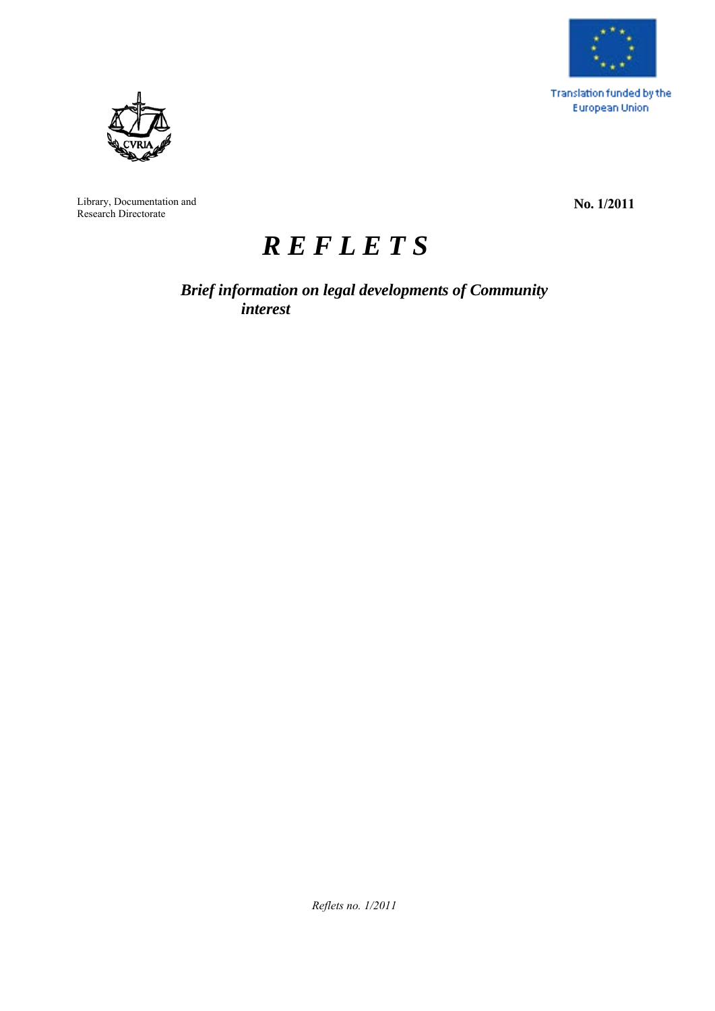

Translation funded by the **European Union** 



Library, Documentation and Research Directorate

**No. 1/2011**

# *R E F L E T S*

*Brief information on legal developments of Community interest*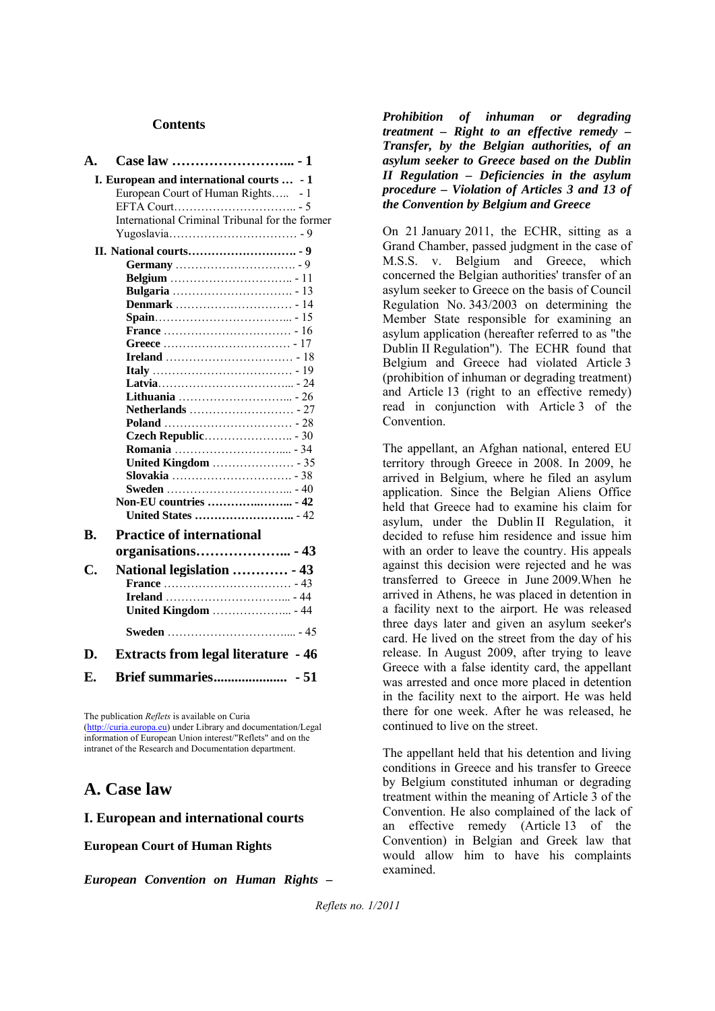#### **Contents**

| A.                                                                                                                                |      |
|-----------------------------------------------------------------------------------------------------------------------------------|------|
| I. European and international courts  - 1<br>European Court of Human Rights - 1<br>International Criminal Tribunal for the former |      |
|                                                                                                                                   |      |
|                                                                                                                                   |      |
|                                                                                                                                   |      |
|                                                                                                                                   |      |
|                                                                                                                                   |      |
|                                                                                                                                   |      |
|                                                                                                                                   |      |
|                                                                                                                                   |      |
|                                                                                                                                   |      |
|                                                                                                                                   |      |
|                                                                                                                                   |      |
|                                                                                                                                   |      |
|                                                                                                                                   |      |
|                                                                                                                                   |      |
|                                                                                                                                   |      |
|                                                                                                                                   |      |
|                                                                                                                                   |      |
|                                                                                                                                   |      |
| Non-EU countries  - 42                                                                                                            |      |
| <b>United States </b> - 42                                                                                                        |      |
|                                                                                                                                   |      |
| <b>Practice of international</b><br>B.                                                                                            |      |
| organisations - 43                                                                                                                |      |
| C.<br>National legislation  - 43                                                                                                  |      |
|                                                                                                                                   |      |
|                                                                                                                                   |      |
| <b>United Kingdom</b> - 44                                                                                                        |      |
|                                                                                                                                   |      |
| <b>Extracts from legal literature - 46</b><br>D.                                                                                  |      |
| E.                                                                                                                                | - 51 |
|                                                                                                                                   |      |

The publication *Reflets* is available on Curia (http://curia.europa.eu) under Library and documentation/Legal information of European Union interest/"Reflets" and on the intranet of the Research and Documentation department.

# **A. Case law**

#### **I. European and international courts**

**European Court of Human Rights**

*European Convention on Human Rights –* 

*Prohibition of inhuman or degrading treatment – Right to an effective remedy – Transfer, by the Belgian authorities, of an asylum seeker to Greece based on the Dublin II Regulation – Deficiencies in the asylum procedure – Violation of Articles 3 and 13 of the Convention by Belgium and Greece*

On 21 January 2011, the ECHR, sitting as a Grand Chamber, passed judgment in the case of M.S.S. v. Belgium and Greece, which concerned the Belgian authorities' transfer of an asylum seeker to Greece on the basis of Council Regulation No. 343/2003 on determining the Member State responsible for examining an asylum application (hereafter referred to as "the Dublin II Regulation"). The ECHR found that Belgium and Greece had violated Article 3 (prohibition of inhuman or degrading treatment) and Article 13 (right to an effective remedy) read in conjunction with Article 3 of the Convention.

The appellant, an Afghan national, entered EU territory through Greece in 2008. In 2009, he arrived in Belgium, where he filed an asylum application. Since the Belgian Aliens Office held that Greece had to examine his claim for asylum, under the Dublin II Regulation, it decided to refuse him residence and issue him with an order to leave the country. His appeals against this decision were rejected and he was transferred to Greece in June 2009.When he arrived in Athens, he was placed in detention in a facility next to the airport. He was released three days later and given an asylum seeker's card. He lived on the street from the day of his release. In August 2009, after trying to leave Greece with a false identity card, the appellant was arrested and once more placed in detention in the facility next to the airport. He was held there for one week. After he was released, he continued to live on the street.

The appellant held that his detention and living conditions in Greece and his transfer to Greece by Belgium constituted inhuman or degrading treatment within the meaning of Article 3 of the Convention. He also complained of the lack of an effective remedy (Article 13 of the Convention) in Belgian and Greek law that would allow him to have his complaints examined.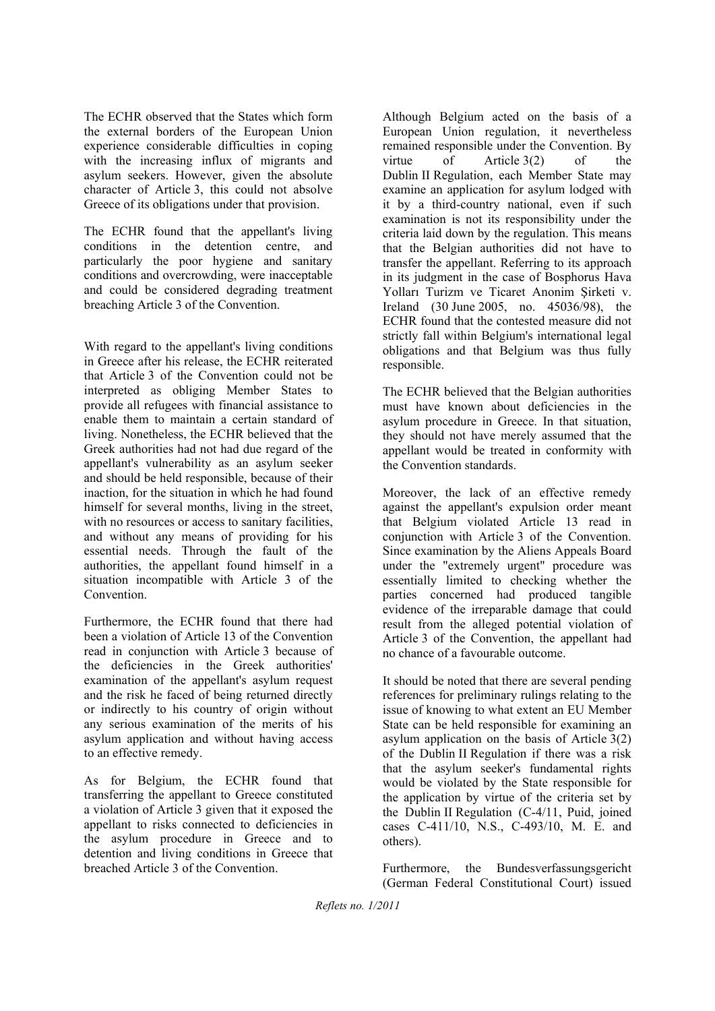The ECHR observed that the States which form the external borders of the European Union experience considerable difficulties in coping with the increasing influx of migrants and asylum seekers. However, given the absolute character of Article 3, this could not absolve Greece of its obligations under that provision.

The ECHR found that the appellant's living conditions in the detention centre, and particularly the poor hygiene and sanitary conditions and overcrowding, were inacceptable and could be considered degrading treatment breaching Article 3 of the Convention.

With regard to the appellant's living conditions in Greece after his release, the ECHR reiterated that Article 3 of the Convention could not be interpreted as obliging Member States to provide all refugees with financial assistance to enable them to maintain a certain standard of living. Nonetheless, the ECHR believed that the Greek authorities had not had due regard of the appellant's vulnerability as an asylum seeker and should be held responsible, because of their inaction, for the situation in which he had found himself for several months, living in the street, with no resources or access to sanitary facilities, and without any means of providing for his essential needs. Through the fault of the authorities, the appellant found himself in a situation incompatible with Article 3 of the **Convention** 

Furthermore, the ECHR found that there had been a violation of Article 13 of the Convention read in conjunction with Article 3 because of the deficiencies in the Greek authorities' examination of the appellant's asylum request and the risk he faced of being returned directly or indirectly to his country of origin without any serious examination of the merits of his asylum application and without having access to an effective remedy.

As for Belgium, the ECHR found that transferring the appellant to Greece constituted a violation of Article 3 given that it exposed the appellant to risks connected to deficiencies in the asylum procedure in Greece and to detention and living conditions in Greece that breached Article 3 of the Convention.

Although Belgium acted on the basis of a European Union regulation, it nevertheless remained responsible under the Convention. By virtue of Article 3(2) of the Dublin II Regulation, each Member State may examine an application for asylum lodged with it by a third-country national, even if such examination is not its responsibility under the criteria laid down by the regulation. This means that the Belgian authorities did not have to transfer the appellant. Referring to its approach in its judgment in the case of Bosphorus Hava Yolları Turizm ve Ticaret Anonim Şirketi v. Ireland (30 June 2005, no. 45036/98), the ECHR found that the contested measure did not strictly fall within Belgium's international legal obligations and that Belgium was thus fully responsible.

The ECHR believed that the Belgian authorities must have known about deficiencies in the asylum procedure in Greece. In that situation, they should not have merely assumed that the appellant would be treated in conformity with the Convention standards.

Moreover, the lack of an effective remedy against the appellant's expulsion order meant that Belgium violated Article 13 read in conjunction with Article 3 of the Convention. Since examination by the Aliens Appeals Board under the "extremely urgent" procedure was essentially limited to checking whether the parties concerned had produced tangible evidence of the irreparable damage that could result from the alleged potential violation of Article 3 of the Convention, the appellant had no chance of a favourable outcome.

It should be noted that there are several pending references for preliminary rulings relating to the issue of knowing to what extent an EU Member State can be held responsible for examining an asylum application on the basis of Article 3(2) of the Dublin II Regulation if there was a risk that the asylum seeker's fundamental rights would be violated by the State responsible for the application by virtue of the criteria set by the Dublin II Regulation (C-4/11, Puid, joined cases C-411/10, N.S., C-493/10, M. E. and others).

Furthermore, the Bundesverfassungsgericht (German Federal Constitutional Court) issued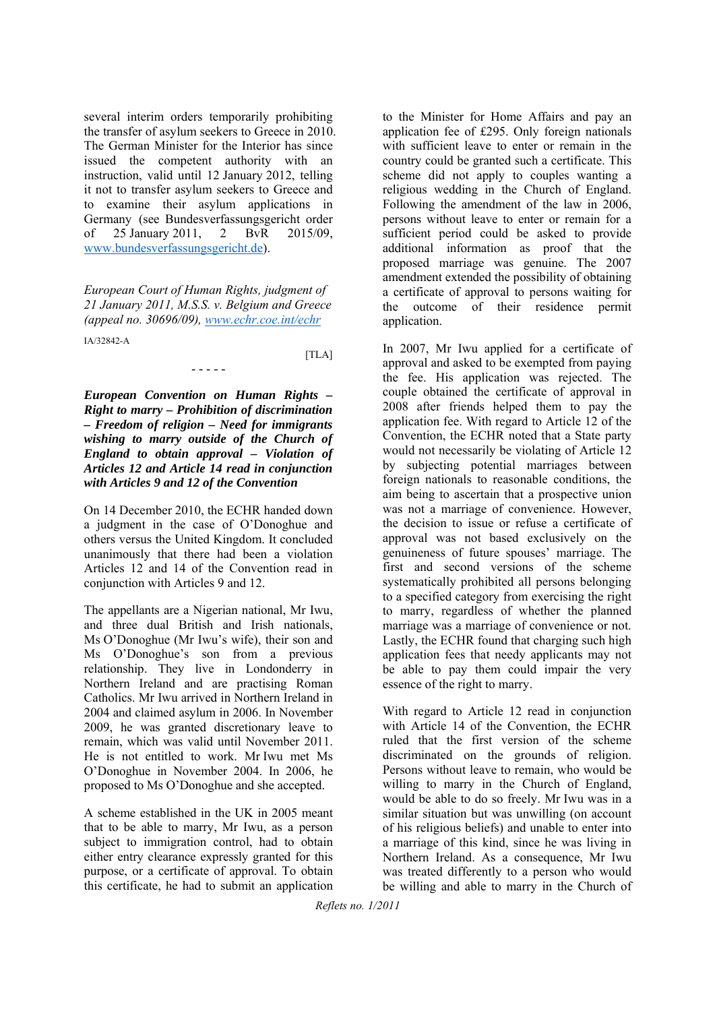several interim orders temporarily prohibiting the transfer of asylum seekers to Greece in 2010. The German Minister for the Interior has since issued the competent authority with an instruction, valid until 12 January 2012, telling it not to transfer asylum seekers to Greece and to examine their asylum applications in Germany (see Bundesverfassungsgericht order of 25 January 2011, 2 BvR 2015/09, www.bundesverfassungsgericht.de).

*European Court of Human Rights, judgment of 21 January 2011, M.S.S. v. Belgium and Greece (appeal no. 30696/09), www.echr.coe.int/echr*

- - - - -

IA/32842-A

 $[TLA]$ 

*European Convention on Human Rights – Right to marry – Prohibition of discrimination – Freedom of religion – Need for immigrants wishing to marry outside of the Church of England to obtain approval – Violation of Articles 12 and Article 14 read in conjunction with Articles 9 and 12 of the Convention*

On 14 December 2010, the ECHR handed down a judgment in the case of O'Donoghue and others versus the United Kingdom. It concluded unanimously that there had been a violation Articles 12 and 14 of the Convention read in conjunction with Articles 9 and 12.

The appellants are a Nigerian national, Mr Iwu, and three dual British and Irish nationals, Ms O'Donoghue (Mr Iwu's wife), their son and Ms O'Donoghue's son from a previous relationship. They live in Londonderry in Northern Ireland and are practising Roman Catholics. Mr Iwu arrived in Northern Ireland in 2004 and claimed asylum in 2006. In November 2009, he was granted discretionary leave to remain, which was valid until November 2011. He is not entitled to work. Mr Iwu met Ms O'Donoghue in November 2004. In 2006, he proposed to Ms O'Donoghue and she accepted.

A scheme established in the UK in 2005 meant that to be able to marry, Mr Iwu, as a person subject to immigration control, had to obtain either entry clearance expressly granted for this purpose, or a certificate of approval. To obtain this certificate, he had to submit an application

to the Minister for Home Affairs and pay an application fee of £295. Only foreign nationals with sufficient leave to enter or remain in the country could be granted such a certificate. This scheme did not apply to couples wanting a religious wedding in the Church of England. Following the amendment of the law in 2006, persons without leave to enter or remain for a sufficient period could be asked to provide additional information as proof that the proposed marriage was genuine. The 2007 amendment extended the possibility of obtaining a certificate of approval to persons waiting for the outcome of their residence permit application.

In 2007, Mr Iwu applied for a certificate of approval and asked to be exempted from paying the fee. His application was rejected. The couple obtained the certificate of approval in 2008 after friends helped them to pay the application fee. With regard to Article 12 of the Convention, the ECHR noted that a State party would not necessarily be violating of Article 12 by subjecting potential marriages between foreign nationals to reasonable conditions, the aim being to ascertain that a prospective union was not a marriage of convenience. However, the decision to issue or refuse a certificate of approval was not based exclusively on the genuineness of future spouses' marriage. The first and second versions of the scheme systematically prohibited all persons belonging to a specified category from exercising the right to marry, regardless of whether the planned marriage was a marriage of convenience or not. Lastly, the ECHR found that charging such high application fees that needy applicants may not be able to pay them could impair the very essence of the right to marry.

With regard to Article 12 read in conjunction with Article 14 of the Convention, the ECHR ruled that the first version of the scheme discriminated on the grounds of religion. Persons without leave to remain, who would be willing to marry in the Church of England, would be able to do so freely. Mr Iwu was in a similar situation but was unwilling (on account of his religious beliefs) and unable to enter into a marriage of this kind, since he was living in Northern Ireland. As a consequence, Mr Iwu was treated differently to a person who would be willing and able to marry in the Church of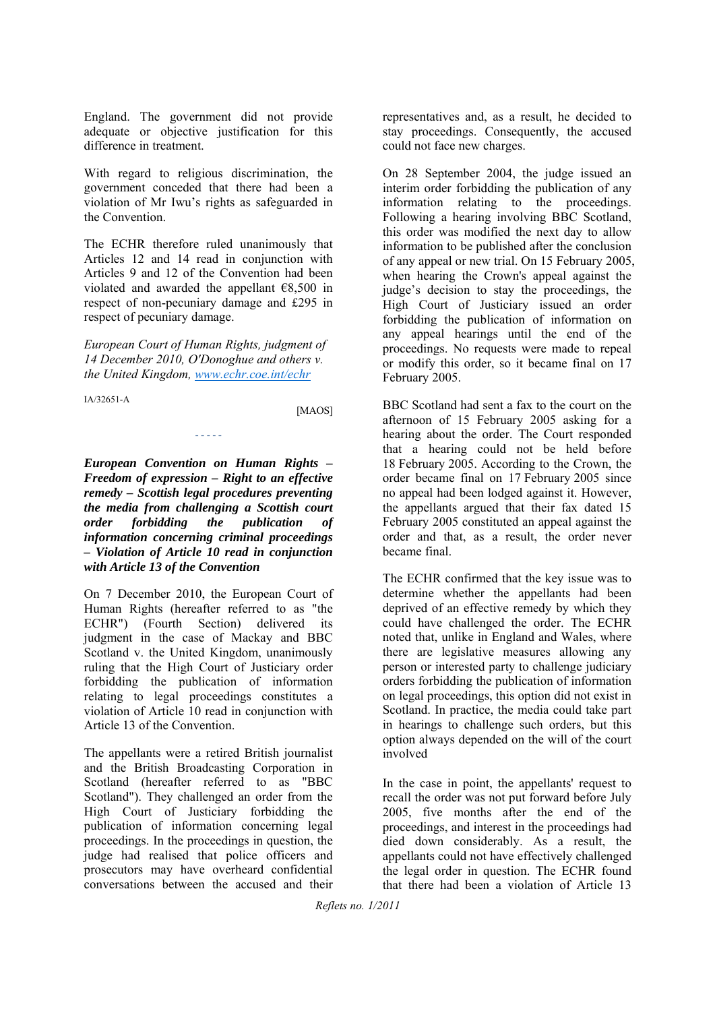England. The government did not provide adequate or objective justification for this difference in treatment.

With regard to religious discrimination, the government conceded that there had been a violation of Mr Iwu's rights as safeguarded in the Convention.

The ECHR therefore ruled unanimously that Articles 12 and 14 read in conjunction with Articles 9 and 12 of the Convention had been violated and awarded the appellant €8,500 in respect of non-pecuniary damage and £295 in respect of pecuniary damage.

*European Court of Human Rights, judgment of 14 December 2010, O'Donoghue and others v. the United Kingdom, www.echr.coe.int/echr*

- - - - -

IA/32651-A

[MAOS]

*European Convention on Human Rights – Freedom of expression – Right to an effective remedy – Scottish legal procedures preventing the media from challenging a Scottish court order forbidding the publication of information concerning criminal proceedings – Violation of Article 10 read in conjunction with Article 13 of the Convention*

On 7 December 2010, the European Court of Human Rights (hereafter referred to as "the ECHR") (Fourth Section) delivered its judgment in the case of Mackay and BBC Scotland v. the United Kingdom, unanimously ruling that the High Court of Justiciary order forbidding the publication of information relating to legal proceedings constitutes a violation of Article 10 read in conjunction with Article 13 of the Convention.

The appellants were a retired British journalist and the British Broadcasting Corporation in Scotland (hereafter referred to as "BBC Scotland"). They challenged an order from the High Court of Justiciary forbidding the publication of information concerning legal proceedings. In the proceedings in question, the judge had realised that police officers and prosecutors may have overheard confidential conversations between the accused and their

representatives and, as a result, he decided to stay proceedings. Consequently, the accused could not face new charges.

On 28 September 2004, the judge issued an interim order forbidding the publication of any information relating to the proceedings. Following a hearing involving BBC Scotland, this order was modified the next day to allow information to be published after the conclusion of any appeal or new trial. On 15 February 2005, when hearing the Crown's appeal against the judge's decision to stay the proceedings, the High Court of Justiciary issued an order forbidding the publication of information on any appeal hearings until the end of the proceedings. No requests were made to repeal or modify this order, so it became final on 17 February 2005.

BBC Scotland had sent a fax to the court on the afternoon of 15 February 2005 asking for a hearing about the order. The Court responded that a hearing could not be held before 18 February 2005. According to the Crown, the order became final on 17 February 2005 since no appeal had been lodged against it. However, the appellants argued that their fax dated 15 February 2005 constituted an appeal against the order and that, as a result, the order never became final.

The ECHR confirmed that the key issue was to determine whether the appellants had been deprived of an effective remedy by which they could have challenged the order. The ECHR noted that, unlike in England and Wales, where there are legislative measures allowing any person or interested party to challenge judiciary orders forbidding the publication of information on legal proceedings, this option did not exist in Scotland. In practice, the media could take part in hearings to challenge such orders, but this option always depended on the will of the court involved

In the case in point, the appellants' request to recall the order was not put forward before July 2005, five months after the end of the proceedings, and interest in the proceedings had died down considerably. As a result, the appellants could not have effectively challenged the legal order in question. The ECHR found that there had been a violation of Article 13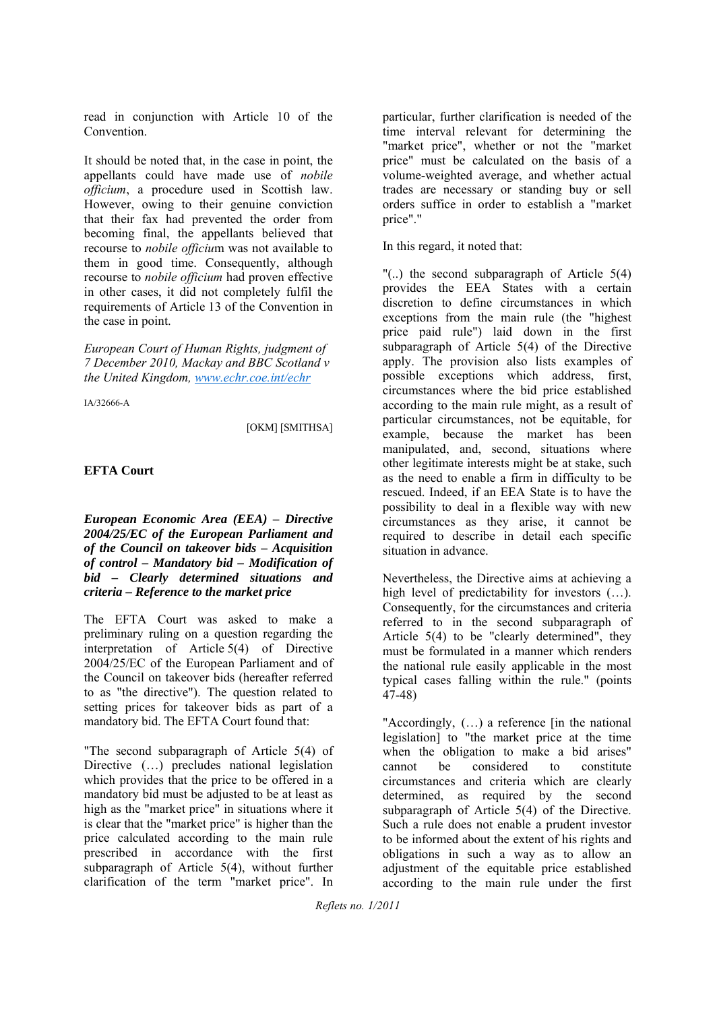read in conjunction with Article 10 of the **Convention** 

It should be noted that, in the case in point, the appellants could have made use of *nobile officium*, a procedure used in Scottish law. However, owing to their genuine conviction that their fax had prevented the order from becoming final, the appellants believed that recourse to *nobile officiu*m was not available to them in good time. Consequently, although recourse to *nobile officium* had proven effective in other cases, it did not completely fulfil the requirements of Article 13 of the Convention in the case in point.

*European Court of Human Rights, judgment of 7 December 2010, Mackay and BBC Scotland v the United Kingdom, www.echr.coe.int/echr*

IA/32666-A

[OKM] [SMITHSA]

#### **EFTA Court**

*European Economic Area (EEA) – Directive 2004/25/EC of the European Parliament and of the Council on takeover bids – Acquisition of control – Mandatory bid – Modification of bid – Clearly determined situations and criteria – Reference to the market price*

The EFTA Court was asked to make a preliminary ruling on a question regarding the interpretation of Article 5(4) of Directive 2004/25/EC of the European Parliament and of the Council on takeover bids (hereafter referred to as "the directive"). The question related to setting prices for takeover bids as part of a mandatory bid. The EFTA Court found that:

"The second subparagraph of Article 5(4) of Directive (...) precludes national legislation which provides that the price to be offered in a mandatory bid must be adjusted to be at least as high as the "market price" in situations where it is clear that the "market price" is higher than the price calculated according to the main rule prescribed in accordance with the first subparagraph of Article 5(4), without further clarification of the term "market price". In

particular, further clarification is needed of the time interval relevant for determining the "market price", whether or not the "market price" must be calculated on the basis of a volume-weighted average, and whether actual trades are necessary or standing buy or sell orders suffice in order to establish a "market price"."

In this regard, it noted that:

"(..) the second subparagraph of Article 5(4) provides the EEA States with a certain discretion to define circumstances in which exceptions from the main rule (the "highest price paid rule") laid down in the first subparagraph of Article 5(4) of the Directive apply. The provision also lists examples of possible exceptions which address, first, circumstances where the bid price established according to the main rule might, as a result of particular circumstances, not be equitable, for example, because the market has been manipulated, and, second, situations where other legitimate interests might be at stake, such as the need to enable a firm in difficulty to be rescued. Indeed, if an EEA State is to have the possibility to deal in a flexible way with new circumstances as they arise, it cannot be required to describe in detail each specific situation in advance.

Nevertheless, the Directive aims at achieving a high level of predictability for investors  $(...)$ . Consequently, for the circumstances and criteria referred to in the second subparagraph of Article 5(4) to be "clearly determined", they must be formulated in a manner which renders the national rule easily applicable in the most typical cases falling within the rule." (points 47-48)

"Accordingly, (…) a reference [in the national legislation] to "the market price at the time when the obligation to make a bid arises" cannot be considered to constitute circumstances and criteria which are clearly determined, as required by the second subparagraph of Article 5(4) of the Directive. Such a rule does not enable a prudent investor to be informed about the extent of his rights and obligations in such a way as to allow an adjustment of the equitable price established according to the main rule under the first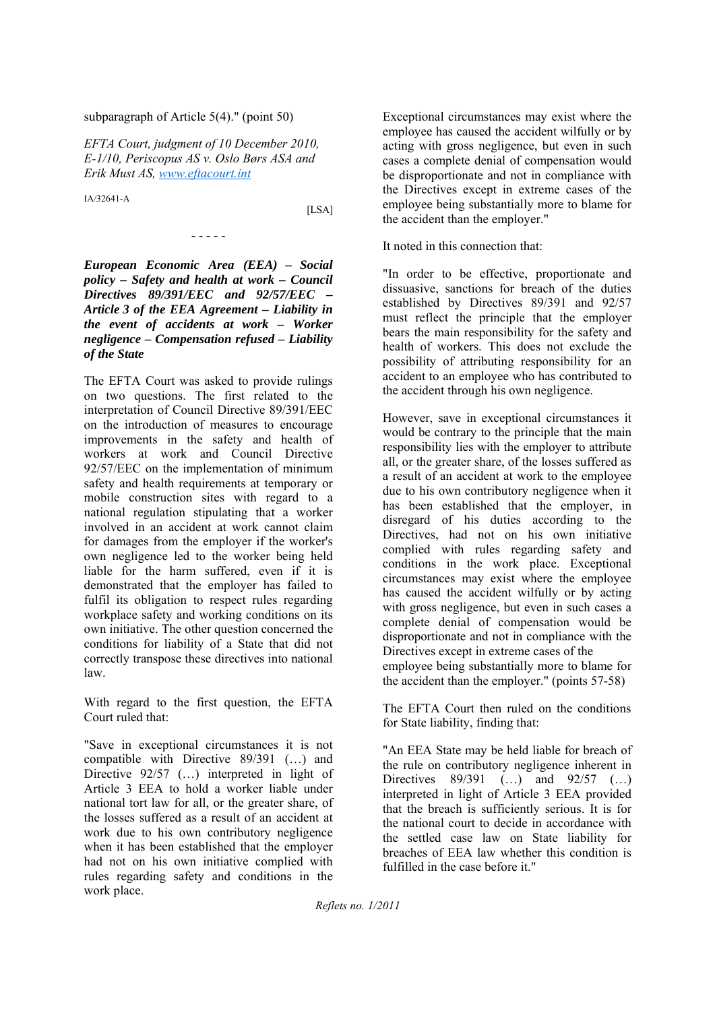#### subparagraph of Article 5(4)." (point 50)

*EFTA Court, judgment of 10 December 2010, E-1/10, Periscopus AS v. Oslo Børs ASA and Erik Must AS, www.eftacourt.int*

IA/32641-A

[LSA]

*European Economic Area (EEA) – Social policy – Safety and health at work – Council Directives 89/391/EEC and 92/57/EEC – Article 3 of the EEA Agreement – Liability in the event of accidents at work – Worker negligence – Compensation refused – Liability of the State*

- - - - -

The EFTA Court was asked to provide rulings on two questions. The first related to the interpretation of Council Directive 89/391/EEC on the introduction of measures to encourage improvements in the safety and health of workers at work and Council Directive 92/57/EEC on the implementation of minimum safety and health requirements at temporary or mobile construction sites with regard to a national regulation stipulating that a worker involved in an accident at work cannot claim for damages from the employer if the worker's own negligence led to the worker being held liable for the harm suffered, even if it is demonstrated that the employer has failed to fulfil its obligation to respect rules regarding workplace safety and working conditions on its own initiative. The other question concerned the conditions for liability of a State that did not correctly transpose these directives into national law.

With regard to the first question, the EFTA Court ruled that:

"Save in exceptional circumstances it is not compatible with Directive 89/391 (…) and Directive 92/57 (...) interpreted in light of Article 3 EEA to hold a worker liable under national tort law for all, or the greater share, of the losses suffered as a result of an accident at work due to his own contributory negligence when it has been established that the employer had not on his own initiative complied with rules regarding safety and conditions in the work place.

Exceptional circumstances may exist where the employee has caused the accident wilfully or by acting with gross negligence, but even in such cases a complete denial of compensation would be disproportionate and not in compliance with the Directives except in extreme cases of the employee being substantially more to blame for the accident than the employer."

It noted in this connection that:

"In order to be effective, proportionate and dissuasive, sanctions for breach of the duties established by Directives 89/391 and 92/57 must reflect the principle that the employer bears the main responsibility for the safety and health of workers. This does not exclude the possibility of attributing responsibility for an accident to an employee who has contributed to the accident through his own negligence.

However, save in exceptional circumstances it would be contrary to the principle that the main responsibility lies with the employer to attribute all, or the greater share, of the losses suffered as a result of an accident at work to the employee due to his own contributory negligence when it has been established that the employer, in disregard of his duties according to the Directives, had not on his own initiative complied with rules regarding safety and conditions in the work place. Exceptional circumstances may exist where the employee has caused the accident wilfully or by acting with gross negligence, but even in such cases a complete denial of compensation would be disproportionate and not in compliance with the Directives except in extreme cases of the employee being substantially more to blame for the accident than the employer." (points 57-58)

The EFTA Court then ruled on the conditions for State liability, finding that:

"An EEA State may be held liable for breach of the rule on contributory negligence inherent in Directives 89/391 (…) and 92/57 (…) interpreted in light of Article 3 EEA provided that the breach is sufficiently serious. It is for the national court to decide in accordance with the settled case law on State liability for breaches of EEA law whether this condition is fulfilled in the case before it."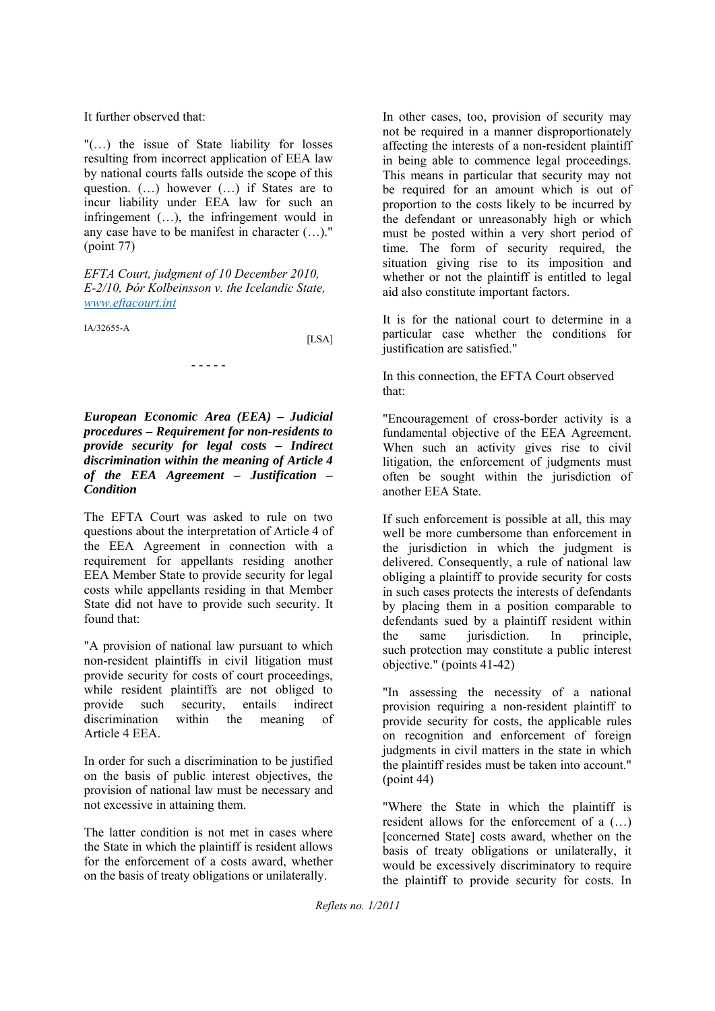It further observed that:

"(…) the issue of State liability for losses resulting from incorrect application of EEA law by national courts falls outside the scope of this question. (…) however (…) if States are to incur liability under EEA law for such an infringement (…), the infringement would in any case have to be manifest in character (…)." (point 77)

*EFTA Court, judgment of 10 December 2010, E-2/10, Þór Kolbeinsson v. the Icelandic State, www.eftacourt.int*

- - - - -

IA/32655-A

[LSA]

*European Economic Area (EEA) – Judicial procedures – Requirement for non-residents to provide security for legal costs – Indirect discrimination within the meaning of Article 4 of the EEA Agreement – Justification – Condition*

The EFTA Court was asked to rule on two questions about the interpretation of Article 4 of the EEA Agreement in connection with a requirement for appellants residing another EEA Member State to provide security for legal costs while appellants residing in that Member State did not have to provide such security. It found that:

"A provision of national law pursuant to which non-resident plaintiffs in civil litigation must provide security for costs of court proceedings, while resident plaintiffs are not obliged to provide such security, entails indirect discrimination within the meaning of Article 4 EEA.

In order for such a discrimination to be justified on the basis of public interest objectives, the provision of national law must be necessary and not excessive in attaining them.

The latter condition is not met in cases where the State in which the plaintiff is resident allows for the enforcement of a costs award, whether on the basis of treaty obligations or unilaterally.

In other cases, too, provision of security may not be required in a manner disproportionately affecting the interests of a non-resident plaintiff in being able to commence legal proceedings. This means in particular that security may not be required for an amount which is out of proportion to the costs likely to be incurred by the defendant or unreasonably high or which must be posted within a very short period of time. The form of security required, the situation giving rise to its imposition and whether or not the plaintiff is entitled to legal aid also constitute important factors.

It is for the national court to determine in a particular case whether the conditions for justification are satisfied."

In this connection, the EFTA Court observed that:

"Encouragement of cross-border activity is a fundamental objective of the EEA Agreement. When such an activity gives rise to civil litigation, the enforcement of judgments must often be sought within the jurisdiction of another EEA State.

If such enforcement is possible at all, this may well be more cumbersome than enforcement in the jurisdiction in which the judgment is delivered. Consequently, a rule of national law obliging a plaintiff to provide security for costs in such cases protects the interests of defendants by placing them in a position comparable to defendants sued by a plaintiff resident within the same jurisdiction. In principle, such protection may constitute a public interest objective." (points 41-42)

"In assessing the necessity of a national provision requiring a non-resident plaintiff to provide security for costs, the applicable rules on recognition and enforcement of foreign judgments in civil matters in the state in which the plaintiff resides must be taken into account." (point 44)

"Where the State in which the plaintiff is resident allows for the enforcement of a (…) [concerned State] costs award, whether on the basis of treaty obligations or unilaterally, it would be excessively discriminatory to require the plaintiff to provide security for costs. In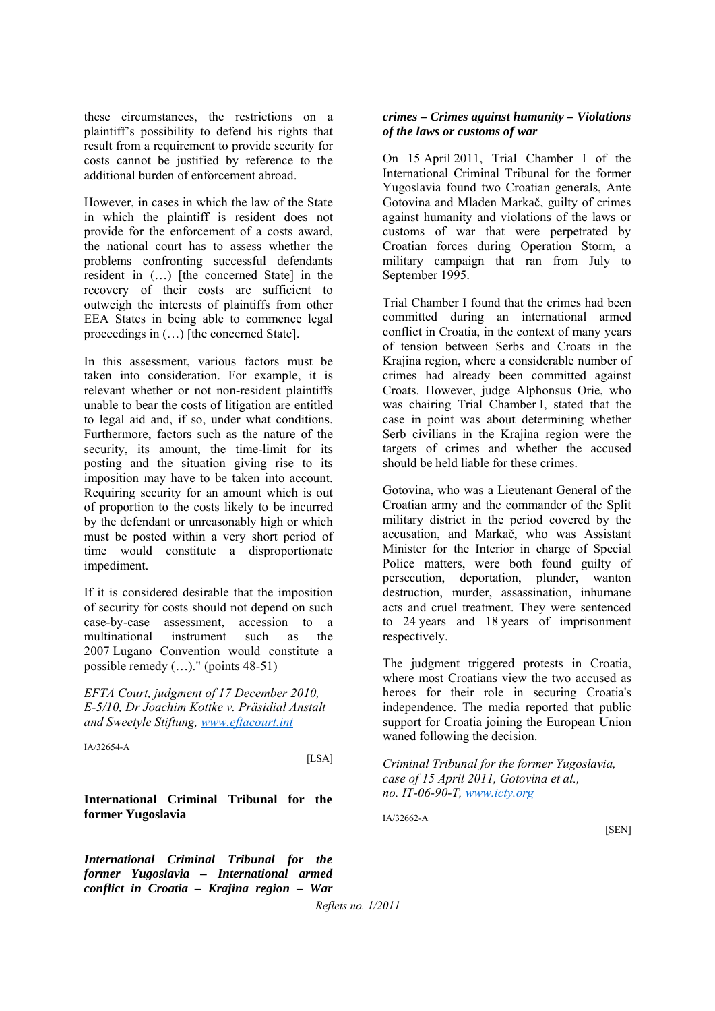these circumstances, the restrictions on a plaintiff's possibility to defend his rights that result from a requirement to provide security for costs cannot be justified by reference to the additional burden of enforcement abroad.

However, in cases in which the law of the State in which the plaintiff is resident does not provide for the enforcement of a costs award, the national court has to assess whether the problems confronting successful defendants resident in (…) [the concerned State] in the recovery of their costs are sufficient to outweigh the interests of plaintiffs from other EEA States in being able to commence legal proceedings in (…) [the concerned State].

In this assessment, various factors must be taken into consideration. For example, it is relevant whether or not non-resident plaintiffs unable to bear the costs of litigation are entitled to legal aid and, if so, under what conditions. Furthermore, factors such as the nature of the security, its amount, the time-limit for its posting and the situation giving rise to its imposition may have to be taken into account. Requiring security for an amount which is out of proportion to the costs likely to be incurred by the defendant or unreasonably high or which must be posted within a very short period of time would constitute a disproportionate impediment.

If it is considered desirable that the imposition of security for costs should not depend on such case-by-case assessment, accession to a multinational instrument such as the 2007 Lugano Convention would constitute a possible remedy (…)." (points 48-51)

*EFTA Court, judgment of 17 December 2010, E-5/10, Dr Joachim Kottke v. Präsidial Anstalt and Sweetyle Stiftung, www.eftacourt.int*

IA/32654-A

[LSA]

**International Criminal Tribunal for the former Yugoslavia**

*International Criminal Tribunal for the former Yugoslavia – International armed conflict in Croatia – Krajina region – War* 

#### *crimes – Crimes against humanity – Violations of the laws or customs of war*

On 15 April 2011, Trial Chamber I of the International Criminal Tribunal for the former Yugoslavia found two Croatian generals, Ante Gotovina and Mladen Markač, guilty of crimes against humanity and violations of the laws or customs of war that were perpetrated by Croatian forces during Operation Storm, a military campaign that ran from July to September 1995.

Trial Chamber I found that the crimes had been committed during an international armed conflict in Croatia, in the context of many years of tension between Serbs and Croats in the Krajina region, where a considerable number of crimes had already been committed against Croats. However, judge Alphonsus Orie, who was chairing Trial Chamber I, stated that the case in point was about determining whether Serb civilians in the Krajina region were the targets of crimes and whether the accused should be held liable for these crimes.

Gotovina, who was a Lieutenant General of the Croatian army and the commander of the Split military district in the period covered by the accusation, and Markač, who was Assistant Minister for the Interior in charge of Special Police matters, were both found guilty of persecution, deportation, plunder, wanton destruction, murder, assassination, inhumane acts and cruel treatment. They were sentenced to 24 years and 18 years of imprisonment respectively.

The judgment triggered protests in Croatia, where most Croatians view the two accused as heroes for their role in securing Croatia's independence. The media reported that public support for Croatia joining the European Union waned following the decision.

*Criminal Tribunal for the former Yugoslavia, case of 15 April 2011, Gotovina et al., no. IT-06-90-T, www.icty.org*

IA/32662-A

[SEN]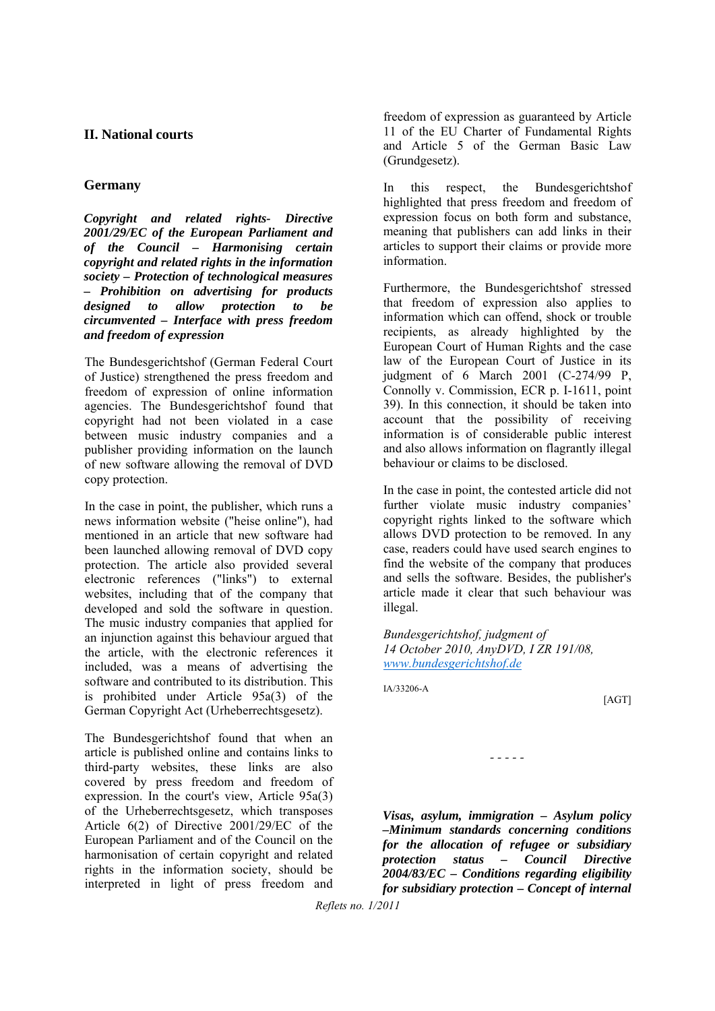#### **II. National courts**

#### **Germany**

*Copyright and related rights- Directive 2001/29/EC of the European Parliament and of the Council – Harmonising certain copyright and related rights in the information society – Protection of technological measures – Prohibition on advertising for products designed to allow protection to be circumvented – Interface with press freedom and freedom of expression*

The Bundesgerichtshof (German Federal Court of Justice) strengthened the press freedom and freedom of expression of online information agencies. The Bundesgerichtshof found that copyright had not been violated in a case between music industry companies and a publisher providing information on the launch of new software allowing the removal of DVD copy protection.

In the case in point, the publisher, which runs a news information website ("heise online"), had mentioned in an article that new software had been launched allowing removal of DVD copy protection. The article also provided several electronic references ("links") to external websites, including that of the company that developed and sold the software in question. The music industry companies that applied for an injunction against this behaviour argued that the article, with the electronic references it included, was a means of advertising the software and contributed to its distribution. This is prohibited under Article 95a(3) of the German Copyright Act (Urheberrechtsgesetz).

The Bundesgerichtshof found that when an article is published online and contains links to third-party websites, these links are also covered by press freedom and freedom of expression. In the court's view, Article 95a(3) of the Urheberrechtsgesetz, which transposes Article 6(2) of Directive 2001/29/EC of the European Parliament and of the Council on the harmonisation of certain copyright and related rights in the information society, should be interpreted in light of press freedom and

freedom of expression as guaranteed by Article 11 of the EU Charter of Fundamental Rights and Article 5 of the German Basic Law (Grundgesetz).

In this respect, the Bundesgerichtshof highlighted that press freedom and freedom of expression focus on both form and substance, meaning that publishers can add links in their articles to support their claims or provide more information.

Furthermore, the Bundesgerichtshof stressed that freedom of expression also applies to information which can offend, shock or trouble recipients, as already highlighted by the European Court of Human Rights and the case law of the European Court of Justice in its judgment of 6 March 2001 (C-274/99 P, Connolly v. Commission, ECR p. I-1611, point 39). In this connection, it should be taken into account that the possibility of receiving information is of considerable public interest and also allows information on flagrantly illegal behaviour or claims to be disclosed.

In the case in point, the contested article did not further violate music industry companies' copyright rights linked to the software which allows DVD protection to be removed. In any case, readers could have used search engines to find the website of the company that produces and sells the software. Besides, the publisher's article made it clear that such behaviour was illegal.

*Bundesgerichtshof, judgment of 14 October 2010, AnyDVD, I ZR 191/08, www.bundesgerichtshof.de*

IA/33206-A

[AGT]

*Visas, asylum, immigration – Asylum policy –Minimum standards concerning conditions for the allocation of refugee or subsidiary protection status – Council Directive 2004/83/EC – Conditions regarding eligibility for subsidiary protection – Concept of internal* 

*- - - - -*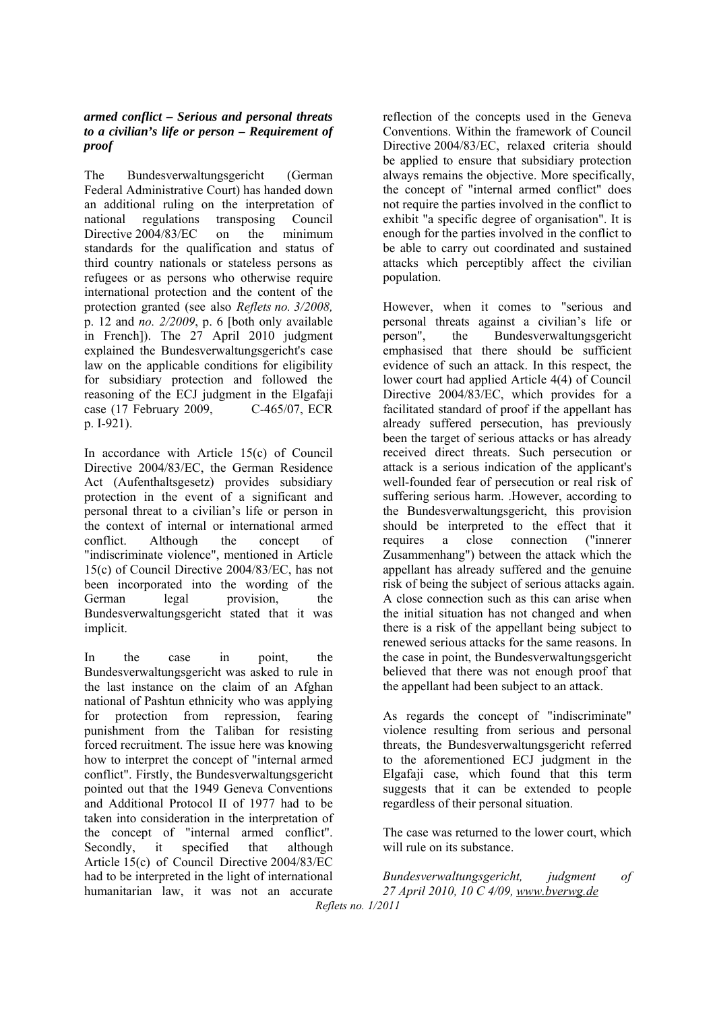#### *armed conflict – Serious and personal threats to a civilian's life or person – Requirement of proof*

The Bundesverwaltungsgericht (German Federal Administrative Court) has handed down an additional ruling on the interpretation of national regulations transposing Council Directive 2004/83/EC on the minimum standards for the qualification and status of third country nationals or stateless persons as refugees or as persons who otherwise require international protection and the content of the protection granted (see also *Reflets no. 3/2008,*  p. 12 and *no. 2/2009*, p. 6 [both only available in French]). The 27 April 2010 judgment explained the Bundesverwaltungsgericht's case law on the applicable conditions for eligibility for subsidiary protection and followed the reasoning of the ECJ judgment in the Elgafaji case (17 February 2009, C-465/07, ECR p. I-921).

In accordance with Article 15(c) of Council Directive 2004/83/EC, the German Residence Act (Aufenthaltsgesetz) provides subsidiary protection in the event of a significant and personal threat to a civilian's life or person in the context of internal or international armed conflict. Although the concept of "indiscriminate violence", mentioned in Article 15(c) of Council Directive 2004/83/EC, has not been incorporated into the wording of the German legal provision, the Bundesverwaltungsgericht stated that it was implicit.

In the case in point, the Bundesverwaltungsgericht was asked to rule in the last instance on the claim of an Afghan national of Pashtun ethnicity who was applying for protection from repression, fearing punishment from the Taliban for resisting forced recruitment. The issue here was knowing how to interpret the concept of "internal armed conflict". Firstly, the Bundesverwaltungsgericht pointed out that the 1949 Geneva Conventions and Additional Protocol II of 1977 had to be taken into consideration in the interpretation of the concept of "internal armed conflict". Secondly, it specified that although Article 15(c) of Council Directive 2004/83/EC had to be interpreted in the light of international humanitarian law, it was not an accurate

reflection of the concepts used in the Geneva Conventions. Within the framework of Council Directive 2004/83/EC, relaxed criteria should be applied to ensure that subsidiary protection always remains the objective. More specifically, the concept of "internal armed conflict" does not require the parties involved in the conflict to exhibit "a specific degree of organisation". It is enough for the parties involved in the conflict to be able to carry out coordinated and sustained attacks which perceptibly affect the civilian population.

However, when it comes to "serious and personal threats against a civilian's life or person", the Bundesverwaltungsgericht emphasised that there should be sufficient evidence of such an attack. In this respect, the lower court had applied Article 4(4) of Council Directive 2004/83/EC, which provides for a facilitated standard of proof if the appellant has already suffered persecution, has previously been the target of serious attacks or has already received direct threats. Such persecution or attack is a serious indication of the applicant's well-founded fear of persecution or real risk of suffering serious harm. .However, according to the Bundesverwaltungsgericht, this provision should be interpreted to the effect that it requires a close connection ("innerer Zusammenhang") between the attack which the appellant has already suffered and the genuine risk of being the subject of serious attacks again. A close connection such as this can arise when the initial situation has not changed and when there is a risk of the appellant being subject to renewed serious attacks for the same reasons. In the case in point, the Bundesverwaltungsgericht believed that there was not enough proof that the appellant had been subject to an attack.

As regards the concept of "indiscriminate" violence resulting from serious and personal threats, the Bundesverwaltungsgericht referred to the aforementioned ECJ judgment in the Elgafaji case, which found that this term suggests that it can be extended to people regardless of their personal situation.

The case was returned to the lower court, which will rule on its substance.

*Reflets no. 1/2011 Bundesverwaltungsgericht, judgment of 27 April 2010, 10 C 4/09, www.bverwg.de*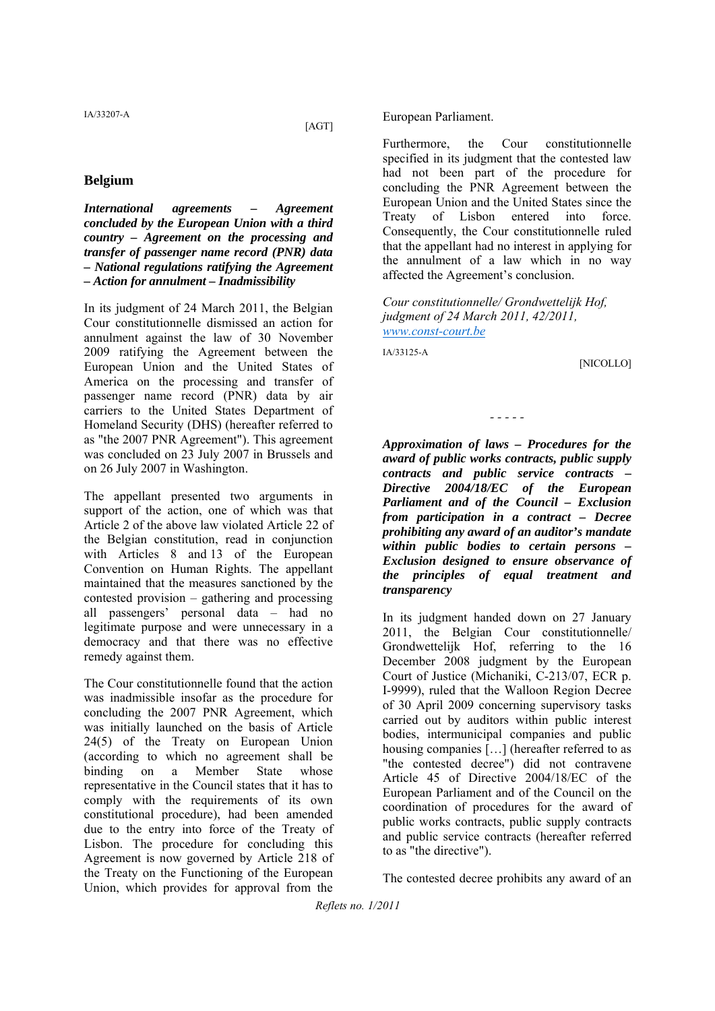[AGT]

#### **Belgium**

*International agreements – Agreement concluded by the European Union with a third country – Agreement on the processing and transfer of passenger name record (PNR) data – National regulations ratifying the Agreement – Action for annulment – Inadmissibility* 

In its judgment of 24 March 2011, the Belgian Cour constitutionnelle dismissed an action for annulment against the law of 30 November 2009 ratifying the Agreement between the European Union and the United States of America on the processing and transfer of passenger name record (PNR) data by air carriers to the United States Department of Homeland Security (DHS) (hereafter referred to as "the 2007 PNR Agreement"). This agreement was concluded on 23 July 2007 in Brussels and on 26 July 2007 in Washington.

The appellant presented two arguments in support of the action, one of which was that Article 2 of the above law violated Article 22 of the Belgian constitution, read in conjunction with Articles 8 and 13 of the European Convention on Human Rights. The appellant maintained that the measures sanctioned by the contested provision – gathering and processing all passengers' personal data – had no legitimate purpose and were unnecessary in a democracy and that there was no effective remedy against them.

The Cour constitutionnelle found that the action was inadmissible insofar as the procedure for concluding the 2007 PNR Agreement, which was initially launched on the basis of Article 24(5) of the Treaty on European Union (according to which no agreement shall be binding on a Member State whose representative in the Council states that it has to comply with the requirements of its own constitutional procedure), had been amended due to the entry into force of the Treaty of Lisbon. The procedure for concluding this Agreement is now governed by Article 218 of the Treaty on the Functioning of the European Union, which provides for approval from the European Parliament.

Furthermore, the Cour constitutionnelle specified in its judgment that the contested law had not been part of the procedure for concluding the PNR Agreement between the European Union and the United States since the Treaty of Lisbon entered into force. Consequently, the Cour constitutionnelle ruled that the appellant had no interest in applying for the annulment of a law which in no way affected the Agreement's conclusion.

*Cour constitutionnelle/ Grondwettelijk Hof, judgment of 24 March 2011, 42/2011, www.const-court.be*

IA/33125-A

[NICOLLO]

*- - - - -* 

*Approximation of laws – Procedures for the award of public works contracts, public supply contracts and public service contracts – Directive 2004/18/EC of the European Parliament and of the Council – Exclusion from participation in a contract – Decree prohibiting any award of an auditor's mandate within public bodies to certain persons – Exclusion designed to ensure observance of the principles of equal treatment and transparency* 

In its judgment handed down on 27 January 2011, the Belgian Cour constitutionnelle/ Grondwettelijk Hof, referring to the 16 December 2008 judgment by the European Court of Justice (Michaniki, C-213/07, ECR p. I-9999), ruled that the Walloon Region Decree of 30 April 2009 concerning supervisory tasks carried out by auditors within public interest bodies, intermunicipal companies and public housing companies […] (hereafter referred to as "the contested decree") did not contravene Article 45 of Directive 2004/18/EC of the European Parliament and of the Council on the coordination of procedures for the award of public works contracts, public supply contracts and public service contracts (hereafter referred to as "the directive").

The contested decree prohibits any award of an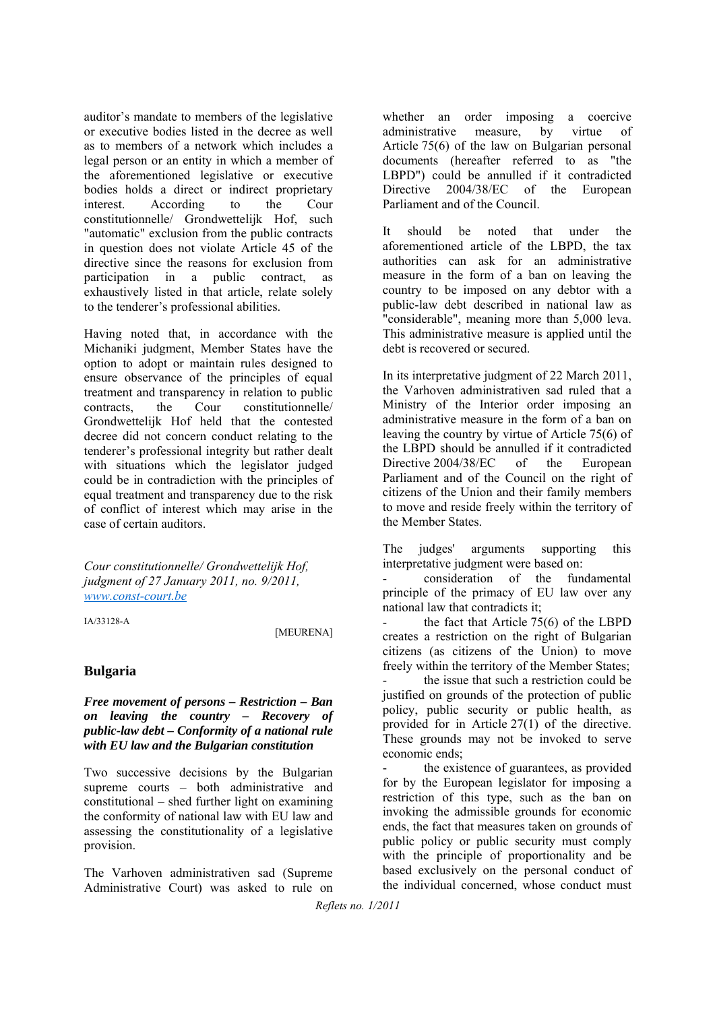auditor's mandate to members of the legislative or executive bodies listed in the decree as well as to members of a network which includes a legal person or an entity in which a member of the aforementioned legislative or executive bodies holds a direct or indirect proprietary interest. According to the Cour constitutionnelle/ Grondwettelijk Hof, such "automatic" exclusion from the public contracts in question does not violate Article 45 of the directive since the reasons for exclusion from participation in a public contract, as exhaustively listed in that article, relate solely to the tenderer's professional abilities.

Having noted that, in accordance with the Michaniki judgment, Member States have the option to adopt or maintain rules designed to ensure observance of the principles of equal treatment and transparency in relation to public contracts, the Cour constitutionnelle/ Grondwettelijk Hof held that the contested decree did not concern conduct relating to the tenderer's professional integrity but rather dealt with situations which the legislator judged could be in contradiction with the principles of equal treatment and transparency due to the risk of conflict of interest which may arise in the case of certain auditors.

*Cour constitutionnelle/ Grondwettelijk Hof, judgment of 27 January 2011, no. 9/2011, www.const-court.be*

IA/33128-A

[MEURENA]

#### **Bulgaria**

*Free movement of persons – Restriction – Ban on leaving the country – Recovery of public-law debt – Conformity of a national rule with EU law and the Bulgarian constitution*

Two successive decisions by the Bulgarian supreme courts – both administrative and constitutional – shed further light on examining the conformity of national law with EU law and assessing the constitutionality of a legislative provision.

The Varhoven administrativen sad (Supreme Administrative Court) was asked to rule on

whether an order imposing a coercive administrative measure, by virtue of Article 75(6) of the law on Bulgarian personal documents (hereafter referred to as "the LBPD") could be annulled if it contradicted Directive 2004/38/EC of the European Parliament and of the Council.

It should be noted that under the aforementioned article of the LBPD, the tax authorities can ask for an administrative measure in the form of a ban on leaving the country to be imposed on any debtor with a public-law debt described in national law as "considerable", meaning more than 5,000 leva. This administrative measure is applied until the debt is recovered or secured.

In its interpretative judgment of 22 March 2011, the Varhoven administrativen sad ruled that a Ministry of the Interior order imposing an administrative measure in the form of a ban on leaving the country by virtue of Article 75(6) of the LBPD should be annulled if it contradicted Directive 2004/38/EC of the European Parliament and of the Council on the right of citizens of the Union and their family members to move and reside freely within the territory of the Member States.

The judges' arguments supporting this interpretative judgment were based on:

- consideration of the fundamental principle of the primacy of EU law over any national law that contradicts it;

the fact that Article  $75(6)$  of the LBPD creates a restriction on the right of Bulgarian citizens (as citizens of the Union) to move freely within the territory of the Member States; the issue that such a restriction could be justified on grounds of the protection of public policy, public security or public health, as provided for in Article 27(1) of the directive. These grounds may not be invoked to serve economic ends;

the existence of guarantees, as provided for by the European legislator for imposing a restriction of this type, such as the ban on invoking the admissible grounds for economic ends, the fact that measures taken on grounds of public policy or public security must comply with the principle of proportionality and be based exclusively on the personal conduct of the individual concerned, whose conduct must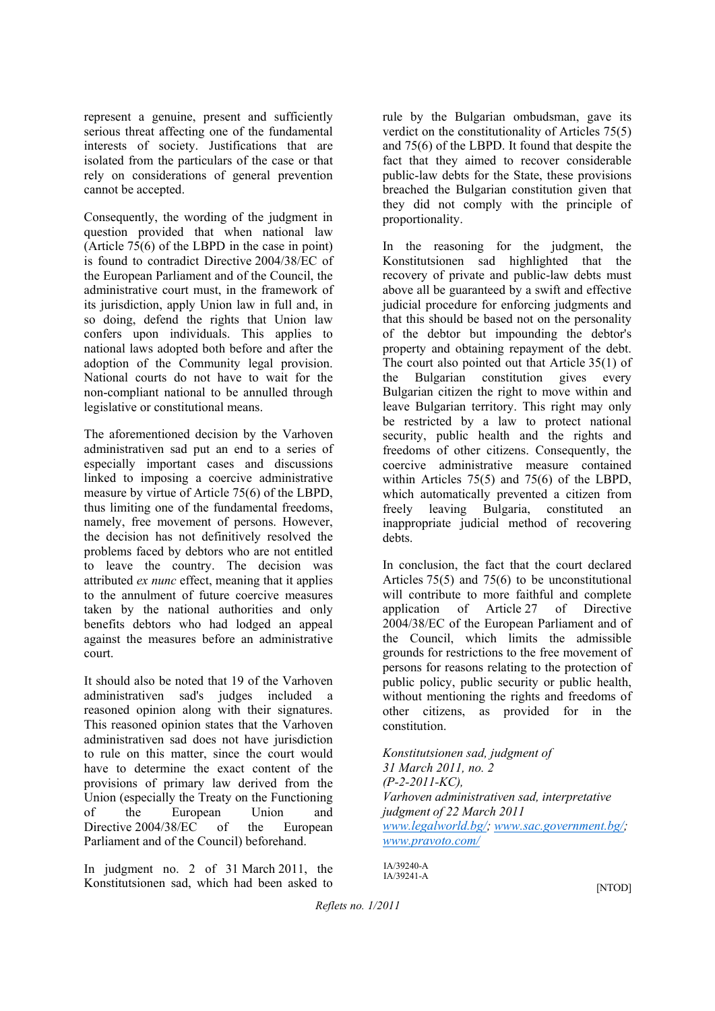represent a genuine, present and sufficiently serious threat affecting one of the fundamental interests of society. Justifications that are isolated from the particulars of the case or that rely on considerations of general prevention cannot be accepted.

Consequently, the wording of the judgment in question provided that when national law (Article 75(6) of the LBPD in the case in point) is found to contradict Directive 2004/38/EC of the European Parliament and of the Council, the administrative court must, in the framework of its jurisdiction, apply Union law in full and, in so doing, defend the rights that Union law confers upon individuals. This applies to national laws adopted both before and after the adoption of the Community legal provision. National courts do not have to wait for the non-compliant national to be annulled through legislative or constitutional means.

The aforementioned decision by the Varhoven administrativen sad put an end to a series of especially important cases and discussions linked to imposing a coercive administrative measure by virtue of Article 75(6) of the LBPD, thus limiting one of the fundamental freedoms, namely, free movement of persons. However, the decision has not definitively resolved the problems faced by debtors who are not entitled to leave the country. The decision was attributed *ex nunc* effect, meaning that it applies to the annulment of future coercive measures taken by the national authorities and only benefits debtors who had lodged an appeal against the measures before an administrative court.

It should also be noted that 19 of the Varhoven administrativen sad's judges included a reasoned opinion along with their signatures. This reasoned opinion states that the Varhoven administrativen sad does not have jurisdiction to rule on this matter, since the court would have to determine the exact content of the provisions of primary law derived from the Union (especially the Treaty on the Functioning of the European Union and Directive 2004/38/EC of the European Parliament and of the Council) beforehand.

In judgment no. 2 of 31 March 2011, the Konstitutsionen sad, which had been asked to

rule by the Bulgarian ombudsman, gave its verdict on the constitutionality of Articles 75(5) and 75(6) of the LBPD. It found that despite the fact that they aimed to recover considerable public-law debts for the State, these provisions breached the Bulgarian constitution given that they did not comply with the principle of proportionality.

In the reasoning for the judgment, the Konstitutsionen sad highlighted that the recovery of private and public-law debts must above all be guaranteed by a swift and effective judicial procedure for enforcing judgments and that this should be based not on the personality of the debtor but impounding the debtor's property and obtaining repayment of the debt. The court also pointed out that Article 35(1) of the Bulgarian constitution gives every Bulgarian citizen the right to move within and leave Bulgarian territory. This right may only be restricted by a law to protect national security, public health and the rights and freedoms of other citizens. Consequently, the coercive administrative measure contained within Articles 75(5) and 75(6) of the LBPD, which automatically prevented a citizen from freely leaving Bulgaria, constituted an inappropriate judicial method of recovering debts.

In conclusion, the fact that the court declared Articles 75(5) and 75(6) to be unconstitutional will contribute to more faithful and complete application of Article 27 of Directive 2004/38/EC of the European Parliament and of the Council, which limits the admissible grounds for restrictions to the free movement of persons for reasons relating to the protection of public policy, public security or public health, without mentioning the rights and freedoms of other citizens, as provided for in the constitution.

*Konstitutsionen sad, judgment of 31 March 2011, no. 2 (P-2-2011-KC), Varhoven administrativen sad, interpretative judgment of 22 March 2011 www.legalworld.bg/; www.sac.government.bg/; www.pravoto.com/*

IA/39240-A IA/39241-A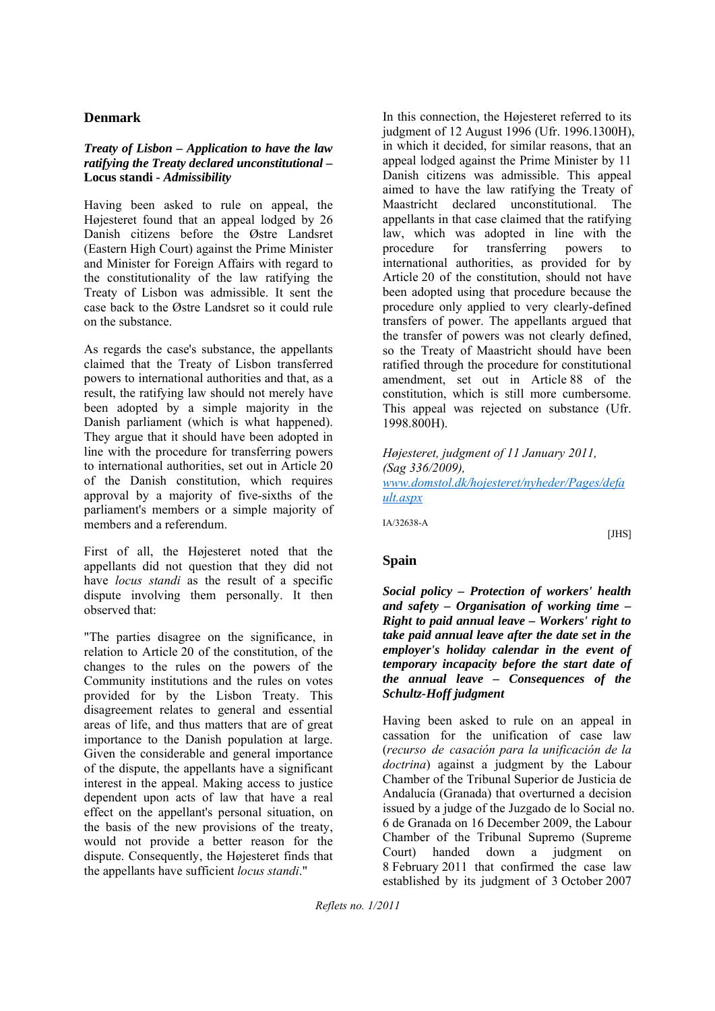### **Denmark**

#### *Treaty of Lisbon – Application to have the law ratifying the Treaty declared unconstitutional –*  **Locus standi** *- Admissibility*

Having been asked to rule on appeal, the Højesteret found that an appeal lodged by 26 Danish citizens before the Østre Landsret (Eastern High Court) against the Prime Minister and Minister for Foreign Affairs with regard to the constitutionality of the law ratifying the Treaty of Lisbon was admissible. It sent the case back to the Østre Landsret so it could rule on the substance.

As regards the case's substance, the appellants claimed that the Treaty of Lisbon transferred powers to international authorities and that, as a result, the ratifying law should not merely have been adopted by a simple majority in the Danish parliament (which is what happened). They argue that it should have been adopted in line with the procedure for transferring powers to international authorities, set out in Article 20 of the Danish constitution, which requires approval by a majority of five-sixths of the parliament's members or a simple majority of members and a referendum.

First of all, the Højesteret noted that the appellants did not question that they did not have *locus standi* as the result of a specific dispute involving them personally. It then observed that:

"The parties disagree on the significance, in relation to Article 20 of the constitution, of the changes to the rules on the powers of the Community institutions and the rules on votes provided for by the Lisbon Treaty. This disagreement relates to general and essential areas of life, and thus matters that are of great importance to the Danish population at large. Given the considerable and general importance of the dispute, the appellants have a significant interest in the appeal. Making access to justice dependent upon acts of law that have a real effect on the appellant's personal situation, on the basis of the new provisions of the treaty, would not provide a better reason for the dispute. Consequently, the Højesteret finds that the appellants have sufficient *locus standi*."

In this connection, the Højesteret referred to its judgment of 12 August 1996 (Ufr. 1996.1300H), in which it decided, for similar reasons, that an appeal lodged against the Prime Minister by 11 Danish citizens was admissible. This appeal aimed to have the law ratifying the Treaty of Maastricht declared unconstitutional. The appellants in that case claimed that the ratifying law, which was adopted in line with the procedure for transferring powers to international authorities, as provided for by Article 20 of the constitution, should not have been adopted using that procedure because the procedure only applied to very clearly-defined transfers of power. The appellants argued that the transfer of powers was not clearly defined, so the Treaty of Maastricht should have been ratified through the procedure for constitutional amendment, set out in Article 88 of the constitution, which is still more cumbersome. This appeal was rejected on substance (Ufr. 1998.800H).

*Højesteret, judgment of 11 January 2011, (Sag 336/2009), www.domstol.dk/hojesteret/nyheder/Pages/defa ult.aspx*

IA/32638-A

[JHS]

## **Spain**

*Social policy – Protection of workers' health and safety – Organisation of working time – Right to paid annual leave – Workers' right to take paid annual leave after the date set in the employer's holiday calendar in the event of temporary incapacity before the start date of the annual leave – Consequences of the Schultz-Hoff judgment*

Having been asked to rule on an appeal in cassation for the unification of case law (*recurso de casación para la unificación de la doctrina*) against a judgment by the Labour Chamber of the Tribunal Superior de Justicia de Andalucía (Granada) that overturned a decision issued by a judge of the Juzgado de lo Social no. 6 de Granada on 16 December 2009, the Labour Chamber of the Tribunal Supremo (Supreme Court) handed down a judgment on 8 February 2011 that confirmed the case law established by its judgment of 3 October 2007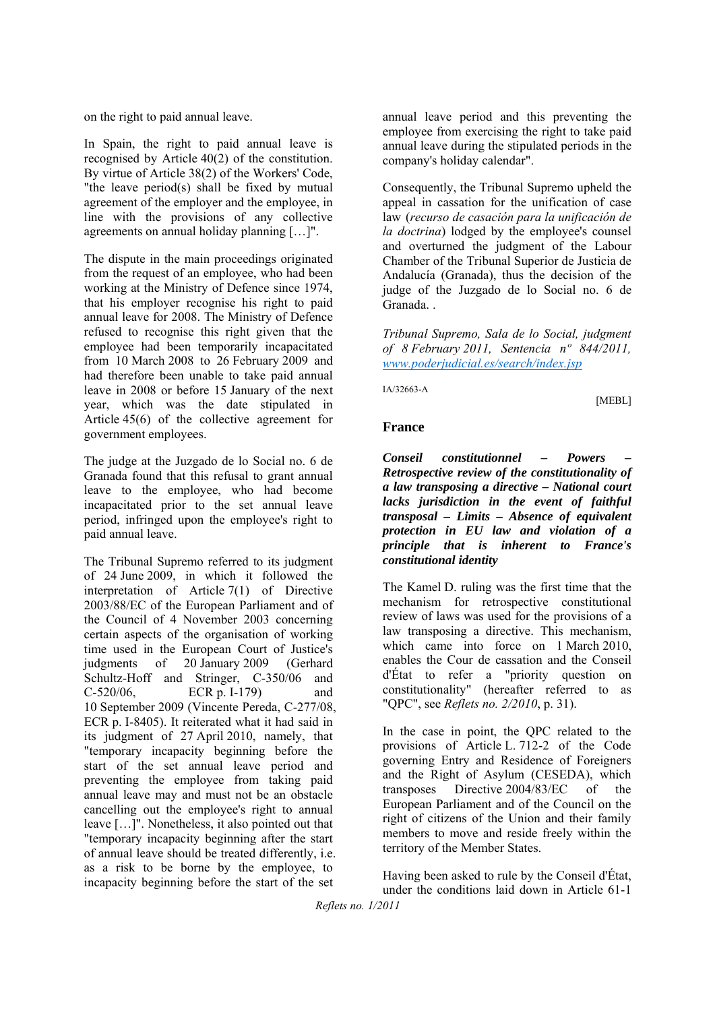on the right to paid annual leave.

In Spain, the right to paid annual leave is recognised by Article 40(2) of the constitution. By virtue of Article 38(2) of the Workers' Code, "the leave period(s) shall be fixed by mutual agreement of the employer and the employee, in line with the provisions of any collective agreements on annual holiday planning […]".

The dispute in the main proceedings originated from the request of an employee, who had been working at the Ministry of Defence since 1974, that his employer recognise his right to paid annual leave for 2008. The Ministry of Defence refused to recognise this right given that the employee had been temporarily incapacitated from 10 March 2008 to 26 February 2009 and had therefore been unable to take paid annual leave in 2008 or before 15 January of the next year, which was the date stipulated in Article 45(6) of the collective agreement for government employees.

The judge at the Juzgado de lo Social no. 6 de Granada found that this refusal to grant annual leave to the employee, who had become incapacitated prior to the set annual leave period, infringed upon the employee's right to paid annual leave.

The Tribunal Supremo referred to its judgment of 24 June 2009, in which it followed the interpretation of Article 7(1) of Directive 2003/88/EC of the European Parliament and of the Council of 4 November 2003 concerning certain aspects of the organisation of working time used in the European Court of Justice's judgments of 20 January 2009 (Gerhard Schultz-Hoff and Stringer, C-350/06 and C-520/06, ECR p. I-179) and 10 September 2009 (Vincente Pereda, C-277/08, ECR p. I-8405). It reiterated what it had said in its judgment of 27 April 2010, namely, that "temporary incapacity beginning before the start of the set annual leave period and preventing the employee from taking paid annual leave may and must not be an obstacle cancelling out the employee's right to annual leave […]". Nonetheless, it also pointed out that "temporary incapacity beginning after the start of annual leave should be treated differently, i.e. as a risk to be borne by the employee, to incapacity beginning before the start of the set

annual leave period and this preventing the employee from exercising the right to take paid annual leave during the stipulated periods in the company's holiday calendar".

Consequently, the Tribunal Supremo upheld the appeal in cassation for the unification of case law (*recurso de casación para la unificación de la doctrina*) lodged by the employee's counsel and overturned the judgment of the Labour Chamber of the Tribunal Superior de Justicia de Andalucía (Granada), thus the decision of the judge of the Juzgado de lo Social no. 6 de Granada. .

*Tribunal Supremo, Sala de lo Social, judgment of 8 February 2011, Sentencia nº 844/2011, www.poderjudicial.es/search/index.jsp*

IA/32663-A

[MEBL]

#### **France**

*Conseil constitutionnel – Powers – Retrospective review of the constitutionality of a law transposing a directive – National court lacks jurisdiction in the event of faithful transposal – Limits – Absence of equivalent protection in EU law and violation of a principle that is inherent to France's constitutional identity* 

The Kamel D. ruling was the first time that the mechanism for retrospective constitutional review of laws was used for the provisions of a law transposing a directive. This mechanism, which came into force on 1 March 2010, enables the Cour de cassation and the Conseil d'État to refer a "priority question on constitutionality" (hereafter referred to as "QPC", see *Reflets no. 2/2010*, p. 31).

In the case in point, the QPC related to the provisions of Article L. 712-2 of the Code governing Entry and Residence of Foreigners and the Right of Asylum (CESEDA), which transposes Directive 2004/83/EC of the European Parliament and of the Council on the right of citizens of the Union and their family members to move and reside freely within the territory of the Member States.

Having been asked to rule by the Conseil d'État, under the conditions laid down in Article 61-1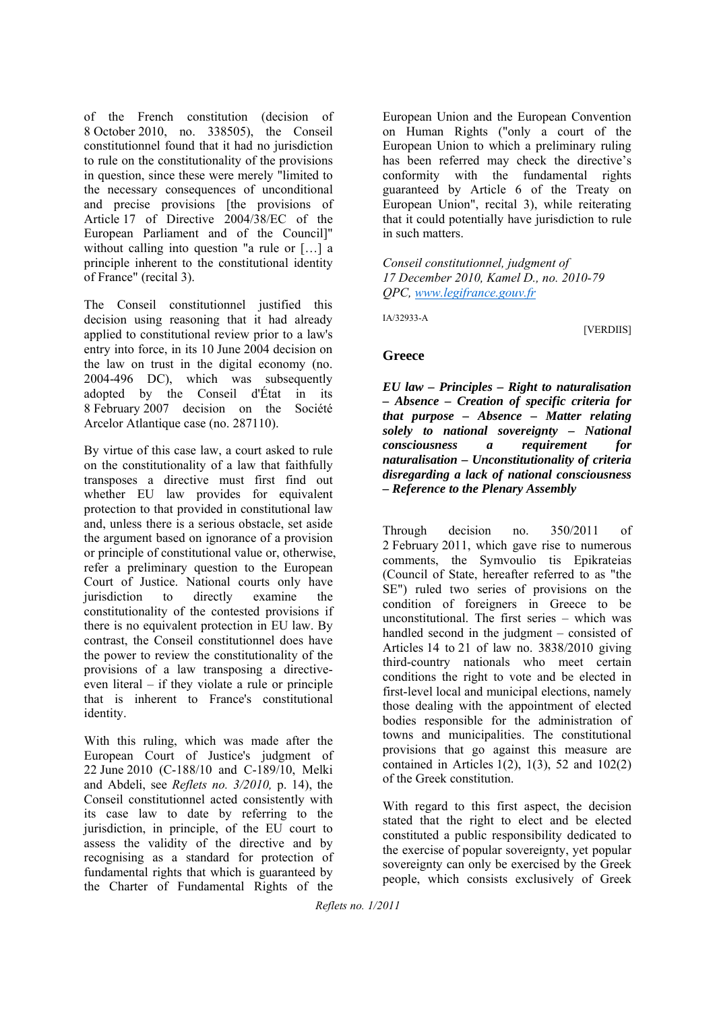of the French constitution (decision of 8 October 2010, no. 338505), the Conseil constitutionnel found that it had no jurisdiction to rule on the constitutionality of the provisions in question, since these were merely "limited to the necessary consequences of unconditional and precise provisions [the provisions of Article 17 of Directive 2004/38/EC of the European Parliament and of the Council]" without calling into question "a rule or […] a principle inherent to the constitutional identity of France" (recital 3).

The Conseil constitutionnel justified this decision using reasoning that it had already applied to constitutional review prior to a law's entry into force, in its 10 June 2004 decision on the law on trust in the digital economy (no. 2004-496 DC), which was subsequently adopted by the Conseil d'État in its 8 February 2007 decision on the Société Arcelor Atlantique case (no. 287110).

By virtue of this case law, a court asked to rule on the constitutionality of a law that faithfully transposes a directive must first find out whether EU law provides for equivalent protection to that provided in constitutional law and, unless there is a serious obstacle, set aside the argument based on ignorance of a provision or principle of constitutional value or, otherwise, refer a preliminary question to the European Court of Justice. National courts only have jurisdiction to directly examine the constitutionality of the contested provisions if there is no equivalent protection in EU law. By contrast, the Conseil constitutionnel does have the power to review the constitutionality of the provisions of a law transposing a directiveeven literal – if they violate a rule or principle that is inherent to France's constitutional identity.

With this ruling, which was made after the European Court of Justice's judgment of 22 June 2010 (C-188/10 and C-189/10, Melki and Abdeli, see *Reflets no. 3/2010,* p. 14), the Conseil constitutionnel acted consistently with its case law to date by referring to the jurisdiction, in principle, of the EU court to assess the validity of the directive and by recognising as a standard for protection of fundamental rights that which is guaranteed by the Charter of Fundamental Rights of the

European Union and the European Convention on Human Rights ("only a court of the European Union to which a preliminary ruling has been referred may check the directive's conformity with the fundamental rights guaranteed by Article 6 of the Treaty on European Union", recital 3), while reiterating that it could potentially have jurisdiction to rule in such matters.

*Conseil constitutionnel, judgment of 17 December 2010, Kamel D., no. 2010-79 QPC, www.legifrance.gouv.fr*

IA/32933-A

[VERDIIS]

### **Greece**

*EU law – Principles – Right to naturalisation – Absence – Creation of specific criteria for that purpose – Absence – Matter relating solely to national sovereignty – National consciousness a requirement for naturalisation – Unconstitutionality of criteria disregarding a lack of national consciousness – Reference to the Plenary Assembly*

Through decision no. 350/2011 of 2 February 2011, which gave rise to numerous comments, the Symvoulio tis Epikrateias (Council of State, hereafter referred to as "the SE") ruled two series of provisions on the condition of foreigners in Greece to be unconstitutional. The first series – which was handled second in the judgment – consisted of Articles 14 to 21 of law no. 3838/2010 giving third-country nationals who meet certain conditions the right to vote and be elected in first-level local and municipal elections, namely those dealing with the appointment of elected bodies responsible for the administration of towns and municipalities. The constitutional provisions that go against this measure are contained in Articles  $1(2)$ ,  $1(3)$ , 52 and  $102(2)$ of the Greek constitution.

With regard to this first aspect, the decision stated that the right to elect and be elected constituted a public responsibility dedicated to the exercise of popular sovereignty, yet popular sovereignty can only be exercised by the Greek people, which consists exclusively of Greek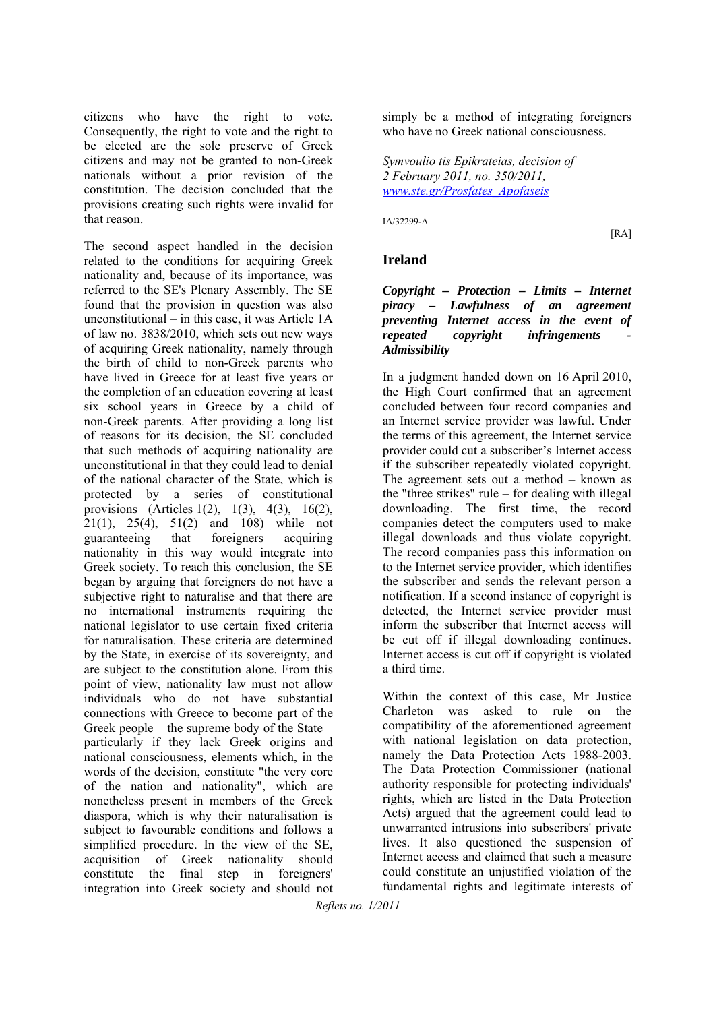citizens who have the right to vote. Consequently, the right to vote and the right to be elected are the sole preserve of Greek citizens and may not be granted to non-Greek nationals without a prior revision of the constitution. The decision concluded that the provisions creating such rights were invalid for that reason.

The second aspect handled in the decision related to the conditions for acquiring Greek nationality and, because of its importance, was referred to the SE's Plenary Assembly. The SE found that the provision in question was also unconstitutional – in this case, it was Article 1A of law no. 3838/2010, which sets out new ways of acquiring Greek nationality, namely through the birth of child to non-Greek parents who have lived in Greece for at least five years or the completion of an education covering at least six school years in Greece by a child of non-Greek parents. After providing a long list of reasons for its decision, the SE concluded that such methods of acquiring nationality are unconstitutional in that they could lead to denial of the national character of the State, which is protected by a series of constitutional provisions (Articles 1(2), 1(3), 4(3), 16(2), 21(1), 25(4), 51(2) and 108) while not guaranteeing that foreigners acquiring nationality in this way would integrate into Greek society. To reach this conclusion, the SE began by arguing that foreigners do not have a subjective right to naturalise and that there are no international instruments requiring the national legislator to use certain fixed criteria for naturalisation. These criteria are determined by the State, in exercise of its sovereignty, and are subject to the constitution alone. From this point of view, nationality law must not allow individuals who do not have substantial connections with Greece to become part of the Greek people – the supreme body of the State – particularly if they lack Greek origins and national consciousness, elements which, in the words of the decision, constitute "the very core of the nation and nationality", which are nonetheless present in members of the Greek diaspora, which is why their naturalisation is subject to favourable conditions and follows a simplified procedure. In the view of the SE, acquisition of Greek nationality should constitute the final step in foreigners' integration into Greek society and should not simply be a method of integrating foreigners who have no Greek national consciousness.

*Symvoulio tis Epikrateias, decision of 2 February 2011, no. 350/2011, www.ste.gr/Prosfates\_Apofaseis*

IA/32299-A

[RA]

### **Ireland**

#### *Copyright – Protection – Limits – Internet piracy – Lawfulness of an agreement preventing Internet access in the event of repeated copyright infringements Admissibility*

In a judgment handed down on 16 April 2010, the High Court confirmed that an agreement concluded between four record companies and an Internet service provider was lawful. Under the terms of this agreement, the Internet service provider could cut a subscriber's Internet access if the subscriber repeatedly violated copyright. The agreement sets out a method – known as the "three strikes" rule – for dealing with illegal downloading. The first time, the record companies detect the computers used to make illegal downloads and thus violate copyright. The record companies pass this information on to the Internet service provider, which identifies the subscriber and sends the relevant person a notification. If a second instance of copyright is detected, the Internet service provider must inform the subscriber that Internet access will be cut off if illegal downloading continues. Internet access is cut off if copyright is violated a third time.

Within the context of this case, Mr Justice Charleton was asked to rule on the compatibility of the aforementioned agreement with national legislation on data protection, namely the Data Protection Acts 1988-2003. The Data Protection Commissioner (national authority responsible for protecting individuals' rights, which are listed in the Data Protection Acts) argued that the agreement could lead to unwarranted intrusions into subscribers' private lives. It also questioned the suspension of Internet access and claimed that such a measure could constitute an unjustified violation of the fundamental rights and legitimate interests of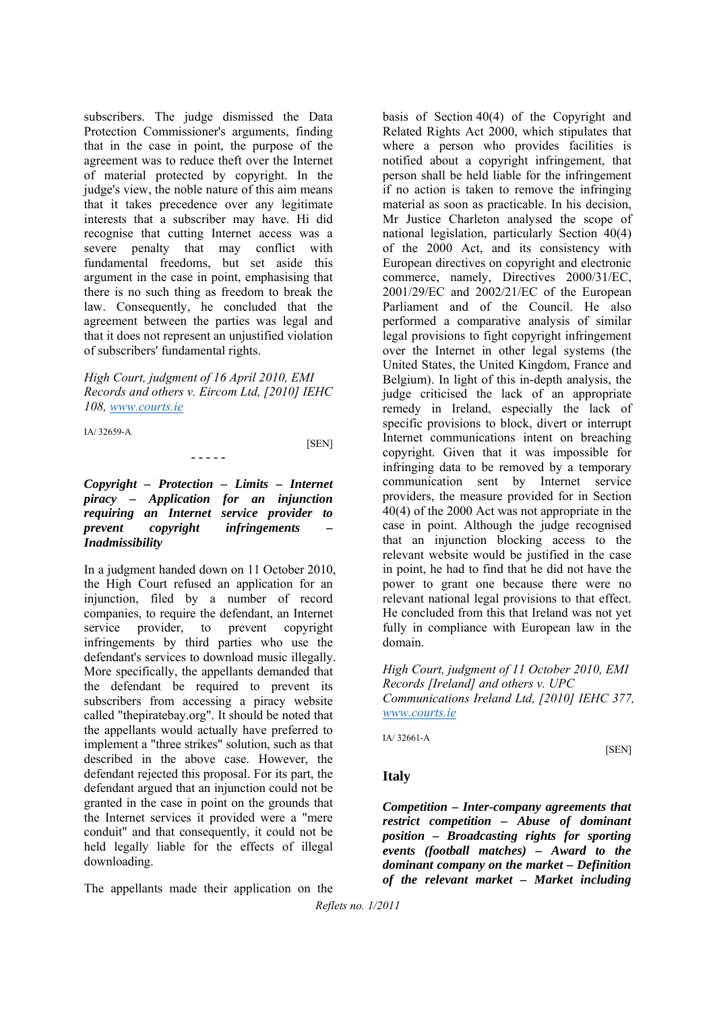subscribers. The judge dismissed the Data Protection Commissioner's arguments, finding that in the case in point, the purpose of the agreement was to reduce theft over the Internet of material protected by copyright. In the judge's view, the noble nature of this aim means that it takes precedence over any legitimate interests that a subscriber may have. Hi did recognise that cutting Internet access was a severe penalty that may conflict with fundamental freedoms, but set aside this argument in the case in point, emphasising that there is no such thing as freedom to break the law. Consequently, he concluded that the agreement between the parties was legal and that it does not represent an unjustified violation of subscribers' fundamental rights.

*High Court, judgment of 16 April 2010, EMI Records and others v. Eircom Ltd, [2010] IEHC 108, www.courts.ie*

IA/ 32659-A

**[SEN]** 

*Copyright – Protection – Limits – Internet piracy – Application for an injunction requiring an Internet service provider to prevent copyright infringements – Inadmissibility* 

**- - - - -**

In a judgment handed down on 11 October 2010, the High Court refused an application for an injunction, filed by a number of record companies, to require the defendant, an Internet service provider, to prevent copyright infringements by third parties who use the defendant's services to download music illegally. More specifically, the appellants demanded that the defendant be required to prevent its subscribers from accessing a piracy website called "thepiratebay.org". It should be noted that the appellants would actually have preferred to implement a "three strikes" solution, such as that described in the above case. However, the defendant rejected this proposal. For its part, the defendant argued that an injunction could not be granted in the case in point on the grounds that the Internet services it provided were a "mere conduit" and that consequently, it could not be held legally liable for the effects of illegal downloading.

The appellants made their application on the

basis of Section 40(4) of the Copyright and Related Rights Act 2000, which stipulates that where a person who provides facilities is notified about a copyright infringement, that person shall be held liable for the infringement if no action is taken to remove the infringing material as soon as practicable. In his decision, Mr Justice Charleton analysed the scope of national legislation, particularly Section 40(4) of the 2000 Act, and its consistency with European directives on copyright and electronic commerce, namely, Directives 2000/31/EC, 2001/29/EC and 2002/21/EC of the European Parliament and of the Council. He also performed a comparative analysis of similar legal provisions to fight copyright infringement over the Internet in other legal systems (the United States, the United Kingdom, France and Belgium). In light of this in-depth analysis, the judge criticised the lack of an appropriate remedy in Ireland, especially the lack of specific provisions to block, divert or interrupt Internet communications intent on breaching copyright. Given that it was impossible for infringing data to be removed by a temporary communication sent by Internet service providers, the measure provided for in Section 40(4) of the 2000 Act was not appropriate in the case in point. Although the judge recognised that an injunction blocking access to the relevant website would be justified in the case in point, he had to find that he did not have the power to grant one because there were no relevant national legal provisions to that effect. He concluded from this that Ireland was not yet fully in compliance with European law in the domain.

*High Court, judgment of 11 October 2010, EMI Records [Ireland] and others v. UPC Communications Ireland Ltd, [2010] IEHC 377, www.courts.ie*

[SEN]

IA/ 32661-A

#### **Italy**

*Competition – Inter-company agreements that restrict competition – Abuse of dominant position – Broadcasting rights for sporting events (football matches) – Award to the dominant company on the market – Definition of the relevant market – Market including*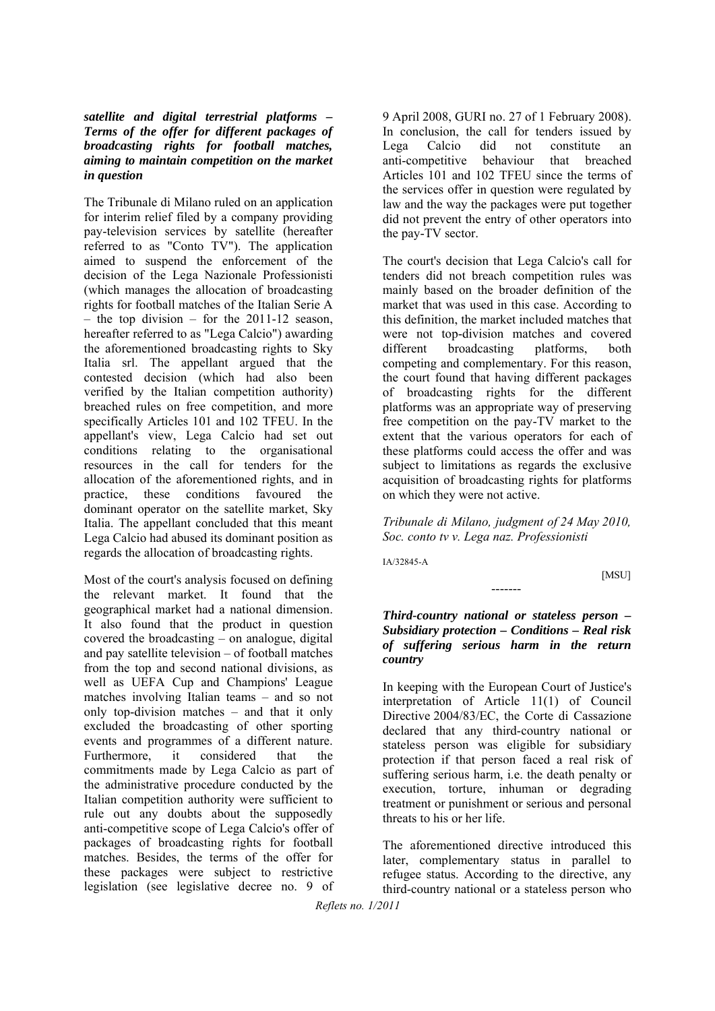#### *satellite and digital terrestrial platforms – Terms of the offer for different packages of broadcasting rights for football matches, aiming to maintain competition on the market in question*

The Tribunale di Milano ruled on an application for interim relief filed by a company providing pay-television services by satellite (hereafter referred to as "Conto TV"). The application aimed to suspend the enforcement of the decision of the Lega Nazionale Professionisti (which manages the allocation of broadcasting rights for football matches of the Italian Serie A – the top division – for the 2011-12 season, hereafter referred to as "Lega Calcio") awarding the aforementioned broadcasting rights to Sky Italia srl. The appellant argued that the contested decision (which had also been verified by the Italian competition authority) breached rules on free competition, and more specifically Articles 101 and 102 TFEU. In the appellant's view, Lega Calcio had set out conditions relating to the organisational resources in the call for tenders for the allocation of the aforementioned rights, and in practice, these conditions favoured the dominant operator on the satellite market, Sky Italia. The appellant concluded that this meant Lega Calcio had abused its dominant position as regards the allocation of broadcasting rights.

Most of the court's analysis focused on defining the relevant market. It found that the geographical market had a national dimension. It also found that the product in question covered the broadcasting – on analogue, digital and pay satellite television – of football matches from the top and second national divisions, as well as UEFA Cup and Champions' League matches involving Italian teams – and so not only top-division matches – and that it only excluded the broadcasting of other sporting events and programmes of a different nature. Furthermore, it considered that the commitments made by Lega Calcio as part of the administrative procedure conducted by the Italian competition authority were sufficient to rule out any doubts about the supposedly anti-competitive scope of Lega Calcio's offer of packages of broadcasting rights for football matches. Besides, the terms of the offer for these packages were subject to restrictive legislation (see legislative decree no. 9 of

9 April 2008, GURI no. 27 of 1 February 2008). In conclusion, the call for tenders issued by Lega Calcio did not constitute an anti-competitive behaviour that breached Articles 101 and 102 TFEU since the terms of the services offer in question were regulated by law and the way the packages were put together did not prevent the entry of other operators into the pay-TV sector.

The court's decision that Lega Calcio's call for tenders did not breach competition rules was mainly based on the broader definition of the market that was used in this case. According to this definition, the market included matches that were not top-division matches and covered different broadcasting platforms, both competing and complementary. For this reason, the court found that having different packages of broadcasting rights for the different platforms was an appropriate way of preserving free competition on the pay-TV market to the extent that the various operators for each of these platforms could access the offer and was subject to limitations as regards the exclusive acquisition of broadcasting rights for platforms on which they were not active.

*Tribunale di Milano, judgment of 24 May 2010, Soc. conto tv v. Lega naz. Professionisti*

IA/32845-A

[MSU]

#### *Third-country national or stateless person – Subsidiary protection – Conditions – Real risk of suffering serious harm in the return country*

-------

In keeping with the European Court of Justice's interpretation of Article 11(1) of Council Directive 2004/83/EC, the Corte di Cassazione declared that any third-country national or stateless person was eligible for subsidiary protection if that person faced a real risk of suffering serious harm, i.e. the death penalty or execution, torture, inhuman or degrading treatment or punishment or serious and personal threats to his or her life.

The aforementioned directive introduced this later, complementary status in parallel to refugee status. According to the directive, any third-country national or a stateless person who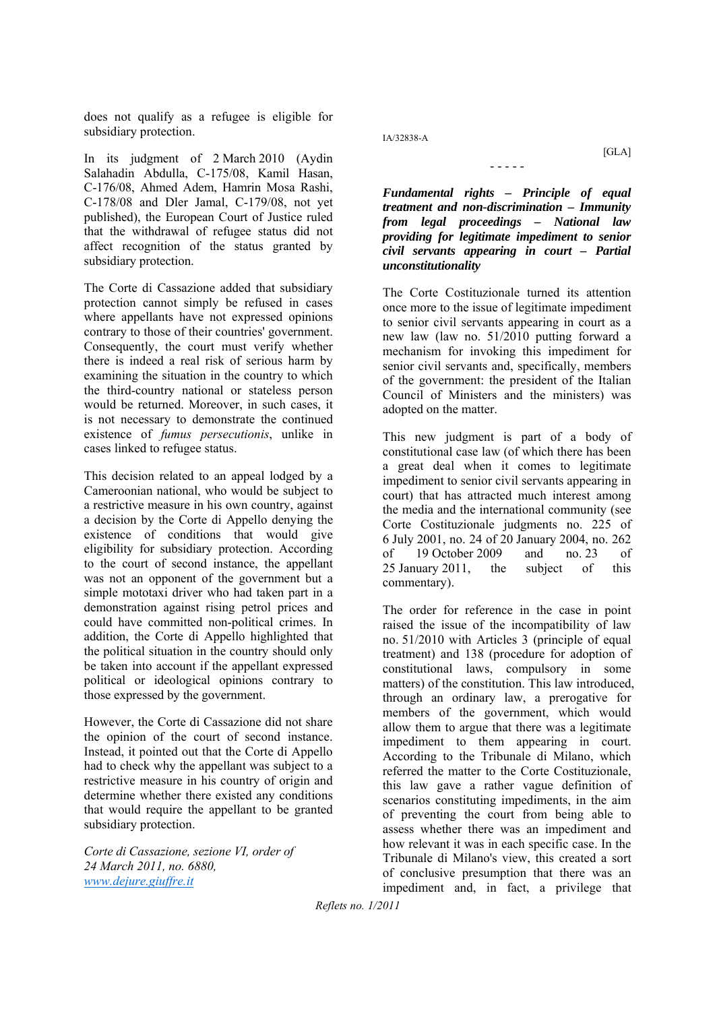does not qualify as a refugee is eligible for subsidiary protection.

In its judgment of 2 March 2010 (Aydin Salahadin Abdulla, C-175/08, Kamil Hasan, C-176/08, Ahmed Adem, Hamrin Mosa Rashi, C-178/08 and Dler Jamal, C-179/08, not yet published), the European Court of Justice ruled that the withdrawal of refugee status did not affect recognition of the status granted by subsidiary protection.

The Corte di Cassazione added that subsidiary protection cannot simply be refused in cases where appellants have not expressed opinions contrary to those of their countries' government. Consequently, the court must verify whether there is indeed a real risk of serious harm by examining the situation in the country to which the third-country national or stateless person would be returned. Moreover, in such cases, it is not necessary to demonstrate the continued existence of *fumus persecutionis*, unlike in cases linked to refugee status.

This decision related to an appeal lodged by a Cameroonian national, who would be subject to a restrictive measure in his own country, against a decision by the Corte di Appello denying the existence of conditions that would give eligibility for subsidiary protection. According to the court of second instance, the appellant was not an opponent of the government but a simple mototaxi driver who had taken part in a demonstration against rising petrol prices and could have committed non-political crimes. In addition, the Corte di Appello highlighted that the political situation in the country should only be taken into account if the appellant expressed political or ideological opinions contrary to those expressed by the government.

However, the Corte di Cassazione did not share the opinion of the court of second instance. Instead, it pointed out that the Corte di Appello had to check why the appellant was subject to a restrictive measure in his country of origin and determine whether there existed any conditions that would require the appellant to be granted subsidiary protection.

*Corte di Cassazione, sezione VI, order of 24 March 2011, no. 6880, www.dejure.giuffre.it*

IA/32838-A

[GLA]

*Fundamental rights – Principle of equal treatment and non-discrimination – Immunity from legal proceedings – National law providing for legitimate impediment to senior civil servants appearing in court – Partial unconstitutionality*

- - - - -

The Corte Costituzionale turned its attention once more to the issue of legitimate impediment to senior civil servants appearing in court as a new law (law no. 51/2010 putting forward a mechanism for invoking this impediment for senior civil servants and, specifically, members of the government: the president of the Italian Council of Ministers and the ministers) was adopted on the matter.

This new judgment is part of a body of constitutional case law (of which there has been a great deal when it comes to legitimate impediment to senior civil servants appearing in court) that has attracted much interest among the media and the international community (see Corte Costituzionale judgments no. 225 of 6 July 2001, no. 24 of 20 January 2004, no. 262 of 19 October 2009 and no. 23 of 25 January 2011, the subject of this commentary).

The order for reference in the case in point raised the issue of the incompatibility of law no. 51/2010 with Articles 3 (principle of equal treatment) and 138 (procedure for adoption of constitutional laws, compulsory in some matters) of the constitution. This law introduced, through an ordinary law, a prerogative for members of the government, which would allow them to argue that there was a legitimate impediment to them appearing in court. According to the Tribunale di Milano, which referred the matter to the Corte Costituzionale, this law gave a rather vague definition of scenarios constituting impediments, in the aim of preventing the court from being able to assess whether there was an impediment and how relevant it was in each specific case. In the Tribunale di Milano's view, this created a sort of conclusive presumption that there was an impediment and, in fact, a privilege that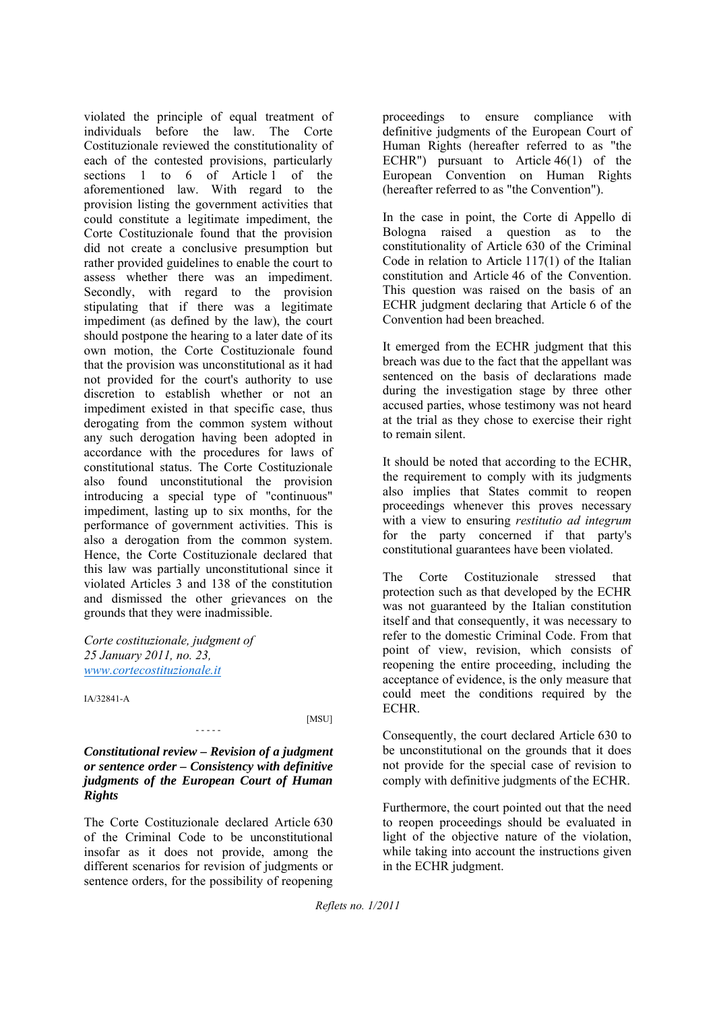violated the principle of equal treatment of individuals before the law. The Corte Costituzionale reviewed the constitutionality of each of the contested provisions, particularly sections 1 to 6 of Article 1 of the aforementioned law. With regard to the provision listing the government activities that could constitute a legitimate impediment, the Corte Costituzionale found that the provision did not create a conclusive presumption but rather provided guidelines to enable the court to assess whether there was an impediment. Secondly, with regard to the provision stipulating that if there was a legitimate impediment (as defined by the law), the court should postpone the hearing to a later date of its own motion, the Corte Costituzionale found that the provision was unconstitutional as it had not provided for the court's authority to use discretion to establish whether or not an impediment existed in that specific case, thus derogating from the common system without any such derogation having been adopted in accordance with the procedures for laws of constitutional status. The Corte Costituzionale also found unconstitutional the provision introducing a special type of "continuous" impediment, lasting up to six months, for the performance of government activities. This is also a derogation from the common system. Hence, the Corte Costituzionale declared that this law was partially unconstitutional since it violated Articles 3 and 138 of the constitution and dismissed the other grievances on the grounds that they were inadmissible.

*Corte costituzionale, judgment of 25 January 2011, no. 23, www.cortecostituzionale.it* 

IA/32841-A

[MSU]

#### *Constitutional review – Revision of a judgment or sentence order – Consistency with definitive judgments of the European Court of Human Rights*

- - - - -

The Corte Costituzionale declared Article 630 of the Criminal Code to be unconstitutional insofar as it does not provide, among the different scenarios for revision of judgments or sentence orders, for the possibility of reopening

proceedings to ensure compliance with definitive judgments of the European Court of Human Rights (hereafter referred to as "the ECHR") pursuant to Article 46(1) of the European Convention on Human Rights (hereafter referred to as "the Convention").

In the case in point, the Corte di Appello di Bologna raised a question as to the constitutionality of Article 630 of the Criminal Code in relation to Article 117(1) of the Italian constitution and Article 46 of the Convention. This question was raised on the basis of an ECHR judgment declaring that Article 6 of the Convention had been breached.

It emerged from the ECHR judgment that this breach was due to the fact that the appellant was sentenced on the basis of declarations made during the investigation stage by three other accused parties, whose testimony was not heard at the trial as they chose to exercise their right to remain silent.

It should be noted that according to the ECHR, the requirement to comply with its judgments also implies that States commit to reopen proceedings whenever this proves necessary with a view to ensuring *restitutio ad integrum*  for the party concerned if that party's constitutional guarantees have been violated.

The Corte Costituzionale stressed that protection such as that developed by the ECHR was not guaranteed by the Italian constitution itself and that consequently, it was necessary to refer to the domestic Criminal Code. From that point of view, revision, which consists of reopening the entire proceeding, including the acceptance of evidence, is the only measure that could meet the conditions required by the ECHR.

Consequently, the court declared Article 630 to be unconstitutional on the grounds that it does not provide for the special case of revision to comply with definitive judgments of the ECHR.

Furthermore, the court pointed out that the need to reopen proceedings should be evaluated in light of the objective nature of the violation, while taking into account the instructions given in the ECHR judgment.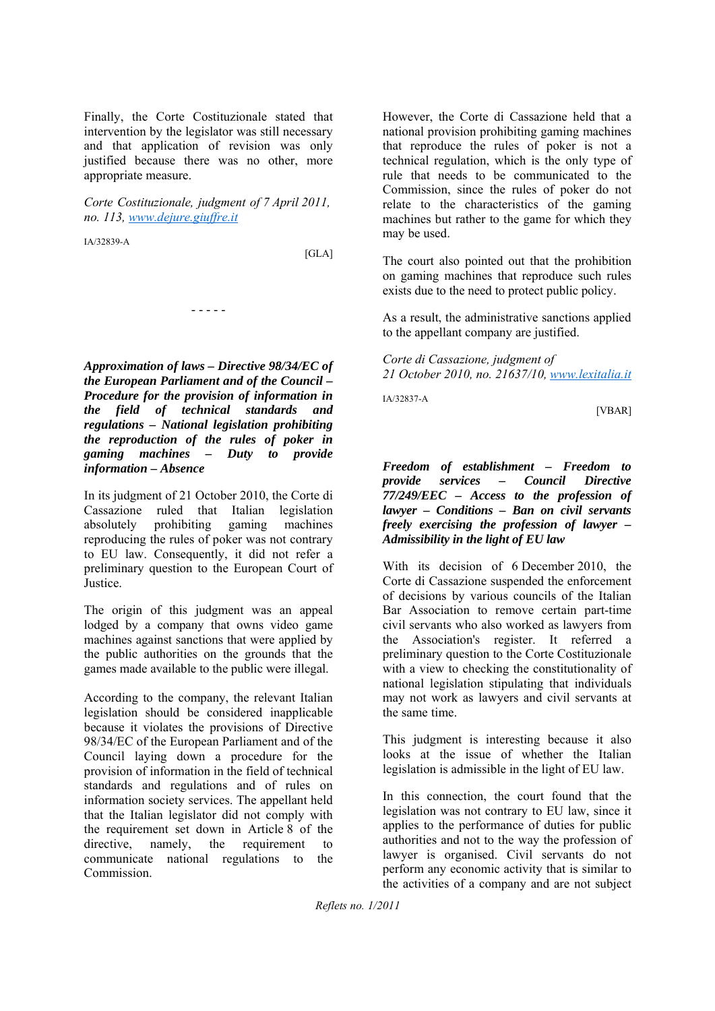Finally, the Corte Costituzionale stated that intervention by the legislator was still necessary and that application of revision was only justified because there was no other, more appropriate measure.

*Corte Costituzionale, judgment of 7 April 2011, no. 113, www.dejure.giuffre.it*

- - - - -

IA/32839-A

[GLA]

*Approximation of laws – Directive 98/34/EC of the European Parliament and of the Council – Procedure for the provision of information in the field of technical standards and regulations – National legislation prohibiting the reproduction of the rules of poker in gaming machines – Duty to provide information – Absence* 

In its judgment of 21 October 2010, the Corte di Cassazione ruled that Italian legislation absolutely prohibiting gaming machines reproducing the rules of poker was not contrary to EU law. Consequently, it did not refer a preliminary question to the European Court of Justice.

The origin of this judgment was an appeal lodged by a company that owns video game machines against sanctions that were applied by the public authorities on the grounds that the games made available to the public were illegal.

According to the company, the relevant Italian legislation should be considered inapplicable because it violates the provisions of Directive 98/34/EC of the European Parliament and of the Council laying down a procedure for the provision of information in the field of technical standards and regulations and of rules on information society services. The appellant held that the Italian legislator did not comply with the requirement set down in Article 8 of the directive, namely, the requirement to communicate national regulations to the Commission.

However, the Corte di Cassazione held that a national provision prohibiting gaming machines that reproduce the rules of poker is not a technical regulation, which is the only type of rule that needs to be communicated to the Commission, since the rules of poker do not relate to the characteristics of the gaming machines but rather to the game for which they may be used.

The court also pointed out that the prohibition on gaming machines that reproduce such rules exists due to the need to protect public policy.

As a result, the administrative sanctions applied to the appellant company are justified.

*Corte di Cassazione, judgment of 21 October 2010, no. 21637/10, www.lexitalia.it*

IA/32837-A

[VBAR]

*Freedom of establishment – Freedom to provide services – Council Directive 77/249/EEC – Access to the profession of lawyer – Conditions – Ban on civil servants freely exercising the profession of lawyer – Admissibility in the light of EU law*

With its decision of 6 December 2010, the Corte di Cassazione suspended the enforcement of decisions by various councils of the Italian Bar Association to remove certain part-time civil servants who also worked as lawyers from the Association's register. It referred a preliminary question to the Corte Costituzionale with a view to checking the constitutionality of national legislation stipulating that individuals may not work as lawyers and civil servants at the same time.

This judgment is interesting because it also looks at the issue of whether the Italian legislation is admissible in the light of EU law.

In this connection, the court found that the legislation was not contrary to EU law, since it applies to the performance of duties for public authorities and not to the way the profession of lawyer is organised. Civil servants do not perform any economic activity that is similar to the activities of a company and are not subject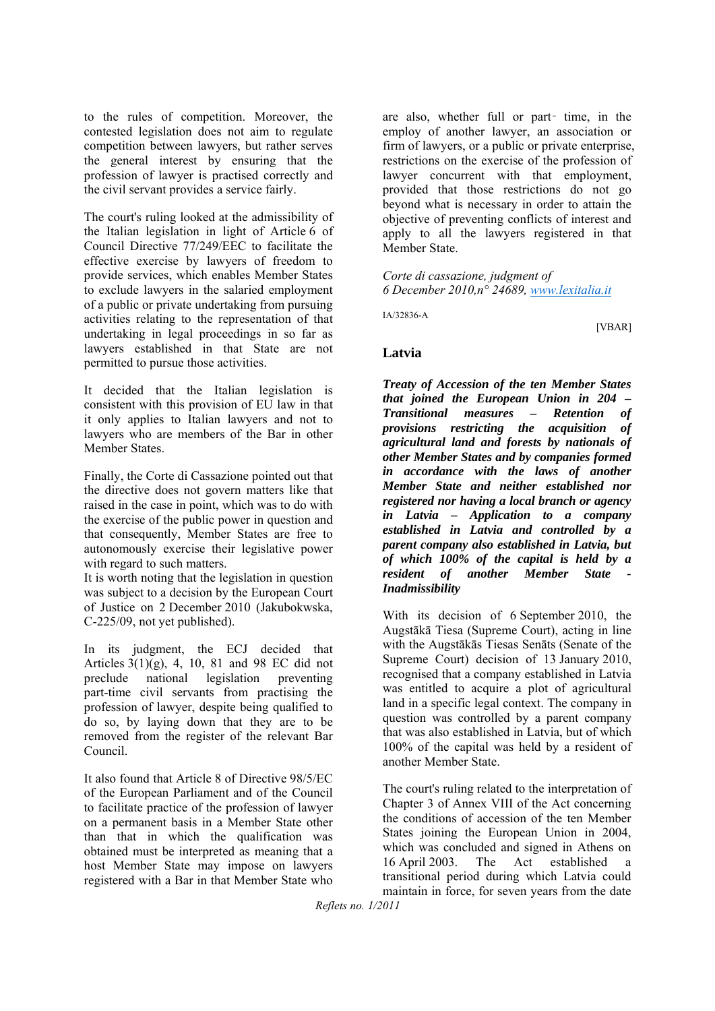to the rules of competition. Moreover, the contested legislation does not aim to regulate competition between lawyers, but rather serves the general interest by ensuring that the profession of lawyer is practised correctly and the civil servant provides a service fairly.

The court's ruling looked at the admissibility of the Italian legislation in light of Article 6 of Council Directive 77/249/EEC to facilitate the effective exercise by lawyers of freedom to provide services, which enables Member States to exclude lawyers in the salaried employment of a public or private undertaking from pursuing activities relating to the representation of that undertaking in legal proceedings in so far as lawyers established in that State are not permitted to pursue those activities.

It decided that the Italian legislation is consistent with this provision of EU law in that it only applies to Italian lawyers and not to lawyers who are members of the Bar in other Member States.

Finally, the Corte di Cassazione pointed out that the directive does not govern matters like that raised in the case in point, which was to do with the exercise of the public power in question and that consequently, Member States are free to autonomously exercise their legislative power with regard to such matters.

It is worth noting that the legislation in question was subject to a decision by the European Court of Justice on 2 December 2010 (Jakubokwska, C-225/09, not yet published).

In its judgment, the ECJ decided that Articles  $3(1)(g)$ , 4, 10, 81 and 98 EC did not preclude national legislation preventing part-time civil servants from practising the profession of lawyer, despite being qualified to do so, by laying down that they are to be removed from the register of the relevant Bar Council.

It also found that Article 8 of Directive 98/5/EC of the European Parliament and of the Council to facilitate practice of the profession of lawyer on a permanent basis in a Member State other than that in which the qualification was obtained must be interpreted as meaning that a host Member State may impose on lawyers registered with a Bar in that Member State who

are also, whether full or part‑ time, in the employ of another lawyer, an association or firm of lawyers, or a public or private enterprise, restrictions on the exercise of the profession of lawyer concurrent with that employment, provided that those restrictions do not go beyond what is necessary in order to attain the objective of preventing conflicts of interest and apply to all the lawyers registered in that Member State.

*Corte di cassazione, judgment of 6 December 2010,n° 24689, www.lexitalia.it*

IA/32836-A

#### **Latvia**

*Treaty of Accession of the ten Member States that joined the European Union in 204 – Transitional measures – Retention of provisions restricting the acquisition of agricultural land and forests by nationals of other Member States and by companies formed in accordance with the laws of another Member State and neither established nor registered nor having a local branch or agency in Latvia – Application to a company established in Latvia and controlled by a parent company also established in Latvia, but of which 100% of the capital is held by a resident of another Member State - Inadmissibility*

With its decision of 6 September 2010, the Augstākā Tiesa (Supreme Court), acting in line with the Augstākās Tiesas Senāts (Senate of the Supreme Court) decision of 13 January 2010, recognised that a company established in Latvia was entitled to acquire a plot of agricultural land in a specific legal context. The company in question was controlled by a parent company that was also established in Latvia, but of which 100% of the capital was held by a resident of another Member State.

The court's ruling related to the interpretation of Chapter 3 of Annex VIII of the Act concerning the conditions of accession of the ten Member States joining the European Union in 2004, which was concluded and signed in Athens on 16 April 2003. The Act established a transitional period during which Latvia could maintain in force, for seven years from the date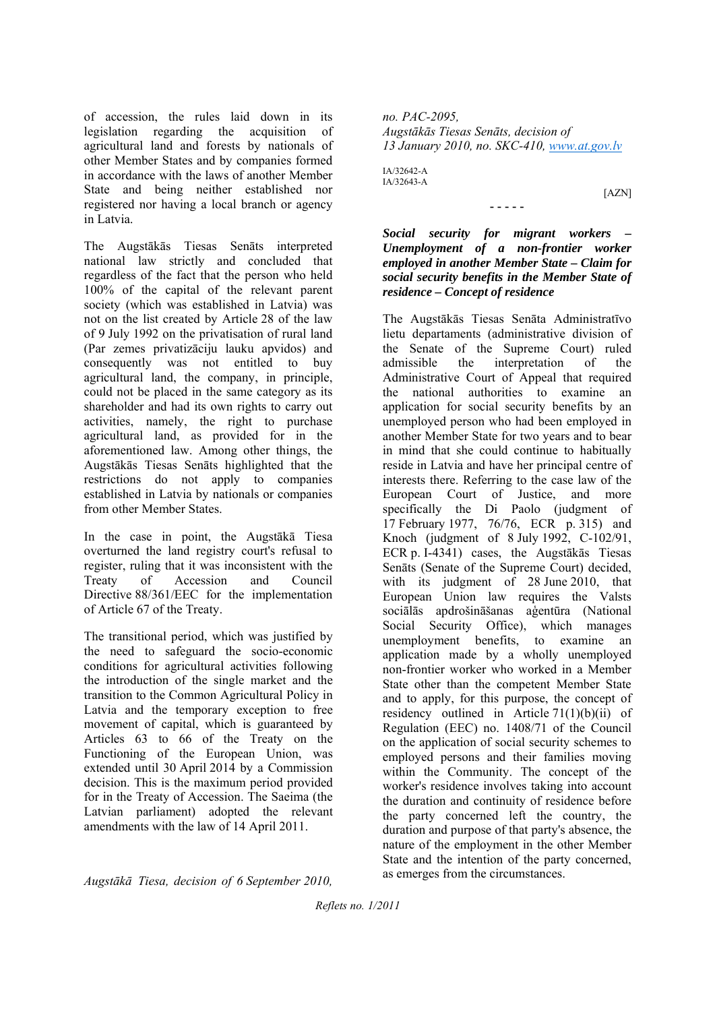of accession, the rules laid down in its legislation regarding the acquisition of agricultural land and forests by nationals of other Member States and by companies formed in accordance with the laws of another Member State and being neither established nor registered nor having a local branch or agency in Latvia.

The Augstākās Tiesas Senāts interpreted national law strictly and concluded that regardless of the fact that the person who held 100% of the capital of the relevant parent society (which was established in Latvia) was not on the list created by Article 28 of the law of 9 July 1992 on the privatisation of rural land (Par zemes privatizāciju lauku apvidos) and consequently was not entitled to buy agricultural land, the company, in principle, could not be placed in the same category as its shareholder and had its own rights to carry out activities, namely, the right to purchase agricultural land, as provided for in the aforementioned law. Among other things, the Augstākās Tiesas Senāts highlighted that the restrictions do not apply to companies established in Latvia by nationals or companies from other Member States.

In the case in point, the Augstākā Tiesa overturned the land registry court's refusal to register, ruling that it was inconsistent with the Treaty of Accession and Council Directive 88/361/EEC for the implementation of Article 67 of the Treaty.

The transitional period, which was justified by the need to safeguard the socio-economic conditions for agricultural activities following the introduction of the single market and the transition to the Common Agricultural Policy in Latvia and the temporary exception to free movement of capital, which is guaranteed by Articles 63 to 66 of the Treaty on the Functioning of the European Union, was extended until 30 April 2014 by a Commission decision. This is the maximum period provided for in the Treaty of Accession. The Saeima (the Latvian parliament) adopted the relevant amendments with the law of 14 April 2011.

*no. PAC-2095, Augstākās Tiesas Senāts, decision of 13 January 2010, no. SKC-410, www.at.gov.lv*

 $IA/22642A$ IA/32643-A

[AZN]

*Social security for migrant workers – Unemployment of a non-frontier worker employed in another Member State – Claim for social security benefits in the Member State of residence – Concept of residence*

**- - - - -**

The Augstākās Tiesas Senāta Administratīvo lietu departaments (administrative division of the Senate of the Supreme Court) ruled admissible the interpretation of the Administrative Court of Appeal that required the national authorities to examine an application for social security benefits by an unemployed person who had been employed in another Member State for two years and to bear in mind that she could continue to habitually reside in Latvia and have her principal centre of interests there. Referring to the case law of the European Court of Justice, and more specifically the Di Paolo (judgment of 17 February 1977, 76/76, ECR p. 315) and Knoch (judgment of 8 July 1992, C-102/91, ECR p. I-4341) cases, the Augstākās Tiesas Senāts (Senate of the Supreme Court) decided, with its judgment of 28 June 2010, that European Union law requires the Valsts sociālās apdrošināšanas aģentūra (National Social Security Office), which manages unemployment benefits, to examine an application made by a wholly unemployed non-frontier worker who worked in a Member State other than the competent Member State and to apply, for this purpose, the concept of residency outlined in Article  $71(1)(b)(ii)$  of Regulation (EEC) no. 1408/71 of the Council on the application of social security schemes to employed persons and their families moving within the Community. The concept of the worker's residence involves taking into account the duration and continuity of residence before the party concerned left the country, the duration and purpose of that party's absence, the nature of the employment in the other Member State and the intention of the party concerned, as emerges from the circumstances.

*Augstākā Tiesa, decision of 6 September 2010,*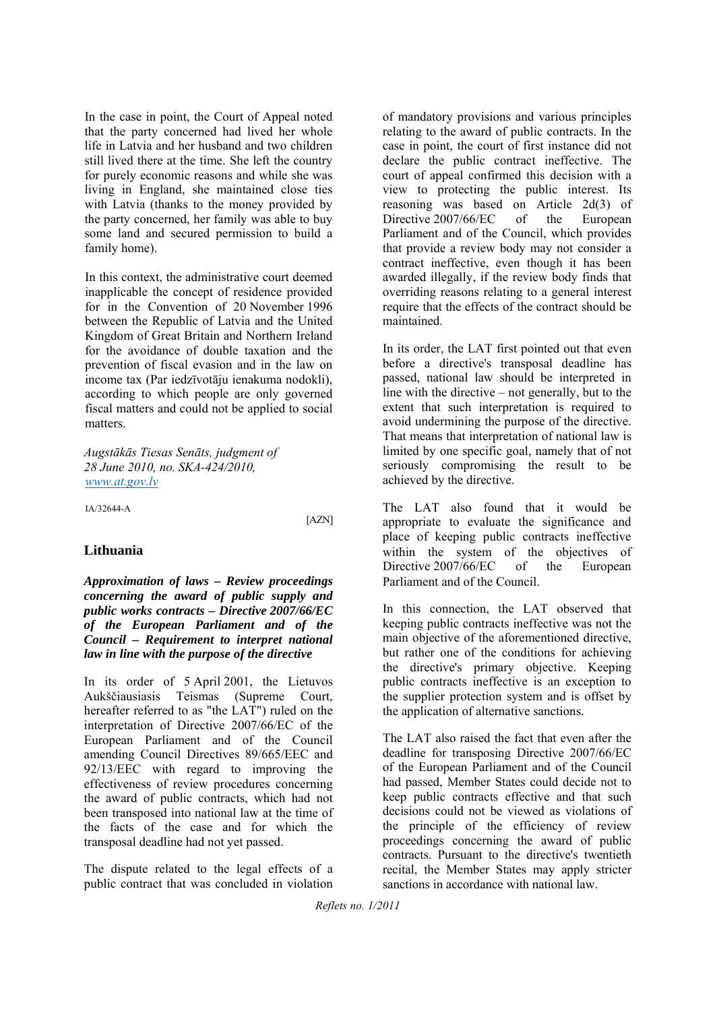In the case in point, the Court of Appeal noted that the party concerned had lived her whole life in Latvia and her husband and two children still lived there at the time. She left the country for purely economic reasons and while she was living in England, she maintained close ties with Latvia (thanks to the money provided by the party concerned, her family was able to buy some land and secured permission to build a family home).

In this context, the administrative court deemed inapplicable the concept of residence provided for in the Convention of 20 November 1996 between the Republic of Latvia and the United Kingdom of Great Britain and Northern Ireland for the avoidance of double taxation and the prevention of fiscal evasion and in the law on income tax (Par iedzīvotāju ienakuma nodokli), according to which people are only governed fiscal matters and could not be applied to social matters.

*Augstākās Tiesas Senāts, judgment of 28 June 2010, no. SKA-424/2010, www.at.gov.lv*

IA/32644-A

[AZN]

#### **Lithuania**

*Approximation of laws – Review proceedings concerning the award of public supply and public works contracts – Directive 2007/66/EC of the European Parliament and of the Council – Requirement to interpret national law in line with the purpose of the directive*

In its order of 5 April 2001, the Lietuvos Aukščiausiasis Teismas (Supreme Court, hereafter referred to as "the LAT") ruled on the interpretation of Directive 2007/66/EC of the European Parliament and of the Council amending Council Directives 89/665/EEC and 92/13/EEC with regard to improving the effectiveness of review procedures concerning the award of public contracts, which had not been transposed into national law at the time of the facts of the case and for which the transposal deadline had not yet passed.

The dispute related to the legal effects of a public contract that was concluded in violation

of mandatory provisions and various principles relating to the award of public contracts. In the case in point, the court of first instance did not declare the public contract ineffective. The court of appeal confirmed this decision with a view to protecting the public interest. Its reasoning was based on Article 2d(3) of Directive 2007/66/EC of the European Parliament and of the Council, which provides that provide a review body may not consider a contract ineffective, even though it has been awarded illegally, if the review body finds that overriding reasons relating to a general interest require that the effects of the contract should be maintained.

In its order, the LAT first pointed out that even before a directive's transposal deadline has passed, national law should be interpreted in line with the directive – not generally, but to the extent that such interpretation is required to avoid undermining the purpose of the directive. That means that interpretation of national law is limited by one specific goal, namely that of not seriously compromising the result to be achieved by the directive.

The LAT also found that it would be appropriate to evaluate the significance and place of keeping public contracts ineffective within the system of the objectives of Directive 2007/66/EC of the European Parliament and of the Council.

In this connection, the LAT observed that keeping public contracts ineffective was not the main objective of the aforementioned directive, but rather one of the conditions for achieving the directive's primary objective. Keeping public contracts ineffective is an exception to the supplier protection system and is offset by the application of alternative sanctions.

The LAT also raised the fact that even after the deadline for transposing Directive 2007/66/EC of the European Parliament and of the Council had passed, Member States could decide not to keep public contracts effective and that such decisions could not be viewed as violations of the principle of the efficiency of review proceedings concerning the award of public contracts. Pursuant to the directive's twentieth recital, the Member States may apply stricter sanctions in accordance with national law.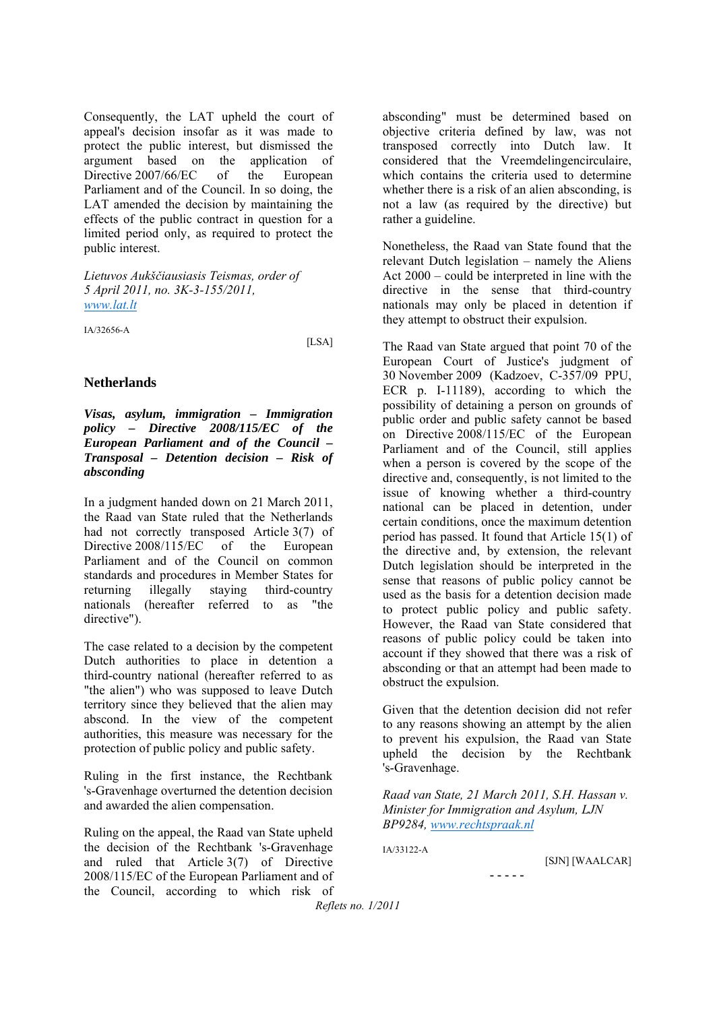Consequently, the LAT upheld the court of appeal's decision insofar as it was made to protect the public interest, but dismissed the argument based on the application of Directive 2007/66/EC of the European Parliament and of the Council. In so doing, the LAT amended the decision by maintaining the effects of the public contract in question for a limited period only, as required to protect the public interest.

*Lietuvos Aukščiausiasis Teismas, order of 5 April 2011, no. 3K-3-155/2011, www.lat.lt*

IA/32656-A

[LSA]

#### **Netherlands**

*Visas, asylum, immigration – Immigration policy – Directive 2008/115/EC of the European Parliament and of the Council – Transposal – Detention decision – Risk of absconding* 

In a judgment handed down on 21 March 2011, the Raad van State ruled that the Netherlands had not correctly transposed Article 3(7) of Directive 2008/115/EC of the European Parliament and of the Council on common standards and procedures in Member States for returning illegally staying third-country nationals (hereafter referred to as "the directive").

The case related to a decision by the competent Dutch authorities to place in detention a third-country national (hereafter referred to as "the alien") who was supposed to leave Dutch territory since they believed that the alien may abscond. In the view of the competent authorities, this measure was necessary for the protection of public policy and public safety.

Ruling in the first instance, the Rechtbank 's-Gravenhage overturned the detention decision and awarded the alien compensation.

Ruling on the appeal, the Raad van State upheld the decision of the Rechtbank 's-Gravenhage and ruled that Article 3(7) of Directive 2008/115/EC of the European Parliament and of the Council, according to which risk of

absconding" must be determined based on objective criteria defined by law, was not transposed correctly into Dutch law. It considered that the Vreemdelingencirculaire, which contains the criteria used to determine whether there is a risk of an alien absconding, is not a law (as required by the directive) but rather a guideline.

Nonetheless, the Raad van State found that the relevant Dutch legislation – namely the Aliens Act 2000 – could be interpreted in line with the directive in the sense that third-country nationals may only be placed in detention if they attempt to obstruct their expulsion.

The Raad van State argued that point 70 of the European Court of Justice's judgment of 30 November 2009 (Kadzoev, C-357/09 PPU, ECR p. I-11189), according to which the possibility of detaining a person on grounds of public order and public safety cannot be based on Directive 2008/115/EC of the European Parliament and of the Council, still applies when a person is covered by the scope of the directive and, consequently, is not limited to the issue of knowing whether a third-country national can be placed in detention, under certain conditions, once the maximum detention period has passed. It found that Article 15(1) of the directive and, by extension, the relevant Dutch legislation should be interpreted in the sense that reasons of public policy cannot be used as the basis for a detention decision made to protect public policy and public safety. However, the Raad van State considered that reasons of public policy could be taken into account if they showed that there was a risk of absconding or that an attempt had been made to obstruct the expulsion.

Given that the detention decision did not refer to any reasons showing an attempt by the alien to prevent his expulsion, the Raad van State upheld the decision by the Rechtbank 's-Gravenhage.

*Raad van State, 21 March 2011, S.H. Hassan v. Minister for Immigration and Asylum, LJN BP9284, www.rechtspraak.nl*

**- - - - -**

IA/33122-A

[SJN] [WAALCAR]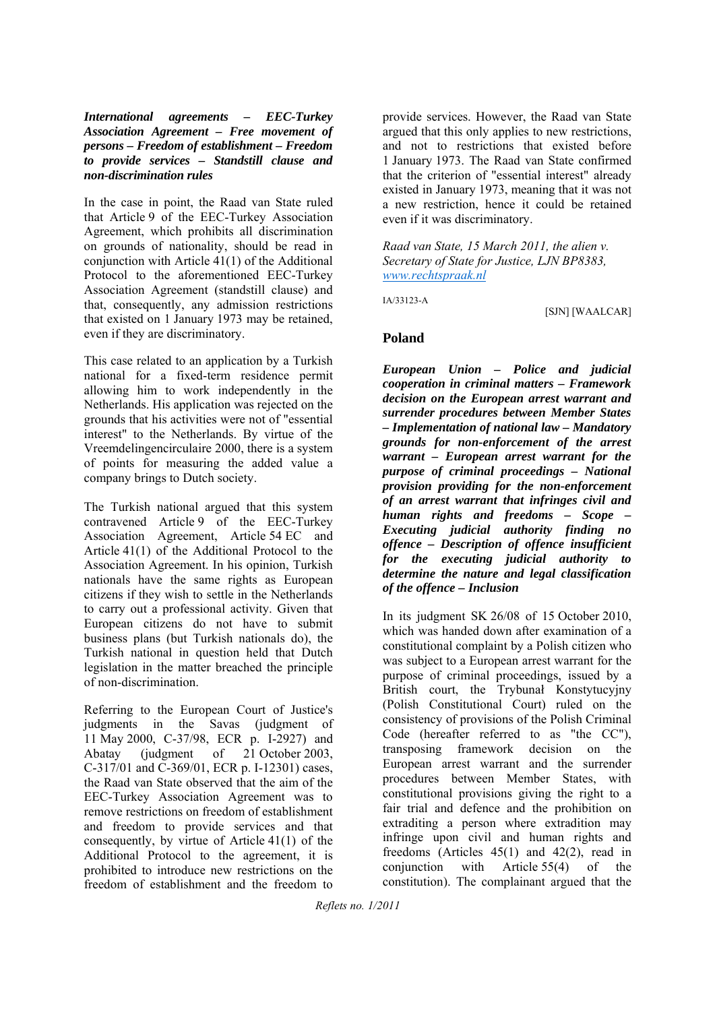*International agreements – EEC-Turkey Association Agreement – Free movement of persons – Freedom of establishment – Freedom to provide services – Standstill clause and non-discrimination rules*

In the case in point, the Raad van State ruled that Article 9 of the EEC-Turkey Association Agreement, which prohibits all discrimination on grounds of nationality, should be read in conjunction with Article 41(1) of the Additional Protocol to the aforementioned EEC-Turkey Association Agreement (standstill clause) and that, consequently, any admission restrictions that existed on 1 January 1973 may be retained, even if they are discriminatory.

This case related to an application by a Turkish national for a fixed-term residence permit allowing him to work independently in the Netherlands. His application was rejected on the grounds that his activities were not of "essential interest" to the Netherlands. By virtue of the Vreemdelingencirculaire 2000, there is a system of points for measuring the added value a company brings to Dutch society.

The Turkish national argued that this system contravened Article 9 of the EEC-Turkey Association Agreement, Article 54 EC and Article 41(1) of the Additional Protocol to the Association Agreement. In his opinion, Turkish nationals have the same rights as European citizens if they wish to settle in the Netherlands to carry out a professional activity. Given that European citizens do not have to submit business plans (but Turkish nationals do), the Turkish national in question held that Dutch legislation in the matter breached the principle of non-discrimination.

Referring to the European Court of Justice's judgments in the Savas (judgment of 11 May 2000, C-37/98, ECR p. I-2927) and Abatay (judgment of 21 October 2003, C-317/01 and C-369/01, ECR p. I-12301) cases, the Raad van State observed that the aim of the EEC-Turkey Association Agreement was to remove restrictions on freedom of establishment and freedom to provide services and that consequently, by virtue of Article 41(1) of the Additional Protocol to the agreement, it is prohibited to introduce new restrictions on the freedom of establishment and the freedom to

provide services. However, the Raad van State argued that this only applies to new restrictions, and not to restrictions that existed before 1 January 1973. The Raad van State confirmed that the criterion of "essential interest" already existed in January 1973, meaning that it was not a new restriction, hence it could be retained even if it was discriminatory.

*Raad van State, 15 March 2011, the alien v. Secretary of State for Justice, LJN BP8383, www.rechtspraak.nl*

IA/33123-A

[SJN] [WAALCAR]

#### **Poland**

*European Union – Police and judicial cooperation in criminal matters – Framework decision on the European arrest warrant and surrender procedures between Member States – Implementation of national law – Mandatory grounds for non-enforcement of the arrest warrant – European arrest warrant for the purpose of criminal proceedings – National provision providing for the non-enforcement of an arrest warrant that infringes civil and human rights and freedoms – Scope – Executing judicial authority finding no offence – Description of offence insufficient for the executing judicial authority to determine the nature and legal classification of the offence – Inclusion* 

In its judgment SK 26/08 of 15 October 2010, which was handed down after examination of a constitutional complaint by a Polish citizen who was subject to a European arrest warrant for the purpose of criminal proceedings, issued by a British court, the Trybunał Konstytucyjny (Polish Constitutional Court) ruled on the consistency of provisions of the Polish Criminal Code (hereafter referred to as "the CC"), transposing framework decision on the European arrest warrant and the surrender procedures between Member States, with constitutional provisions giving the right to a fair trial and defence and the prohibition on extraditing a person where extradition may infringe upon civil and human rights and freedoms (Articles 45(1) and 42(2), read in conjunction with Article 55(4) of the constitution). The complainant argued that the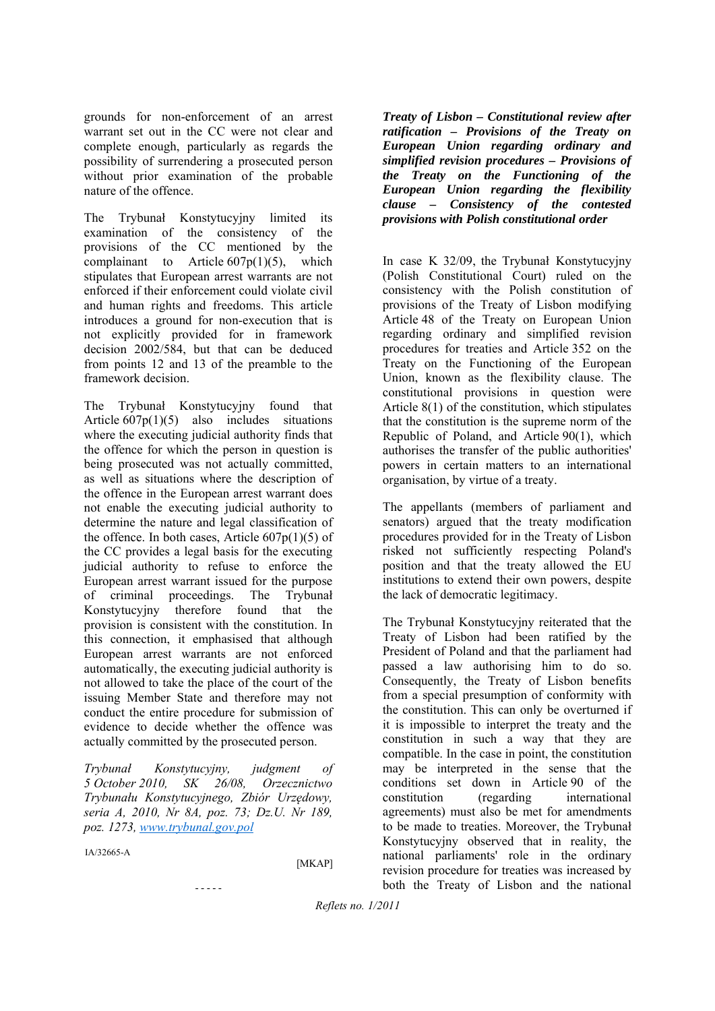grounds for non-enforcement of an arrest warrant set out in the CC were not clear and complete enough, particularly as regards the possibility of surrendering a prosecuted person without prior examination of the probable nature of the offence.

The Trybunał Konstytucyjny limited its examination of the consistency of the provisions of the CC mentioned by the complainant to Article  $607p(1)(5)$ , which stipulates that European arrest warrants are not enforced if their enforcement could violate civil and human rights and freedoms. This article introduces a ground for non-execution that is not explicitly provided for in framework decision 2002/584, but that can be deduced from points 12 and 13 of the preamble to the framework decision.

The Trybunał Konstytucyjny found that Article  $607p(1)(5)$  also includes situations where the executing judicial authority finds that the offence for which the person in question is being prosecuted was not actually committed, as well as situations where the description of the offence in the European arrest warrant does not enable the executing judicial authority to determine the nature and legal classification of the offence. In both cases, Article  $607p(1)(5)$  of the CC provides a legal basis for the executing judicial authority to refuse to enforce the European arrest warrant issued for the purpose of criminal proceedings. The Trybunał Konstytucyjny therefore found that the provision is consistent with the constitution. In this connection, it emphasised that although European arrest warrants are not enforced automatically, the executing judicial authority is not allowed to take the place of the court of the issuing Member State and therefore may not conduct the entire procedure for submission of evidence to decide whether the offence was actually committed by the prosecuted person.

*Trybunał Konstytucyjny, judgment of 5 October 2010, SK 26/08, Orzecznictwo Trybunału Konstytucyjnego, Zbiór Urzędowy, seria A, 2010, Nr 8A, poz. 73; Dz.U. Nr 189, poz. 1273, www.trybunal.gov.pol*

- - - - -

IA/32665-A

[MKAP]

*Treaty of Lisbon – Constitutional review after ratification – Provisions of the Treaty on European Union regarding ordinary and simplified revision procedures – Provisions of the Treaty on the Functioning of the European Union regarding the flexibility clause – Consistency of the contested provisions with Polish constitutional order* 

In case K 32/09, the Trybunał Konstytucyjny (Polish Constitutional Court) ruled on the consistency with the Polish constitution of provisions of the Treaty of Lisbon modifying Article 48 of the Treaty on European Union regarding ordinary and simplified revision procedures for treaties and Article 352 on the Treaty on the Functioning of the European Union, known as the flexibility clause. The constitutional provisions in question were Article 8(1) of the constitution, which stipulates that the constitution is the supreme norm of the Republic of Poland, and Article 90(1), which authorises the transfer of the public authorities' powers in certain matters to an international organisation, by virtue of a treaty.

The appellants (members of parliament and senators) argued that the treaty modification procedures provided for in the Treaty of Lisbon risked not sufficiently respecting Poland's position and that the treaty allowed the EU institutions to extend their own powers, despite the lack of democratic legitimacy.

The Trybunał Konstytucyjny reiterated that the Treaty of Lisbon had been ratified by the President of Poland and that the parliament had passed a law authorising him to do so. Consequently, the Treaty of Lisbon benefits from a special presumption of conformity with the constitution. This can only be overturned if it is impossible to interpret the treaty and the constitution in such a way that they are compatible. In the case in point, the constitution may be interpreted in the sense that the conditions set down in Article 90 of the constitution (regarding international agreements) must also be met for amendments to be made to treaties. Moreover, the Trybunał Konstytucyjny observed that in reality, the national parliaments' role in the ordinary revision procedure for treaties was increased by both the Treaty of Lisbon and the national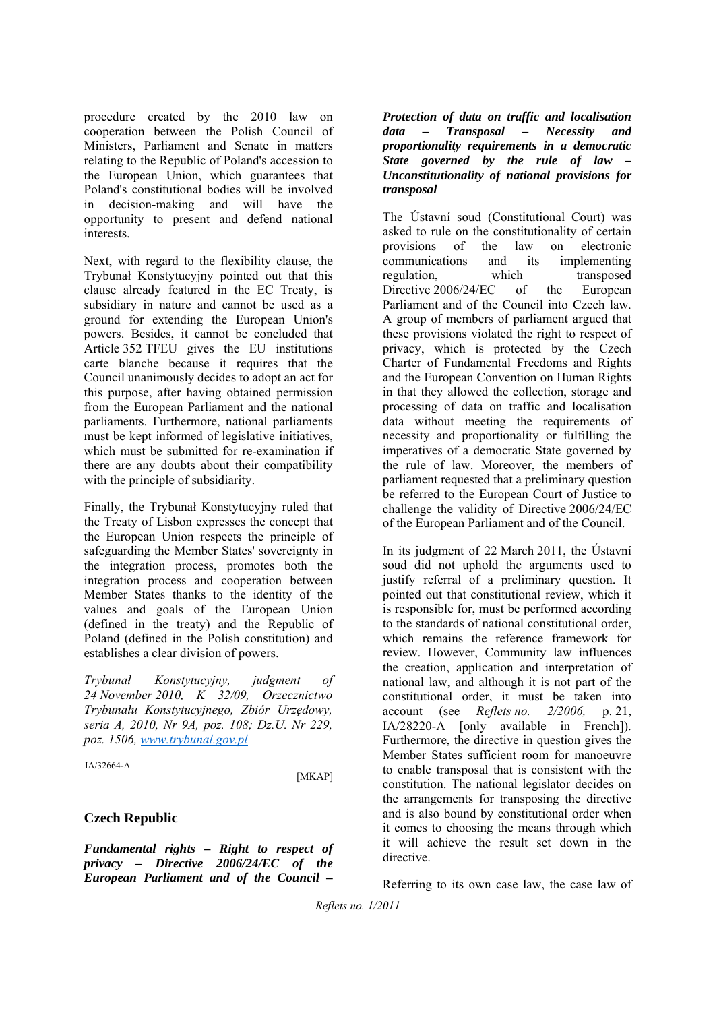procedure created by the 2010 law on cooperation between the Polish Council of Ministers, Parliament and Senate in matters relating to the Republic of Poland's accession to the European Union, which guarantees that Poland's constitutional bodies will be involved in decision-making and will have the opportunity to present and defend national interests.

Next, with regard to the flexibility clause, the Trybunał Konstytucyjny pointed out that this clause already featured in the EC Treaty, is subsidiary in nature and cannot be used as a ground for extending the European Union's powers. Besides, it cannot be concluded that Article 352 TFEU gives the EU institutions carte blanche because it requires that the Council unanimously decides to adopt an act for this purpose, after having obtained permission from the European Parliament and the national parliaments. Furthermore, national parliaments must be kept informed of legislative initiatives, which must be submitted for re-examination if there are any doubts about their compatibility with the principle of subsidiarity.

Finally, the Trybunał Konstytucyjny ruled that the Treaty of Lisbon expresses the concept that the European Union respects the principle of safeguarding the Member States' sovereignty in the integration process, promotes both the integration process and cooperation between Member States thanks to the identity of the values and goals of the European Union (defined in the treaty) and the Republic of Poland (defined in the Polish constitution) and establishes a clear division of powers.

*Trybunał Konstytucyjny, judgment of 24 November 2010, K 32/09, Orzecznictwo Trybunału Konstytucyjnego, Zbiór Urzędowy, seria A, 2010, Nr 9A, poz. 108; Dz.U. Nr 229, poz. 1506, www.trybunal.gov.pl*

IA/32664-A

[MKAP]

#### **Czech Republic**

*Fundamental rights – Right to respect of privacy – Directive 2006/24/EC of the European Parliament and of the Council –* 

*Protection of data on traffic and localisation data – Transposal – Necessity and proportionality requirements in a democratic State governed by the rule of law Unconstitutionality of national provisions for transposal* 

The Ústavní soud (Constitutional Court) was asked to rule on the constitutionality of certain provisions of the law on electronic communications and its implementing regulation, which transposed Directive 2006/24/EC of the European Parliament and of the Council into Czech law. A group of members of parliament argued that these provisions violated the right to respect of privacy, which is protected by the Czech Charter of Fundamental Freedoms and Rights and the European Convention on Human Rights in that they allowed the collection, storage and processing of data on traffic and localisation data without meeting the requirements of necessity and proportionality or fulfilling the imperatives of a democratic State governed by the rule of law. Moreover, the members of parliament requested that a preliminary question be referred to the European Court of Justice to challenge the validity of Directive 2006/24/EC of the European Parliament and of the Council.

In its judgment of 22 March 2011, the Ústavní soud did not uphold the arguments used to justify referral of a preliminary question. It pointed out that constitutional review, which it is responsible for, must be performed according to the standards of national constitutional order, which remains the reference framework for review. However, Community law influences the creation, application and interpretation of national law, and although it is not part of the constitutional order, it must be taken into account (see *Reflets no. 2/2006,* p. 21, IA/28220-A [only available in French]). Furthermore, the directive in question gives the Member States sufficient room for manoeuvre to enable transposal that is consistent with the constitution. The national legislator decides on the arrangements for transposing the directive and is also bound by constitutional order when it comes to choosing the means through which it will achieve the result set down in the directive.

Referring to its own case law, the case law of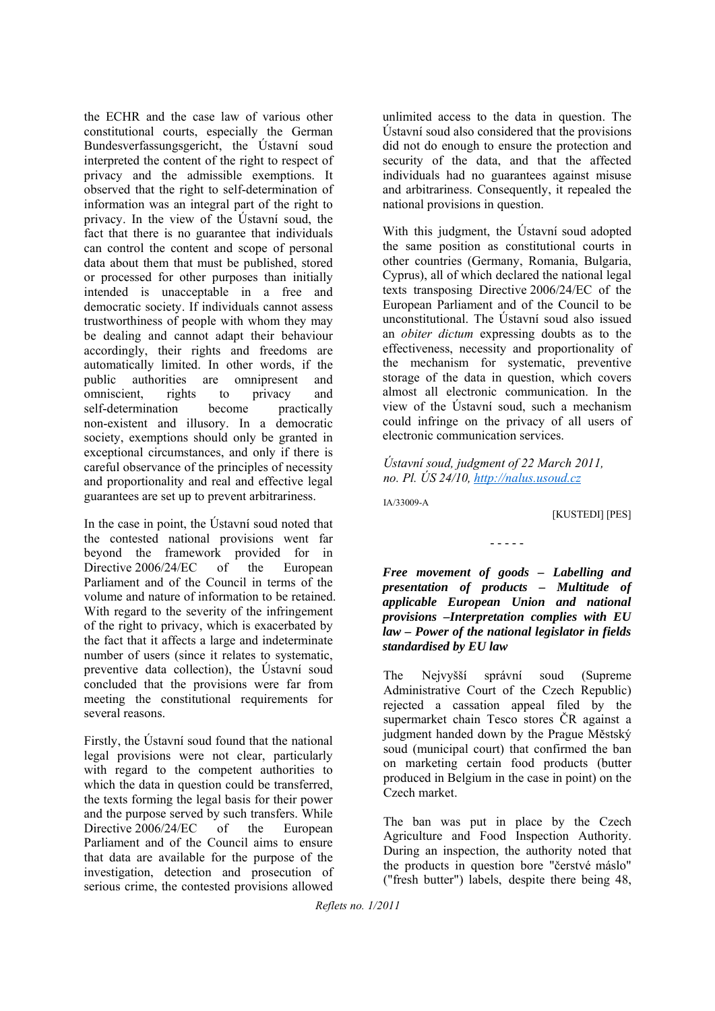the ECHR and the case law of various other constitutional courts, especially the German Bundesverfassungsgericht, the Ústavní soud interpreted the content of the right to respect of privacy and the admissible exemptions. It observed that the right to self-determination of information was an integral part of the right to privacy. In the view of the Ústavní soud, the fact that there is no guarantee that individuals can control the content and scope of personal data about them that must be published, stored or processed for other purposes than initially intended is unacceptable in a free and democratic society. If individuals cannot assess trustworthiness of people with whom they may be dealing and cannot adapt their behaviour accordingly, their rights and freedoms are automatically limited. In other words, if the public authorities are omnipresent and omniscient, rights to privacy and self-determination become practically non-existent and illusory. In a democratic society, exemptions should only be granted in exceptional circumstances, and only if there is careful observance of the principles of necessity and proportionality and real and effective legal guarantees are set up to prevent arbitrariness.

In the case in point, the Ústavní soud noted that the contested national provisions went far beyond the framework provided for in Directive 2006/24/EC of the European Parliament and of the Council in terms of the volume and nature of information to be retained. With regard to the severity of the infringement of the right to privacy, which is exacerbated by the fact that it affects a large and indeterminate number of users (since it relates to systematic, preventive data collection), the Ústavní soud concluded that the provisions were far from meeting the constitutional requirements for several reasons.

Firstly, the Ústavní soud found that the national legal provisions were not clear, particularly with regard to the competent authorities to which the data in question could be transferred, the texts forming the legal basis for their power and the purpose served by such transfers. While Directive 2006/24/EC of the European Parliament and of the Council aims to ensure that data are available for the purpose of the investigation, detection and prosecution of serious crime, the contested provisions allowed

unlimited access to the data in question. The Ústavní soud also considered that the provisions did not do enough to ensure the protection and security of the data, and that the affected individuals had no guarantees against misuse and arbitrariness. Consequently, it repealed the national provisions in question.

With this judgment, the Ústavní soud adopted the same position as constitutional courts in other countries (Germany, Romania, Bulgaria, Cyprus), all of which declared the national legal texts transposing Directive 2006/24/EC of the European Parliament and of the Council to be unconstitutional. The Ústavní soud also issued an *obiter dictum* expressing doubts as to the effectiveness, necessity and proportionality of the mechanism for systematic, preventive storage of the data in question, which covers almost all electronic communication. In the view of the Ústavní soud, such a mechanism could infringe on the privacy of all users of electronic communication services.

*Ústavní soud, judgment of 22 March 2011, no. Pl. ÚS 24/10, http://nalus.usoud.cz*

IA/33009-A

[KUSTEDI] [PES]

#### - - - - -

*Free movement of goods – Labelling and presentation of products – Multitude of applicable European Union and national provisions –Interpretation complies with EU law – Power of the national legislator in fields standardised by EU law*

The Nejvyšší správní soud (Supreme Administrative Court of the Czech Republic) rejected a cassation appeal filed by the supermarket chain Tesco stores ČR against a judgment handed down by the Prague Městský soud (municipal court) that confirmed the ban on marketing certain food products (butter produced in Belgium in the case in point) on the Czech market.

The ban was put in place by the Czech Agriculture and Food Inspection Authority. During an inspection, the authority noted that the products in question bore "čerstvé máslo" ("fresh butter") labels, despite there being 48,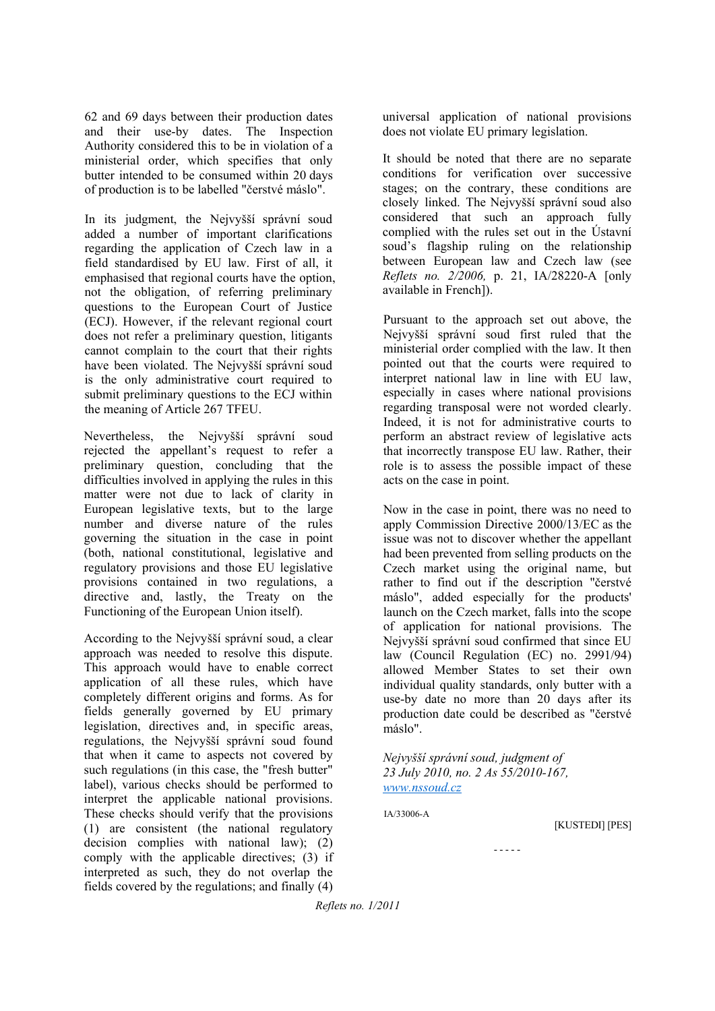62 and 69 days between their production dates and their use-by dates. The Inspection Authority considered this to be in violation of a ministerial order, which specifies that only butter intended to be consumed within 20 days of production is to be labelled "čerstvé máslo".

In its judgment, the Nejvyšší správní soud added a number of important clarifications regarding the application of Czech law in a field standardised by EU law. First of all, it emphasised that regional courts have the option, not the obligation, of referring preliminary questions to the European Court of Justice (ECJ). However, if the relevant regional court does not refer a preliminary question, litigants cannot complain to the court that their rights have been violated. The Nejvyšší správní soud is the only administrative court required to submit preliminary questions to the ECJ within the meaning of Article 267 TFEU.

Nevertheless, the Nejvyšší správní soud rejected the appellant's request to refer a preliminary question, concluding that the difficulties involved in applying the rules in this matter were not due to lack of clarity in European legislative texts, but to the large number and diverse nature of the rules governing the situation in the case in point (both, national constitutional, legislative and regulatory provisions and those EU legislative provisions contained in two regulations, a directive and, lastly, the Treaty on the Functioning of the European Union itself).

According to the Nejvyšší správní soud, a clear approach was needed to resolve this dispute. This approach would have to enable correct application of all these rules, which have completely different origins and forms. As for fields generally governed by EU primary legislation, directives and, in specific areas, regulations, the Nejvyšší správní soud found that when it came to aspects not covered by such regulations (in this case, the "fresh butter" label), various checks should be performed to interpret the applicable national provisions. These checks should verify that the provisions (1) are consistent (the national regulatory decision complies with national law); (2) comply with the applicable directives; (3) if interpreted as such, they do not overlap the fields covered by the regulations; and finally (4)

universal application of national provisions does not violate EU primary legislation.

It should be noted that there are no separate conditions for verification over successive stages; on the contrary, these conditions are closely linked. The Nejvyšší správní soud also considered that such an approach fully complied with the rules set out in the Ústavní soud's flagship ruling on the relationship between European law and Czech law (see *Reflets no. 2/2006,* p. 21, IA/28220-A [only available in French]).

Pursuant to the approach set out above, the Nejvyšší správní soud first ruled that the ministerial order complied with the law. It then pointed out that the courts were required to interpret national law in line with EU law, especially in cases where national provisions regarding transposal were not worded clearly. Indeed, it is not for administrative courts to perform an abstract review of legislative acts that incorrectly transpose EU law. Rather, their role is to assess the possible impact of these acts on the case in point.

Now in the case in point, there was no need to apply Commission Directive 2000/13/EC as the issue was not to discover whether the appellant had been prevented from selling products on the Czech market using the original name, but rather to find out if the description "čerstvé máslo", added especially for the products' launch on the Czech market, falls into the scope of application for national provisions. The Nejvyšší správní soud confirmed that since EU law (Council Regulation (EC) no. 2991/94) allowed Member States to set their own individual quality standards, only butter with a use-by date no more than 20 days after its production date could be described as "čerstvé máslo".

*Nejvyšší správní soud, judgment of 23 July 2010, no. 2 As 55/2010-167, www.nssoud.cz*

IA/33006-A

[KUSTEDI] [PES]

- - - - -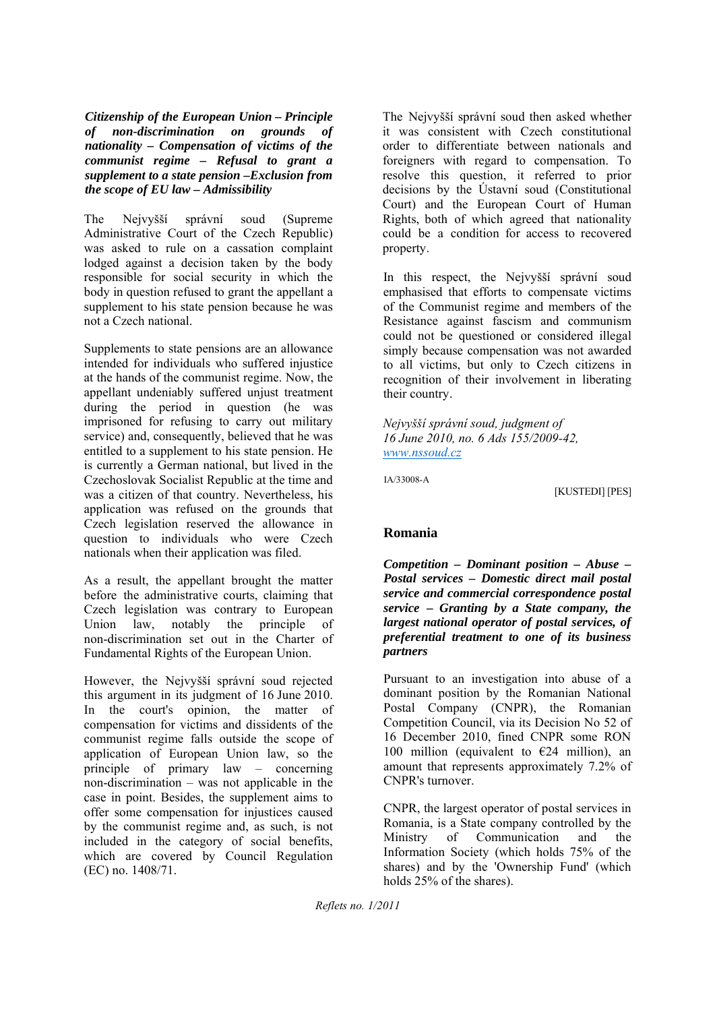*Citizenship of the European Union – Principle of non-discrimination on grounds of nationality – Compensation of victims of the communist regime – Refusal to grant a supplement to a state pension –Exclusion from the scope of EU law – Admissibility*

The Nejvyšší správní soud (Supreme Administrative Court of the Czech Republic) was asked to rule on a cassation complaint lodged against a decision taken by the body responsible for social security in which the body in question refused to grant the appellant a supplement to his state pension because he was not a Czech national.

Supplements to state pensions are an allowance intended for individuals who suffered injustice at the hands of the communist regime. Now, the appellant undeniably suffered unjust treatment during the period in question (he was imprisoned for refusing to carry out military service) and, consequently, believed that he was entitled to a supplement to his state pension. He is currently a German national, but lived in the Czechoslovak Socialist Republic at the time and was a citizen of that country. Nevertheless, his application was refused on the grounds that Czech legislation reserved the allowance in question to individuals who were Czech nationals when their application was filed.

As a result, the appellant brought the matter before the administrative courts, claiming that Czech legislation was contrary to European Union law, notably the principle of non-discrimination set out in the Charter of Fundamental Rights of the European Union.

However, the Nejvyšší správní soud rejected this argument in its judgment of 16 June 2010. In the court's opinion, the matter of compensation for victims and dissidents of the communist regime falls outside the scope of application of European Union law, so the principle of primary law – concerning non-discrimination – was not applicable in the case in point. Besides, the supplement aims to offer some compensation for injustices caused by the communist regime and, as such, is not included in the category of social benefits, which are covered by Council Regulation (EC) no. 1408/71.

The Nejvyšší správní soud then asked whether it was consistent with Czech constitutional order to differentiate between nationals and foreigners with regard to compensation. To resolve this question, it referred to prior decisions by the Ústavní soud (Constitutional Court) and the European Court of Human Rights, both of which agreed that nationality could be a condition for access to recovered property.

In this respect, the Nejvyšší správní soud emphasised that efforts to compensate victims of the Communist regime and members of the Resistance against fascism and communism could not be questioned or considered illegal simply because compensation was not awarded to all victims, but only to Czech citizens in recognition of their involvement in liberating their country.

*Nejvyšší správní soud, judgment of 16 June 2010, no. 6 Ads 155/2009-42, www.nssoud.cz*

IA/33008-A

[KUSTEDI] [PES]

#### **Romania**

*Competition – Dominant position – Abuse – Postal services – Domestic direct mail postal service and commercial correspondence postal service – Granting by a State company, the largest national operator of postal services, of preferential treatment to one of its business partners*

Pursuant to an investigation into abuse of a dominant position by the Romanian National Postal Company (CNPR), the Romanian Competition Council, via its Decision No 52 of 16 December 2010, fined CNPR some RON 100 million (equivalent to  $\epsilon$ 24 million), an amount that represents approximately 7.2% of CNPR's turnover.

CNPR, the largest operator of postal services in Romania, is a State company controlled by the Ministry of Communication and the Information Society (which holds 75% of the shares) and by the 'Ownership Fund' (which holds 25% of the shares).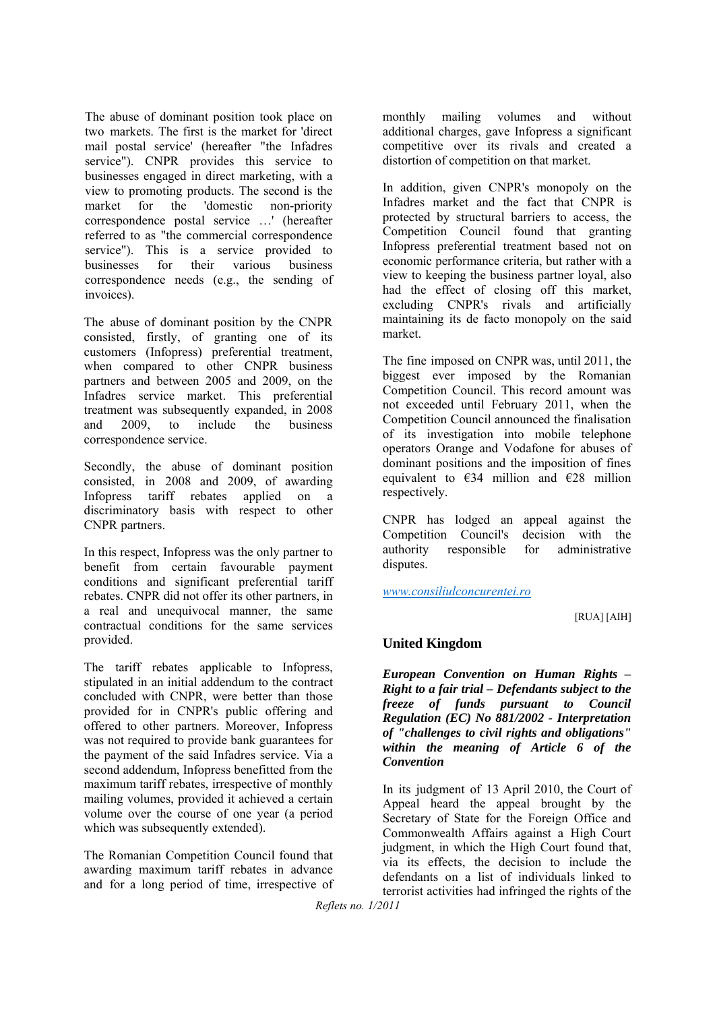The abuse of dominant position took place on two markets. The first is the market for 'direct mail postal service' (hereafter "the Infadres service"). CNPR provides this service to businesses engaged in direct marketing, with a view to promoting products. The second is the market for the 'domestic non-priority correspondence postal service …' (hereafter referred to as "the commercial correspondence service"). This is a service provided to businesses for their various business correspondence needs (e.g., the sending of invoices).

The abuse of dominant position by the CNPR consisted, firstly, of granting one of its customers (Infopress) preferential treatment, when compared to other CNPR business partners and between 2005 and 2009, on the Infadres service market. This preferential treatment was subsequently expanded, in 2008 and 2009, to include the business correspondence service.

Secondly, the abuse of dominant position consisted, in 2008 and 2009, of awarding Infopress tariff rebates applied on a discriminatory basis with respect to other CNPR partners.

In this respect, Infopress was the only partner to benefit from certain favourable payment conditions and significant preferential tariff rebates. CNPR did not offer its other partners, in a real and unequivocal manner, the same contractual conditions for the same services provided.

The tariff rebates applicable to Infopress, stipulated in an initial addendum to the contract concluded with CNPR, were better than those provided for in CNPR's public offering and offered to other partners. Moreover, Infopress was not required to provide bank guarantees for the payment of the said Infadres service. Via a second addendum, Infopress benefitted from the maximum tariff rebates, irrespective of monthly mailing volumes, provided it achieved a certain volume over the course of one year (a period which was subsequently extended).

The Romanian Competition Council found that awarding maximum tariff rebates in advance and for a long period of time, irrespective of

monthly mailing volumes and without additional charges, gave Infopress a significant competitive over its rivals and created a distortion of competition on that market.

In addition, given CNPR's monopoly on the Infadres market and the fact that CNPR is protected by structural barriers to access, the Competition Council found that granting Infopress preferential treatment based not on economic performance criteria, but rather with a view to keeping the business partner loyal, also had the effect of closing off this market, excluding CNPR's rivals and artificially maintaining its de facto monopoly on the said market.

The fine imposed on CNPR was, until 2011, the biggest ever imposed by the Romanian Competition Council. This record amount was not exceeded until February 2011, when the Competition Council announced the finalisation of its investigation into mobile telephone operators Orange and Vodafone for abuses of dominant positions and the imposition of fines equivalent to  $\epsilon$ 34 million and  $\epsilon$ 28 million respectively.

CNPR has lodged an appeal against the Competition Council's decision with the authority responsible for administrative disputes.

*www.consiliulconcurentei.ro*

#### [RUA] [AIH]

#### **United Kingdom**

*European Convention on Human Rights – Right to a fair trial – Defendants subject to the freeze of funds pursuant to Council Regulation (EC) No 881/2002 - Interpretation of "challenges to civil rights and obligations" within the meaning of Article 6 of the Convention*

In its judgment of 13 April 2010, the Court of Appeal heard the appeal brought by the Secretary of State for the Foreign Office and Commonwealth Affairs against a High Court judgment, in which the High Court found that, via its effects, the decision to include the defendants on a list of individuals linked to terrorist activities had infringed the rights of the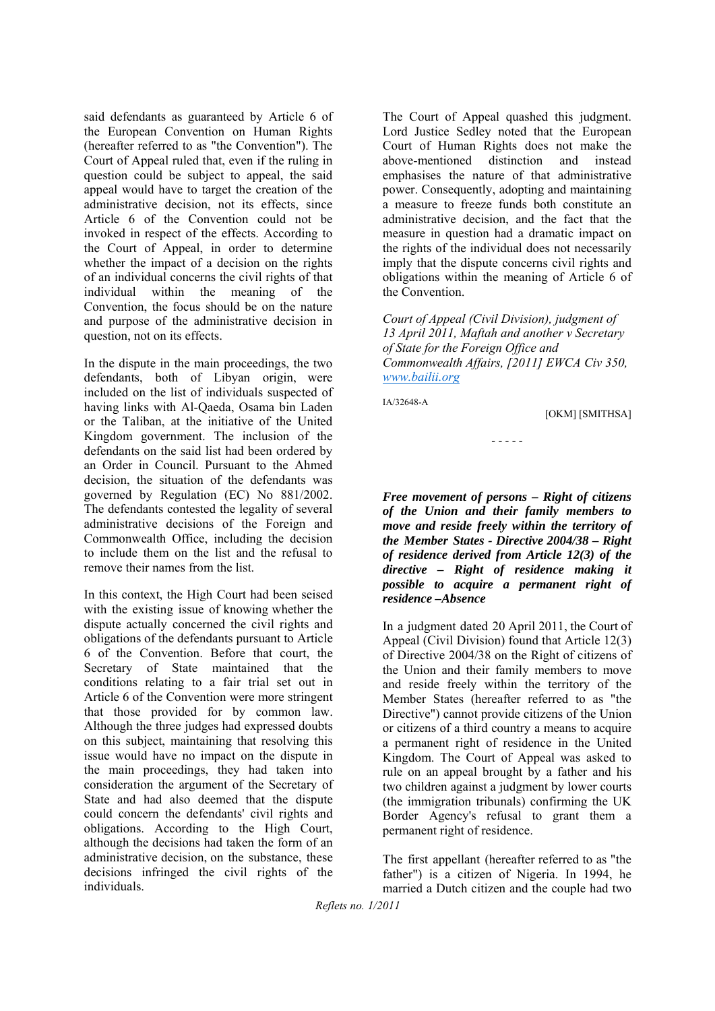said defendants as guaranteed by Article 6 of the European Convention on Human Rights (hereafter referred to as "the Convention"). The Court of Appeal ruled that, even if the ruling in question could be subject to appeal, the said appeal would have to target the creation of the administrative decision, not its effects, since Article 6 of the Convention could not be invoked in respect of the effects. According to the Court of Appeal, in order to determine whether the impact of a decision on the rights of an individual concerns the civil rights of that individual within the meaning of the Convention, the focus should be on the nature and purpose of the administrative decision in question, not on its effects.

In the dispute in the main proceedings, the two defendants, both of Libyan origin, were included on the list of individuals suspected of having links with Al-Qaeda, Osama bin Laden or the Taliban, at the initiative of the United Kingdom government. The inclusion of the defendants on the said list had been ordered by an Order in Council. Pursuant to the Ahmed decision, the situation of the defendants was governed by Regulation (EC) No 881/2002. The defendants contested the legality of several administrative decisions of the Foreign and Commonwealth Office, including the decision to include them on the list and the refusal to remove their names from the list.

In this context, the High Court had been seised with the existing issue of knowing whether the dispute actually concerned the civil rights and obligations of the defendants pursuant to Article 6 of the Convention. Before that court, the Secretary of State maintained that the conditions relating to a fair trial set out in Article 6 of the Convention were more stringent that those provided for by common law. Although the three judges had expressed doubts on this subject, maintaining that resolving this issue would have no impact on the dispute in the main proceedings, they had taken into consideration the argument of the Secretary of State and had also deemed that the dispute could concern the defendants' civil rights and obligations. According to the High Court, although the decisions had taken the form of an administrative decision, on the substance, these decisions infringed the civil rights of the individuals.

The Court of Appeal quashed this judgment. Lord Justice Sedley noted that the European Court of Human Rights does not make the above-mentioned distinction and instead emphasises the nature of that administrative power. Consequently, adopting and maintaining a measure to freeze funds both constitute an administrative decision, and the fact that the measure in question had a dramatic impact on the rights of the individual does not necessarily imply that the dispute concerns civil rights and obligations within the meaning of Article 6 of the Convention.

*Court of Appeal (Civil Division), judgment of 13 April 2011, Maftah and another v Secretary of State for the Foreign Office and Commonwealth Affairs, [2011] EWCA Civ 350, www.bailii.org*

IA/32648-A

#### [OKM] [SMITHSA]

- - - - -

*Free movement of persons – Right of citizens of the Union and their family members to move and reside freely within the territory of the Member States - Directive 2004/38 – Right of residence derived from Article 12(3) of the directive – Right of residence making it possible to acquire a permanent right of residence –Absence*

In a judgment dated 20 April 2011, the Court of Appeal (Civil Division) found that Article 12(3) of Directive 2004/38 on the Right of citizens of the Union and their family members to move and reside freely within the territory of the Member States (hereafter referred to as "the Directive") cannot provide citizens of the Union or citizens of a third country a means to acquire a permanent right of residence in the United Kingdom. The Court of Appeal was asked to rule on an appeal brought by a father and his two children against a judgment by lower courts (the immigration tribunals) confirming the UK Border Agency's refusal to grant them a permanent right of residence.

The first appellant (hereafter referred to as "the father") is a citizen of Nigeria. In 1994, he married a Dutch citizen and the couple had two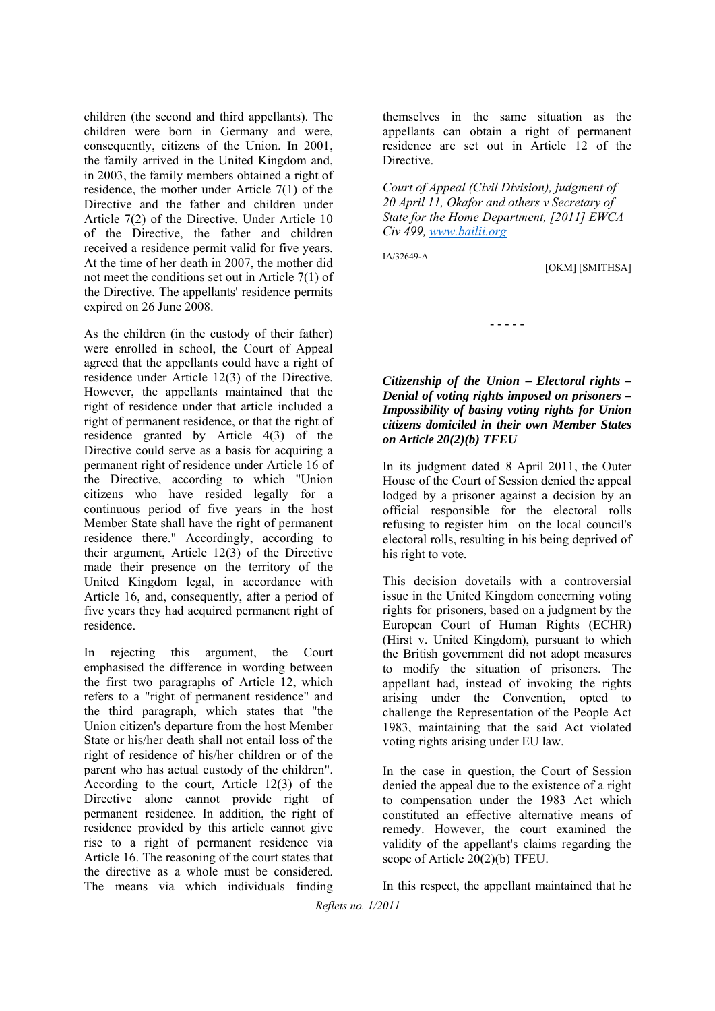children (the second and third appellants). The children were born in Germany and were, consequently, citizens of the Union. In 2001, the family arrived in the United Kingdom and, in 2003, the family members obtained a right of residence, the mother under Article 7(1) of the Directive and the father and children under Article 7(2) of the Directive. Under Article 10 of the Directive, the father and children received a residence permit valid for five years. At the time of her death in 2007, the mother did not meet the conditions set out in Article 7(1) of the Directive. The appellants' residence permits expired on 26 June 2008.

As the children (in the custody of their father) were enrolled in school, the Court of Appeal agreed that the appellants could have a right of residence under Article 12(3) of the Directive. However, the appellants maintained that the right of residence under that article included a right of permanent residence, or that the right of residence granted by Article 4(3) of the Directive could serve as a basis for acquiring a permanent right of residence under Article 16 of the Directive, according to which "Union citizens who have resided legally for a continuous period of five years in the host Member State shall have the right of permanent residence there." Accordingly, according to their argument, Article 12(3) of the Directive made their presence on the territory of the United Kingdom legal, in accordance with Article 16, and, consequently, after a period of five years they had acquired permanent right of residence.

In rejecting this argument, the Court emphasised the difference in wording between the first two paragraphs of Article 12, which refers to a "right of permanent residence" and the third paragraph, which states that "the Union citizen's departure from the host Member State or his/her death shall not entail loss of the right of residence of his/her children or of the parent who has actual custody of the children". According to the court, Article 12(3) of the Directive alone cannot provide right of permanent residence. In addition, the right of residence provided by this article cannot give rise to a right of permanent residence via Article 16. The reasoning of the court states that the directive as a whole must be considered. The means via which individuals finding

themselves in the same situation as the appellants can obtain a right of permanent residence are set out in Article 12 of the Directive.

*Court of Appeal (Civil Division), judgment of 20 April 11, Okafor and others v Secretary of State for the Home Department, [2011] EWCA Civ 499, www.bailii.org*

IA/32649-A

[OKM] [SMITHSA]

*Citizenship of the Union – Electoral rights – Denial of voting rights imposed on prisoners – Impossibility of basing voting rights for Union citizens domiciled in their own Member States on Article 20(2)(b) TFEU*

- - - - -

In its judgment dated 8 April 2011, the Outer House of the Court of Session denied the appeal lodged by a prisoner against a decision by an official responsible for the electoral rolls refusing to register him on the local council's electoral rolls, resulting in his being deprived of his right to vote.

This decision dovetails with a controversial issue in the United Kingdom concerning voting rights for prisoners, based on a judgment by the European Court of Human Rights (ECHR) (Hirst v. United Kingdom), pursuant to which the British government did not adopt measures to modify the situation of prisoners. The appellant had, instead of invoking the rights arising under the Convention, opted to challenge the Representation of the People Act 1983, maintaining that the said Act violated voting rights arising under EU law.

In the case in question, the Court of Session denied the appeal due to the existence of a right to compensation under the 1983 Act which constituted an effective alternative means of remedy. However, the court examined the validity of the appellant's claims regarding the scope of Article 20(2)(b) TFEU.

In this respect, the appellant maintained that he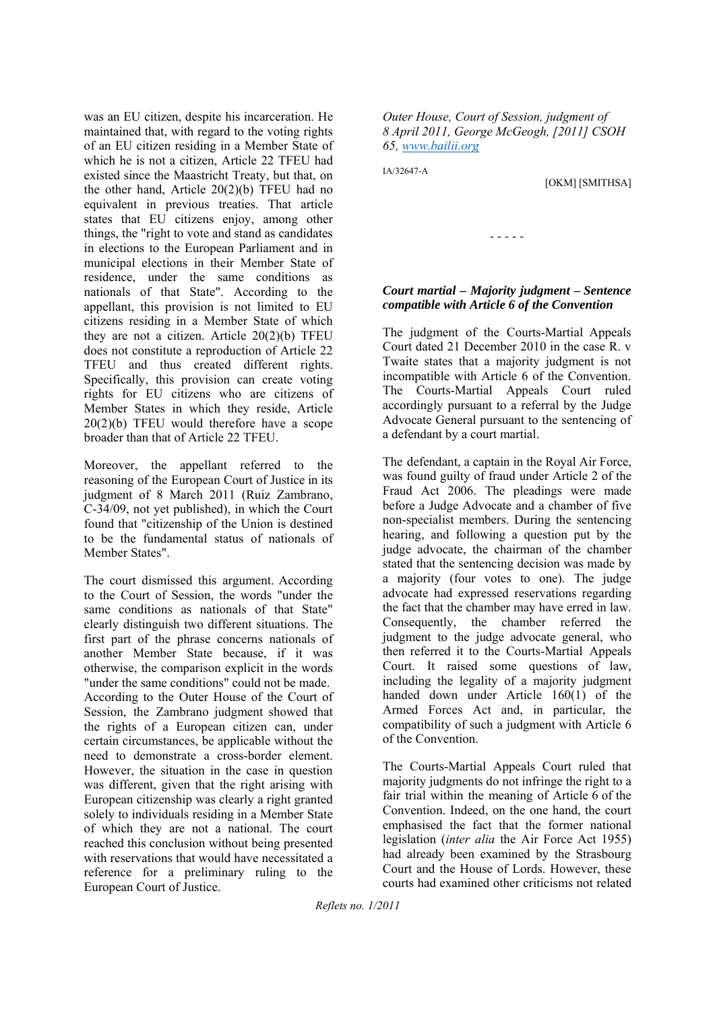was an EU citizen, despite his incarceration. He maintained that, with regard to the voting rights of an EU citizen residing in a Member State of which he is not a citizen, Article 22 TFEU had existed since the Maastricht Treaty, but that, on the other hand, Article 20(2)(b) TFEU had no equivalent in previous treaties. That article states that EU citizens enjoy, among other things, the "right to vote and stand as candidates in elections to the European Parliament and in municipal elections in their Member State of residence, under the same conditions as nationals of that State". According to the appellant, this provision is not limited to EU citizens residing in a Member State of which they are not a citizen. Article 20(2)(b) TFEU does not constitute a reproduction of Article 22 TFEU and thus created different rights. Specifically, this provision can create voting rights for EU citizens who are citizens of Member States in which they reside, Article 20(2)(b) TFEU would therefore have a scope broader than that of Article 22 TFEU.

Moreover, the appellant referred to the reasoning of the European Court of Justice in its judgment of 8 March 2011 (Ruiz Zambrano, C-34/09, not yet published), in which the Court found that "citizenship of the Union is destined to be the fundamental status of nationals of Member States".

The court dismissed this argument. According to the Court of Session, the words "under the same conditions as nationals of that State" clearly distinguish two different situations. The first part of the phrase concerns nationals of another Member State because, if it was otherwise, the comparison explicit in the words "under the same conditions" could not be made. According to the Outer House of the Court of Session, the Zambrano judgment showed that the rights of a European citizen can, under certain circumstances, be applicable without the need to demonstrate a cross-border element. However, the situation in the case in question was different, given that the right arising with European citizenship was clearly a right granted solely to individuals residing in a Member State of which they are not a national. The court reached this conclusion without being presented with reservations that would have necessitated a reference for a preliminary ruling to the European Court of Justice.

*Outer House, Court of Session, judgment of 8 April 2011, George McGeogh, [2011] CSOH 65, www.bailii.org*

IA/32647-A

[OKM] [SMITHSA]

*- - - - -* 

#### *Court martial – Majority judgment – Sentence compatible with Article 6 of the Convention*

The judgment of the Courts-Martial Appeals Court dated 21 December 2010 in the case R. v Twaite states that a majority judgment is not incompatible with Article 6 of the Convention. The Courts-Martial Appeals Court ruled accordingly pursuant to a referral by the Judge Advocate General pursuant to the sentencing of a defendant by a court martial.

The defendant, a captain in the Royal Air Force, was found guilty of fraud under Article 2 of the Fraud Act 2006. The pleadings were made before a Judge Advocate and a chamber of five non-specialist members. During the sentencing hearing, and following a question put by the judge advocate, the chairman of the chamber stated that the sentencing decision was made by a majority (four votes to one). The judge advocate had expressed reservations regarding the fact that the chamber may have erred in law. Consequently, the chamber referred the judgment to the judge advocate general, who then referred it to the Courts-Martial Appeals Court. It raised some questions of law, including the legality of a majority judgment handed down under Article 160(1) of the Armed Forces Act and, in particular, the compatibility of such a judgment with Article 6 of the Convention.

The Courts-Martial Appeals Court ruled that majority judgments do not infringe the right to a fair trial within the meaning of Article 6 of the Convention. Indeed, on the one hand, the court emphasised the fact that the former national legislation (*inter alia* the Air Force Act 1955) had already been examined by the Strasbourg Court and the House of Lords. However, these courts had examined other criticisms not related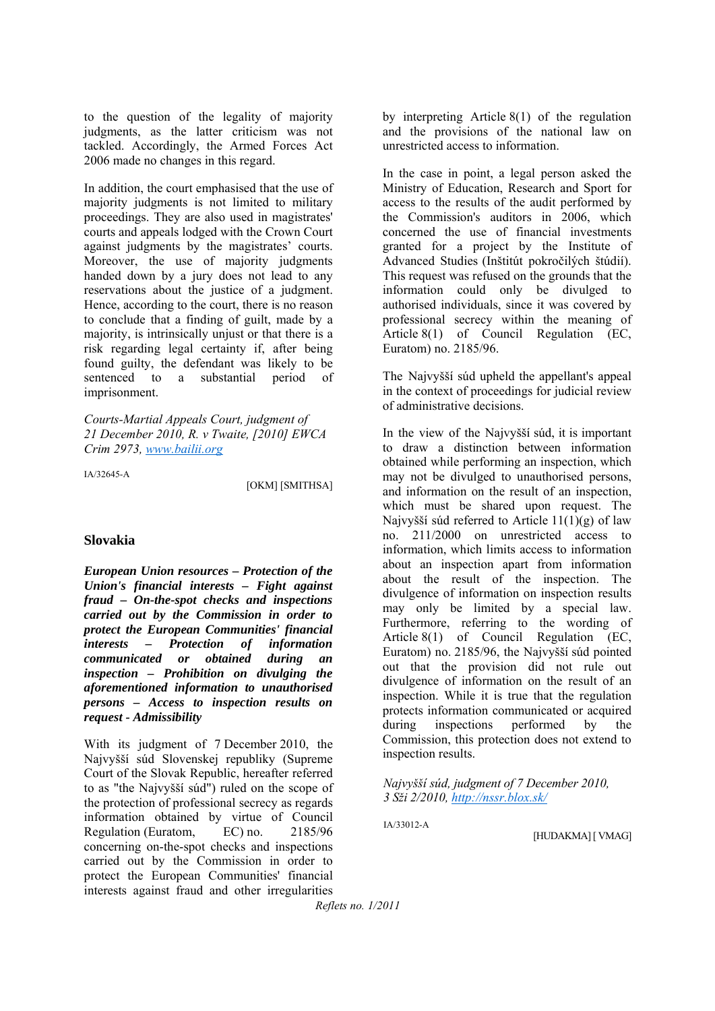to the question of the legality of majority judgments, as the latter criticism was not tackled. Accordingly, the Armed Forces Act 2006 made no changes in this regard.

In addition, the court emphasised that the use of majority judgments is not limited to military proceedings. They are also used in magistrates' courts and appeals lodged with the Crown Court against judgments by the magistrates' courts. Moreover, the use of majority judgments handed down by a jury does not lead to any reservations about the justice of a judgment. Hence, according to the court, there is no reason to conclude that a finding of guilt, made by a majority, is intrinsically unjust or that there is a risk regarding legal certainty if, after being found guilty, the defendant was likely to be sentenced to a substantial period of imprisonment.

*Courts-Martial Appeals Court, judgment of 21 December 2010, R. v Twaite, [2010] EWCA Crim 2973, www.bailii.org*

IA/32645-A

[OKM] [SMITHSA]

#### **Slovakia**

*European Union resources – Protection of the Union's financial interests – Fight against fraud – On-the-spot checks and inspections carried out by the Commission in order to protect the European Communities' financial interests – Protection of information communicated or obtained during an inspection – Prohibition on divulging the aforementioned information to unauthorised persons – Access to inspection results on request - Admissibility*

With its judgment of 7 December 2010, the Najvyšší súd Slovenskej republiky (Supreme Court of the Slovak Republic, hereafter referred to as "the Najvyšší súd") ruled on the scope of the protection of professional secrecy as regards information obtained by virtue of Council Regulation (Euratom, EC) no. 2185/96 concerning on-the-spot checks and inspections carried out by the Commission in order to protect the European Communities' financial interests against fraud and other irregularities by interpreting Article 8(1) of the regulation and the provisions of the national law on unrestricted access to information.

In the case in point, a legal person asked the Ministry of Education, Research and Sport for access to the results of the audit performed by the Commission's auditors in 2006, which concerned the use of financial investments granted for a project by the Institute of Advanced Studies (Inštitút pokročilých štúdií). This request was refused on the grounds that the information could only be divulged to authorised individuals, since it was covered by professional secrecy within the meaning of Article 8(1) of Council Regulation (EC, Euratom) no. 2185/96.

The Najvyšší súd upheld the appellant's appeal in the context of proceedings for judicial review of administrative decisions.

In the view of the Najvyšší súd, it is important to draw a distinction between information obtained while performing an inspection, which may not be divulged to unauthorised persons, and information on the result of an inspection, which must be shared upon request. The Najvyšší súd referred to Article 11(1)(g) of law no. 211/2000 on unrestricted access to information, which limits access to information about an inspection apart from information about the result of the inspection. The divulgence of information on inspection results may only be limited by a special law. Furthermore, referring to the wording of Article 8(1) of Council Regulation (EC, Euratom) no. 2185/96, the Najvyšší súd pointed out that the provision did not rule out divulgence of information on the result of an inspection. While it is true that the regulation protects information communicated or acquired during inspections performed by the Commission, this protection does not extend to inspection results.

*Najvyšší súd, judgment of 7 December 2010, 3 Sži 2/2010, http://nssr.blox.sk/*

IA/33012-A

[HUDAKMA] [ VMAG]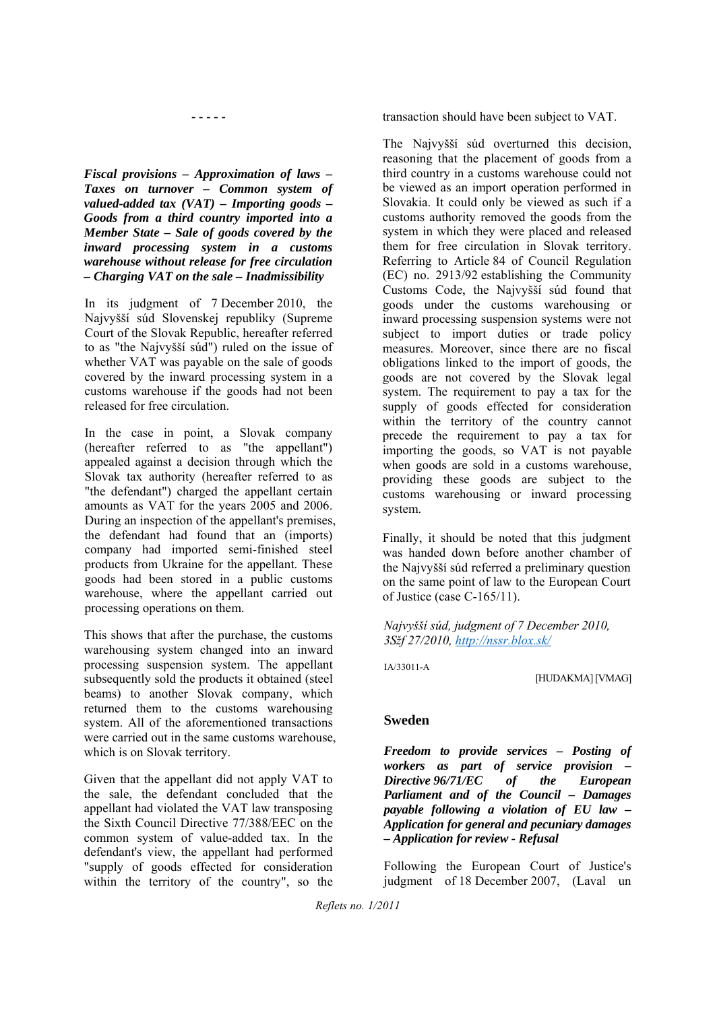**- - - - -** 

*Fiscal provisions – Approximation of laws – Taxes on turnover – Common system of valued-added tax (VAT) – Importing goods – Goods from a third country imported into a Member State – Sale of goods covered by the inward processing system in a customs warehouse without release for free circulation – Charging VAT on the sale – Inadmissibility* 

In its judgment of 7 December 2010, the Najvyšší súd Slovenskej republiky (Supreme Court of the Slovak Republic, hereafter referred to as "the Najvyšší súd") ruled on the issue of whether VAT was payable on the sale of goods covered by the inward processing system in a customs warehouse if the goods had not been released for free circulation.

In the case in point, a Slovak company (hereafter referred to as "the appellant") appealed against a decision through which the Slovak tax authority (hereafter referred to as "the defendant") charged the appellant certain amounts as VAT for the years 2005 and 2006. During an inspection of the appellant's premises, the defendant had found that an (imports) company had imported semi-finished steel products from Ukraine for the appellant. These goods had been stored in a public customs warehouse, where the appellant carried out processing operations on them.

This shows that after the purchase, the customs warehousing system changed into an inward processing suspension system. The appellant subsequently sold the products it obtained (steel beams) to another Slovak company, which returned them to the customs warehousing system. All of the aforementioned transactions were carried out in the same customs warehouse, which is on Slovak territory.

Given that the appellant did not apply VAT to the sale, the defendant concluded that the appellant had violated the VAT law transposing the Sixth Council Directive 77/388/EEC on the common system of value-added tax. In the defendant's view, the appellant had performed "supply of goods effected for consideration within the territory of the country", so the transaction should have been subject to VAT.

The Najvyšší súd overturned this decision, reasoning that the placement of goods from a third country in a customs warehouse could not be viewed as an import operation performed in Slovakia. It could only be viewed as such if a customs authority removed the goods from the system in which they were placed and released them for free circulation in Slovak territory. Referring to Article 84 of Council Regulation (EC) no. 2913/92 establishing the Community Customs Code, the Najvyšší súd found that goods under the customs warehousing or inward processing suspension systems were not subject to import duties or trade policy measures. Moreover, since there are no fiscal obligations linked to the import of goods, the goods are not covered by the Slovak legal system. The requirement to pay a tax for the supply of goods effected for consideration within the territory of the country cannot precede the requirement to pay a tax for importing the goods, so VAT is not payable when goods are sold in a customs warehouse, providing these goods are subject to the customs warehousing or inward processing system.

Finally, it should be noted that this judgment was handed down before another chamber of the Najvyšší súd referred a preliminary question on the same point of law to the European Court of Justice (case C-165/11).

*Najvyšší súd, judgment of 7 December 2010, 3Sžf 27/2010, http://nssr.blox.sk/*

IA/33011-A

[HUDAKMA] [VMAG]

#### **Sweden**

*Freedom to provide services – Posting of workers as part of service provision – Directive 96/71/EC of the European Parliament and of the Council – Damages payable following a violation of EU law – Application for general and pecuniary damages – Application for review - Refusal*

Following the European Court of Justice's judgment of 18 December 2007, (Laval un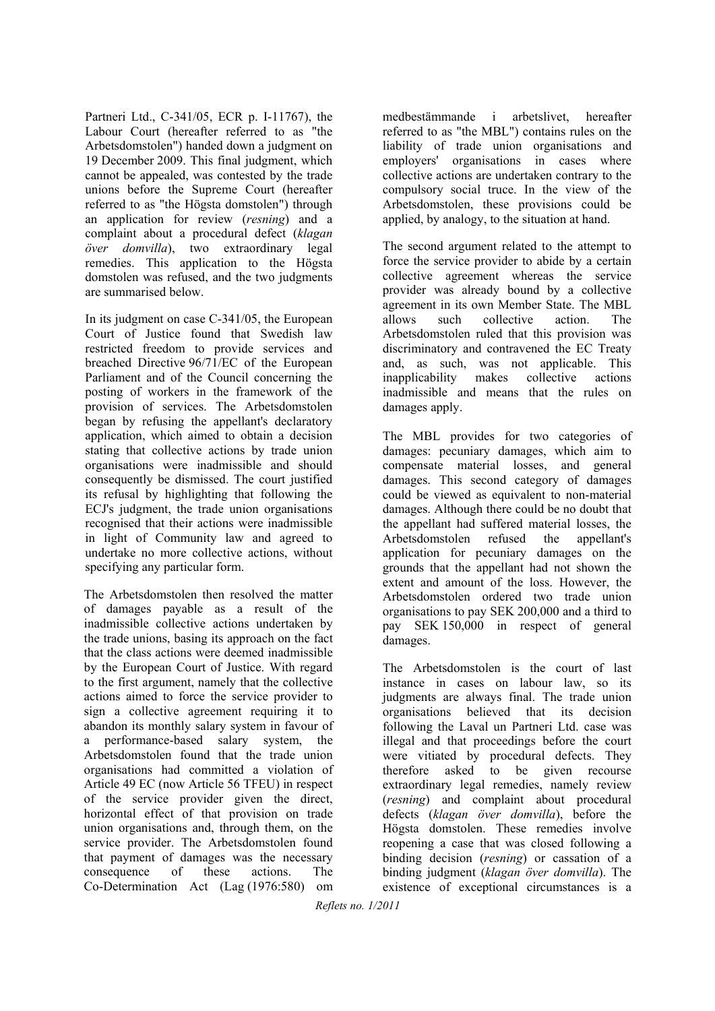Partneri Ltd., C-341/05, ECR p. I-11767), the Labour Court (hereafter referred to as "the Arbetsdomstolen") handed down a judgment on 19 December 2009. This final judgment, which cannot be appealed, was contested by the trade unions before the Supreme Court (hereafter referred to as "the Högsta domstolen") through an application for review (*resning*) and a complaint about a procedural defect (*klagan över domvilla*), two extraordinary legal remedies. This application to the Högsta domstolen was refused, and the two judgments are summarised below.

In its judgment on case C-341/05, the European Court of Justice found that Swedish law restricted freedom to provide services and breached Directive 96/71/EC of the European Parliament and of the Council concerning the posting of workers in the framework of the provision of services. The Arbetsdomstolen began by refusing the appellant's declaratory application, which aimed to obtain a decision stating that collective actions by trade union organisations were inadmissible and should consequently be dismissed. The court justified its refusal by highlighting that following the ECJ's judgment, the trade union organisations recognised that their actions were inadmissible in light of Community law and agreed to undertake no more collective actions, without specifying any particular form.

The Arbetsdomstolen then resolved the matter of damages payable as a result of the inadmissible collective actions undertaken by the trade unions, basing its approach on the fact that the class actions were deemed inadmissible by the European Court of Justice. With regard to the first argument, namely that the collective actions aimed to force the service provider to sign a collective agreement requiring it to abandon its monthly salary system in favour of a performance-based salary system, the Arbetsdomstolen found that the trade union organisations had committed a violation of Article 49 EC (now Article 56 TFEU) in respect of the service provider given the direct, horizontal effect of that provision on trade union organisations and, through them, on the service provider. The Arbetsdomstolen found that payment of damages was the necessary consequence of these actions. The Co-Determination Act (Lag (1976:580) om

medbestämmande i arbetslivet, hereafter referred to as "the MBL") contains rules on the liability of trade union organisations and employers' organisations in cases where collective actions are undertaken contrary to the compulsory social truce. In the view of the Arbetsdomstolen, these provisions could be applied, by analogy, to the situation at hand.

The second argument related to the attempt to force the service provider to abide by a certain collective agreement whereas the service provider was already bound by a collective agreement in its own Member State. The MBL allows such collective action. The Arbetsdomstolen ruled that this provision was discriminatory and contravened the EC Treaty and, as such, was not applicable. This inapplicability makes collective actions inadmissible and means that the rules on damages apply.

The MBL provides for two categories of damages: pecuniary damages, which aim to compensate material losses, and general damages. This second category of damages could be viewed as equivalent to non-material damages. Although there could be no doubt that the appellant had suffered material losses, the Arbetsdomstolen refused the appellant's application for pecuniary damages on the grounds that the appellant had not shown the extent and amount of the loss. However, the Arbetsdomstolen ordered two trade union organisations to pay SEK 200,000 and a third to pay SEK 150,000 in respect of general damages.

The Arbetsdomstolen is the court of last instance in cases on labour law, so its judgments are always final. The trade union organisations believed that its decision following the Laval un Partneri Ltd. case was illegal and that proceedings before the court were vitiated by procedural defects. They therefore asked to be given recourse extraordinary legal remedies, namely review (*resning*) and complaint about procedural defects (*klagan över domvilla*), before the Högsta domstolen. These remedies involve reopening a case that was closed following a binding decision (*resning*) or cassation of a binding judgment (*klagan över domvilla*). The existence of exceptional circumstances is a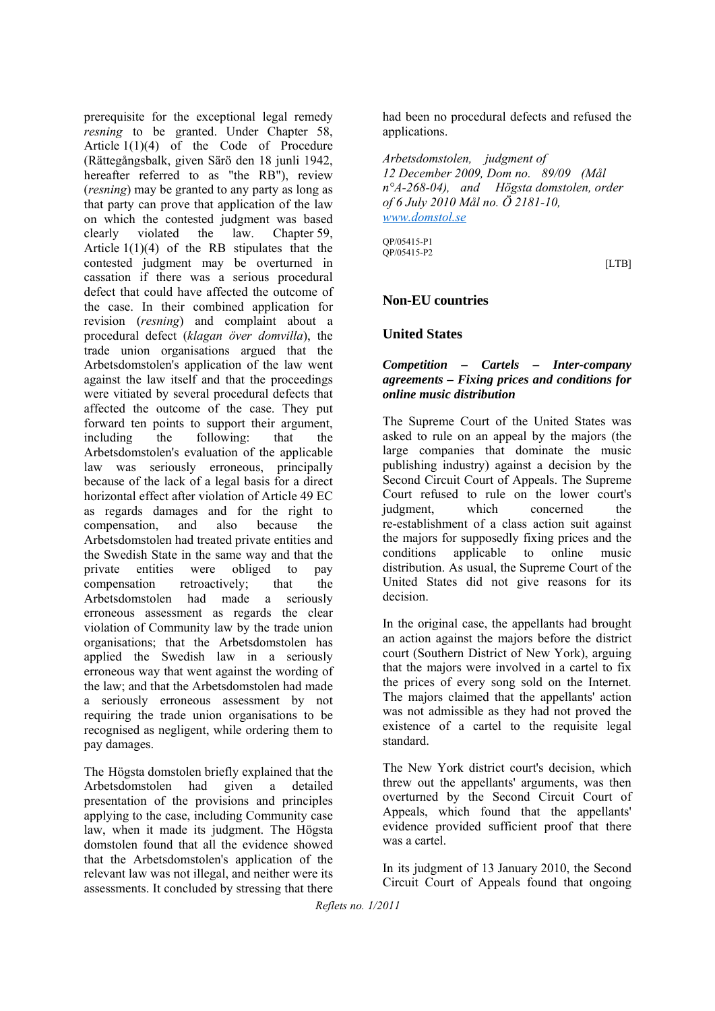prerequisite for the exceptional legal remedy *resning* to be granted. Under Chapter 58, Article 1(1)(4) of the Code of Procedure (Rättegångsbalk, given Särö den 18 junli 1942, hereafter referred to as "the RB"), review (*resning*) may be granted to any party as long as that party can prove that application of the law on which the contested judgment was based clearly violated the law. Chapter 59, Article 1(1)(4) of the RB stipulates that the contested judgment may be overturned in cassation if there was a serious procedural defect that could have affected the outcome of the case. In their combined application for revision (*resning*) and complaint about a procedural defect (*klagan över domvilla*), the trade union organisations argued that the Arbetsdomstolen's application of the law went against the law itself and that the proceedings were vitiated by several procedural defects that affected the outcome of the case. They put forward ten points to support their argument, including the following: that the Arbetsdomstolen's evaluation of the applicable law was seriously erroneous, principally because of the lack of a legal basis for a direct horizontal effect after violation of Article 49 EC as regards damages and for the right to compensation, and also because the Arbetsdomstolen had treated private entities and the Swedish State in the same way and that the private entities were obliged to pay compensation retroactively; that the Arbetsdomstolen had made a seriously erroneous assessment as regards the clear violation of Community law by the trade union organisations; that the Arbetsdomstolen has applied the Swedish law in a seriously erroneous way that went against the wording of the law; and that the Arbetsdomstolen had made a seriously erroneous assessment by not requiring the trade union organisations to be recognised as negligent, while ordering them to pay damages.

The Högsta domstolen briefly explained that the Arbetsdomstolen had given a detailed presentation of the provisions and principles applying to the case, including Community case law, when it made its judgment. The Högsta domstolen found that all the evidence showed that the Arbetsdomstolen's application of the relevant law was not illegal, and neither were its assessments. It concluded by stressing that there had been no procedural defects and refused the applications.

*Arbetsdomstolen, judgment of 12 December 2009, Dom no. 89/09 (Mål n°A-268-04), and Högsta domstolen, order of 6 July 2010 Mål no. Ö 2181-10, www.domstol.se*

QP/05415-P1 QP/05415-P2

[LTB]

#### **Non-EU countries**

#### **United States**

#### *Competition – Cartels – Inter-company agreements – Fixing prices and conditions for online music distribution*

The Supreme Court of the United States was asked to rule on an appeal by the majors (the large companies that dominate the music publishing industry) against a decision by the Second Circuit Court of Appeals. The Supreme Court refused to rule on the lower court's judgment, which concerned the re-establishment of a class action suit against the majors for supposedly fixing prices and the conditions applicable to online music distribution. As usual, the Supreme Court of the United States did not give reasons for its decision.

In the original case, the appellants had brought an action against the majors before the district court (Southern District of New York), arguing that the majors were involved in a cartel to fix the prices of every song sold on the Internet. The majors claimed that the appellants' action was not admissible as they had not proved the existence of a cartel to the requisite legal standard.

The New York district court's decision, which threw out the appellants' arguments, was then overturned by the Second Circuit Court of Appeals, which found that the appellants' evidence provided sufficient proof that there was a cartel.

In its judgment of 13 January 2010, the Second Circuit Court of Appeals found that ongoing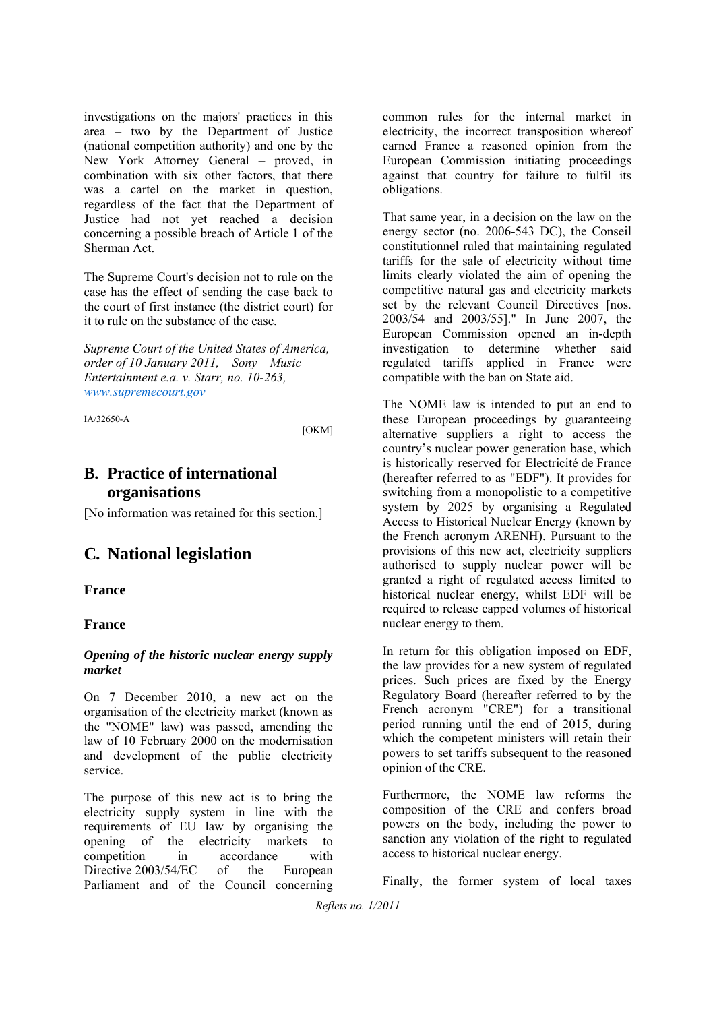investigations on the majors' practices in this area – two by the Department of Justice (national competition authority) and one by the New York Attorney General – proved, in combination with six other factors, that there was a cartel on the market in question, regardless of the fact that the Department of Justice had not yet reached a decision concerning a possible breach of Article 1 of the Sherman Act.

The Supreme Court's decision not to rule on the case has the effect of sending the case back to the court of first instance (the district court) for it to rule on the substance of the case.

*Supreme Court of the United States of America, order of 10 January 2011, Sony Music Entertainment e.a. v. Starr, no. 10-263, www.supremecourt.gov*

IA/32650-A

[OKM]

# **B. Practice of international organisations**

[No information was retained for this section.]

# **C. National legislation**

#### **France**

#### **France**

#### *Opening of the historic nuclear energy supply market*

On 7 December 2010, a new act on the organisation of the electricity market (known as the "NOME" law) was passed, amending the law of 10 February 2000 on the modernisation and development of the public electricity service.

The purpose of this new act is to bring the electricity supply system in line with the requirements of EU law by organising the opening of the electricity markets to competition in accordance with Directive 2003/54/EC of the European Parliament and of the Council concerning

common rules for the internal market in electricity, the incorrect transposition whereof earned France a reasoned opinion from the European Commission initiating proceedings against that country for failure to fulfil its obligations.

That same year, in a decision on the law on the energy sector (no. 2006-543 DC), the Conseil constitutionnel ruled that maintaining regulated tariffs for the sale of electricity without time limits clearly violated the aim of opening the competitive natural gas and electricity markets set by the relevant Council Directives [nos. 2003/54 and 2003/55]." In June 2007, the European Commission opened an in-depth investigation to determine whether said regulated tariffs applied in France were compatible with the ban on State aid.

The NOME law is intended to put an end to these European proceedings by guaranteeing alternative suppliers a right to access the country's nuclear power generation base, which is historically reserved for Electricité de France (hereafter referred to as "EDF"). It provides for switching from a monopolistic to a competitive system by 2025 by organising a Regulated Access to Historical Nuclear Energy (known by the French acronym ARENH). Pursuant to the provisions of this new act, electricity suppliers authorised to supply nuclear power will be granted a right of regulated access limited to historical nuclear energy, whilst EDF will be required to release capped volumes of historical nuclear energy to them.

In return for this obligation imposed on EDF, the law provides for a new system of regulated prices. Such prices are fixed by the Energy Regulatory Board (hereafter referred to by the French acronym "CRE") for a transitional period running until the end of 2015, during which the competent ministers will retain their powers to set tariffs subsequent to the reasoned opinion of the CRE.

Furthermore, the NOME law reforms the composition of the CRE and confers broad powers on the body, including the power to sanction any violation of the right to regulated access to historical nuclear energy.

Finally, the former system of local taxes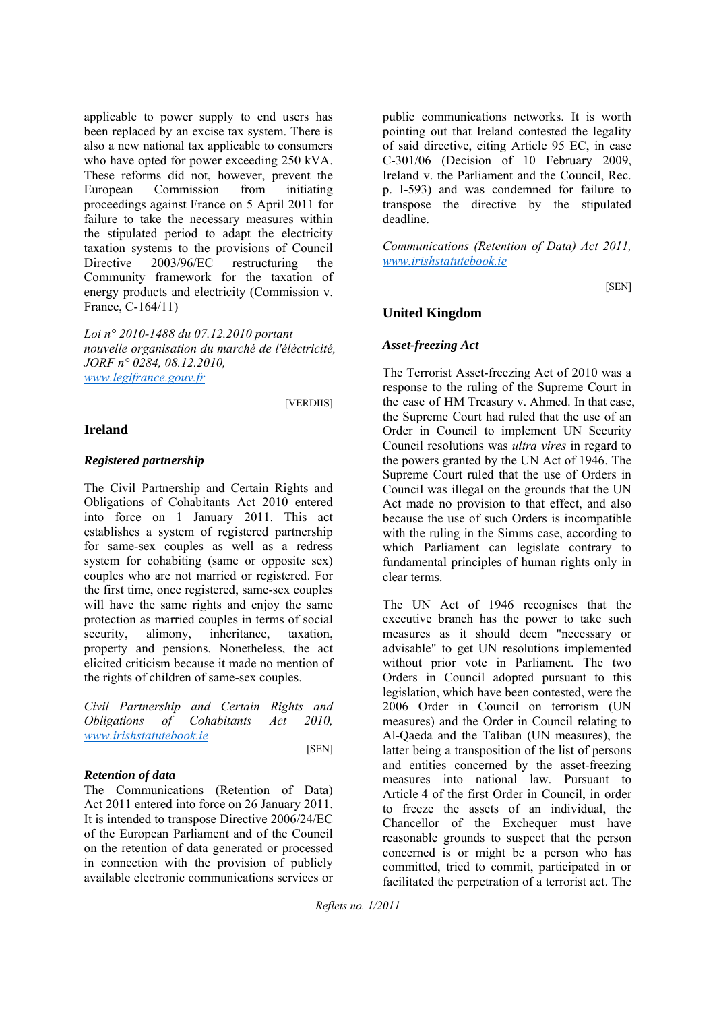applicable to power supply to end users has been replaced by an excise tax system. There is also a new national tax applicable to consumers who have opted for power exceeding 250 kVA. These reforms did not, however, prevent the European Commission from initiating proceedings against France on 5 April 2011 for failure to take the necessary measures within the stipulated period to adapt the electricity taxation systems to the provisions of Council Directive 2003/96/EC restructuring the Community framework for the taxation of energy products and electricity (Commission v. France, C-164/11)

*Loi n° 2010-1488 du 07.12.2010 portant nouvelle organisation du marché de l'éléctricité, JORF n° 0284, 08.12.2010, www.legifrance.gouv.fr*

[VERDIIS]

#### **Ireland**

#### *Registered partnership*

The Civil Partnership and Certain Rights and Obligations of Cohabitants Act 2010 entered into force on 1 January 2011. This act establishes a system of registered partnership for same-sex couples as well as a redress system for cohabiting (same or opposite sex) couples who are not married or registered. For the first time, once registered, same-sex couples will have the same rights and enjoy the same protection as married couples in terms of social security, alimony, inheritance, taxation, property and pensions. Nonetheless, the act elicited criticism because it made no mention of the rights of children of same-sex couples.

*Civil Partnership and Certain Rights and Obligations of Cohabitants Act 2010, www.irishstatutebook.ie* [SEN]

#### *Retention of data*

The Communications (Retention of Data) Act 2011 entered into force on 26 January 2011. It is intended to transpose Directive 2006/24/EC of the European Parliament and of the Council on the retention of data generated or processed in connection with the provision of publicly available electronic communications services or

public communications networks. It is worth pointing out that Ireland contested the legality of said directive, citing Article 95 EC, in case C-301/06 (Decision of 10 February 2009, Ireland v. the Parliament and the Council, Rec. p. I-593) and was condemned for failure to transpose the directive by the stipulated deadline.

*Communications (Retention of Data) Act 2011, www.irishstatutebook.ie*

[SEN]

#### **United Kingdom**

#### *Asset-freezing Act*

The Terrorist Asset-freezing Act of 2010 was a response to the ruling of the Supreme Court in the case of HM Treasury v. Ahmed. In that case, the Supreme Court had ruled that the use of an Order in Council to implement UN Security Council resolutions was *ultra vires* in regard to the powers granted by the UN Act of 1946. The Supreme Court ruled that the use of Orders in Council was illegal on the grounds that the UN Act made no provision to that effect, and also because the use of such Orders is incompatible with the ruling in the Simms case, according to which Parliament can legislate contrary to fundamental principles of human rights only in clear terms.

The UN Act of 1946 recognises that the executive branch has the power to take such measures as it should deem "necessary or advisable" to get UN resolutions implemented without prior vote in Parliament. The two Orders in Council adopted pursuant to this legislation, which have been contested, were the 2006 Order in Council on terrorism (UN measures) and the Order in Council relating to Al-Qaeda and the Taliban (UN measures), the latter being a transposition of the list of persons and entities concerned by the asset-freezing measures into national law. Pursuant to Article 4 of the first Order in Council, in order to freeze the assets of an individual, the Chancellor of the Exchequer must have reasonable grounds to suspect that the person concerned is or might be a person who has committed, tried to commit, participated in or facilitated the perpetration of a terrorist act. The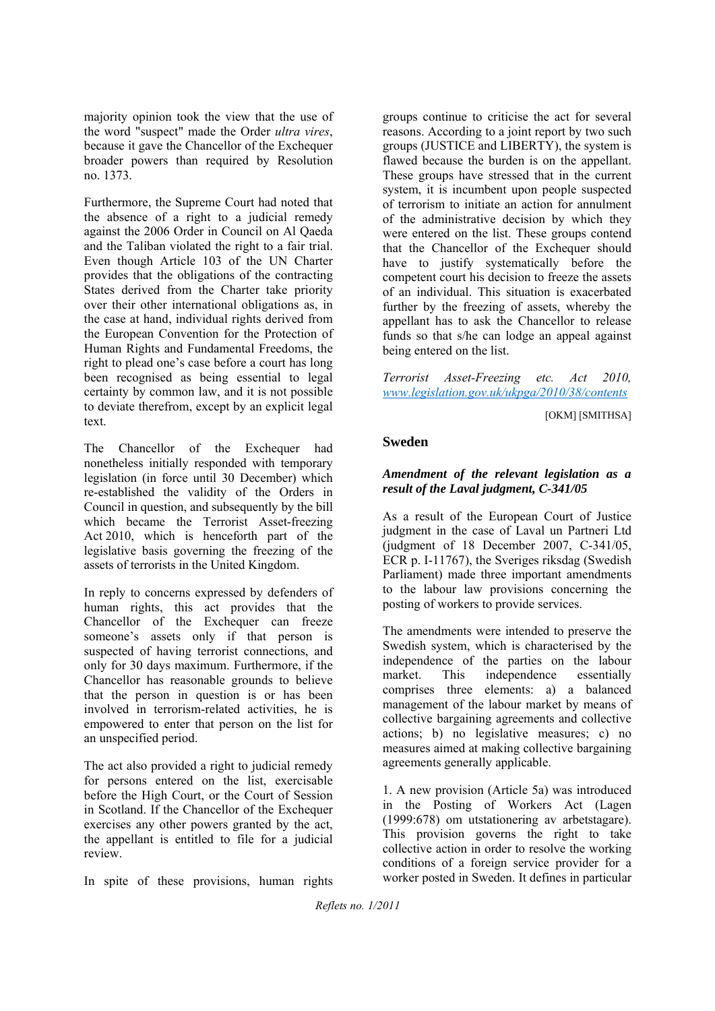majority opinion took the view that the use of the word "suspect" made the Order *ultra vires*, because it gave the Chancellor of the Exchequer broader powers than required by Resolution no. 1373.

Furthermore, the Supreme Court had noted that the absence of a right to a judicial remedy against the 2006 Order in Council on Al Qaeda and the Taliban violated the right to a fair trial. Even though Article 103 of the UN Charter provides that the obligations of the contracting States derived from the Charter take priority over their other international obligations as, in the case at hand, individual rights derived from the European Convention for the Protection of Human Rights and Fundamental Freedoms, the right to plead one's case before a court has long been recognised as being essential to legal certainty by common law, and it is not possible to deviate therefrom, except by an explicit legal text.

The Chancellor of the Exchequer had nonetheless initially responded with temporary legislation (in force until 30 December) which re-established the validity of the Orders in Council in question, and subsequently by the bill which became the Terrorist Asset-freezing Act 2010, which is henceforth part of the legislative basis governing the freezing of the assets of terrorists in the United Kingdom.

In reply to concerns expressed by defenders of human rights, this act provides that the Chancellor of the Exchequer can freeze someone's assets only if that person is suspected of having terrorist connections, and only for 30 days maximum. Furthermore, if the Chancellor has reasonable grounds to believe that the person in question is or has been involved in terrorism-related activities, he is empowered to enter that person on the list for an unspecified period.

The act also provided a right to judicial remedy for persons entered on the list, exercisable before the High Court, or the Court of Session in Scotland. If the Chancellor of the Exchequer exercises any other powers granted by the act, the appellant is entitled to file for a judicial review.

In spite of these provisions, human rights

groups continue to criticise the act for several reasons. According to a joint report by two such groups (JUSTICE and LIBERTY), the system is flawed because the burden is on the appellant. These groups have stressed that in the current system, it is incumbent upon people suspected of terrorism to initiate an action for annulment of the administrative decision by which they were entered on the list. These groups contend that the Chancellor of the Exchequer should have to justify systematically before the competent court his decision to freeze the assets of an individual. This situation is exacerbated further by the freezing of assets, whereby the appellant has to ask the Chancellor to release funds so that s/he can lodge an appeal against being entered on the list.

*Terrorist Asset-Freezing etc. Act 2010, www.legislation.gov.uk/ukpga/2010/38/contents*

[OKM] [SMITHSA]

#### **Sweden**

#### *Amendment of the relevant legislation as a result of the Laval judgment, C-341/05*

As a result of the European Court of Justice judgment in the case of Laval un Partneri Ltd (judgment of 18 December 2007, C-341/05, ECR p. I-11767), the Sveriges riksdag (Swedish Parliament) made three important amendments to the labour law provisions concerning the posting of workers to provide services.

The amendments were intended to preserve the Swedish system, which is characterised by the independence of the parties on the labour market. This independence essentially comprises three elements: a) a balanced management of the labour market by means of collective bargaining agreements and collective actions; b) no legislative measures; c) no measures aimed at making collective bargaining agreements generally applicable.

1. A new provision (Article 5a) was introduced in the Posting of Workers Act (Lagen (1999:678) om utstationering av arbetstagare). This provision governs the right to take collective action in order to resolve the working conditions of a foreign service provider for a worker posted in Sweden. It defines in particular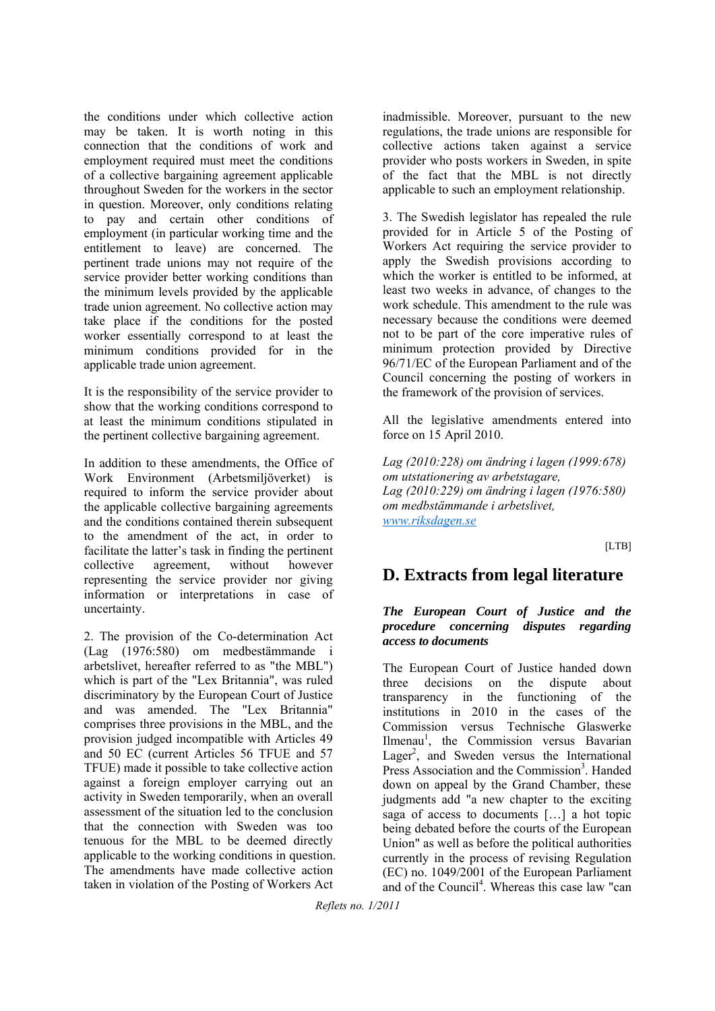the conditions under which collective action may be taken. It is worth noting in this connection that the conditions of work and employment required must meet the conditions of a collective bargaining agreement applicable throughout Sweden for the workers in the sector in question. Moreover, only conditions relating to pay and certain other conditions of employment (in particular working time and the entitlement to leave) are concerned. The pertinent trade unions may not require of the service provider better working conditions than the minimum levels provided by the applicable trade union agreement. No collective action may take place if the conditions for the posted worker essentially correspond to at least the minimum conditions provided for in the applicable trade union agreement.

It is the responsibility of the service provider to show that the working conditions correspond to at least the minimum conditions stipulated in the pertinent collective bargaining agreement.

In addition to these amendments, the Office of Work Environment (Arbetsmiljöverket) is required to inform the service provider about the applicable collective bargaining agreements and the conditions contained therein subsequent to the amendment of the act, in order to facilitate the latter's task in finding the pertinent collective agreement, without however representing the service provider nor giving information or interpretations in case of uncertainty.

2. The provision of the Co-determination Act (Lag (1976:580) om medbestämmande i arbetslivet, hereafter referred to as "the MBL") which is part of the "Lex Britannia", was ruled discriminatory by the European Court of Justice and was amended. The "Lex Britannia" comprises three provisions in the MBL, and the provision judged incompatible with Articles 49 and 50 EC (current Articles 56 TFUE and 57 TFUE) made it possible to take collective action against a foreign employer carrying out an activity in Sweden temporarily, when an overall assessment of the situation led to the conclusion that the connection with Sweden was too tenuous for the MBL to be deemed directly applicable to the working conditions in question. The amendments have made collective action taken in violation of the Posting of Workers Act

inadmissible. Moreover, pursuant to the new regulations, the trade unions are responsible for collective actions taken against a service provider who posts workers in Sweden, in spite of the fact that the MBL is not directly applicable to such an employment relationship.

3. The Swedish legislator has repealed the rule provided for in Article 5 of the Posting of Workers Act requiring the service provider to apply the Swedish provisions according to which the worker is entitled to be informed, at least two weeks in advance, of changes to the work schedule. This amendment to the rule was necessary because the conditions were deemed not to be part of the core imperative rules of minimum protection provided by Directive 96/71/EC of the European Parliament and of the Council concerning the posting of workers in the framework of the provision of services.

All the legislative amendments entered into force on 15 April 2010.

*Lag (2010:228) om ändring i lagen (1999:678) om utstationering av arbetstagare, Lag (2010:229) om ändring i lagen (1976:580) om medbstämmande i arbetslivet, www.riksdagen.se*

[LTB]

# **D. Extracts from legal literature**

#### *The European Court of Justice and the procedure concerning disputes regarding access to documents*

The European Court of Justice handed down three decisions on the dispute about transparency in the functioning of the institutions in 2010 in the cases of the Commission versus Technische Glaswerke Ilmenau<sup>1</sup>, the Commission versus Bavarian Lager<sup>2</sup>, and Sweden versus the International Press Association and the Commission<sup>3</sup>. Handed down on appeal by the Grand Chamber, these judgments add "a new chapter to the exciting saga of access to documents […] a hot topic being debated before the courts of the European Union" as well as before the political authorities currently in the process of revising Regulation (EC) no. 1049/2001 of the European Parliament and of the Council<sup>4</sup>. Whereas this case law "can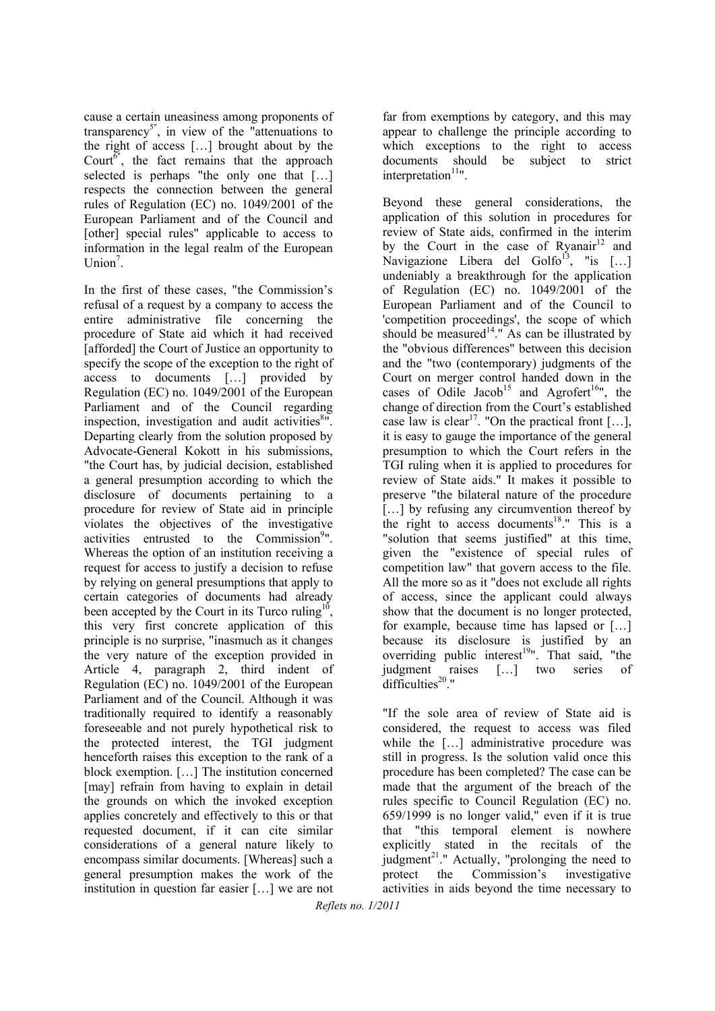cause a certain uneasiness among proponents of transparency<sup>5"</sup>, in view of the "attenuations to the right of access […] brought about by the Court $\overline{6}$ ", the fact remains that the approach selected is perhaps "the only one that […] respects the connection between the general rules of Regulation (EC) no. 1049/2001 of the European Parliament and of the Council and [other] special rules" applicable to access to information in the legal realm of the European Union<sup>7</sup>.

In the first of these cases, "the Commission's refusal of a request by a company to access the entire administrative file concerning the procedure of State aid which it had received [afforded] the Court of Justice an opportunity to specify the scope of the exception to the right of access to documents […] provided by Regulation (EC) no. 1049/2001 of the European Parliament and of the Council regarding inspection, investigation and audit activities $8"$ . Departing clearly from the solution proposed by Advocate-General Kokott in his submissions, "the Court has, by judicial decision, established a general presumption according to which the disclosure of documents pertaining to a procedure for review of State aid in principle violates the objectives of the investigative activities entrusted to the Commission<sup>9</sup>". Whereas the option of an institution receiving a request for access to justify a decision to refuse by relying on general presumptions that apply to certain categories of documents had already been accepted by the Court in its Turco ruling<sup>10</sup> this very first concrete application of this principle is no surprise, "inasmuch as it changes the very nature of the exception provided in Article 4, paragraph 2, third indent of Regulation (EC) no. 1049/2001 of the European Parliament and of the Council. Although it was traditionally required to identify a reasonably foreseeable and not purely hypothetical risk to the protected interest, the TGI judgment henceforth raises this exception to the rank of a block exemption. […] The institution concerned [may] refrain from having to explain in detail the grounds on which the invoked exception applies concretely and effectively to this or that requested document, if it can cite similar considerations of a general nature likely to encompass similar documents. [Whereas] such a general presumption makes the work of the institution in question far easier […] we are not

far from exemptions by category, and this may appear to challenge the principle according to which exceptions to the right to access documents should be subject to strict  $interpretation<sup>11</sup>$ .

Beyond these general considerations, the application of this solution in procedures for review of State aids, confirmed in the interim by the Court in the case of Ryanair<sup>12</sup> and Navigazione Libera del Golfo<sup>13</sup>, "is  $[...]$ undeniably a breakthrough for the application of Regulation (EC) no. 1049/2001 of the European Parliament and of the Council to 'competition proceedings', the scope of which should be measured<sup>14</sup>." As can be illustrated by the "obvious differences" between this decision and the "two (contemporary) judgments of the Court on merger control handed down in the cases of Odile Jacob<sup>15</sup> and Agrofert<sup>16</sup>", the change of direction from the Court's established case law is clear<sup>17</sup>. "On the practical front [...], it is easy to gauge the importance of the general presumption to which the Court refers in the TGI ruling when it is applied to procedures for review of State aids." It makes it possible to preserve "the bilateral nature of the procedure [...] by refusing any circumvention thereof by the right to access documents<sup>18</sup>." This is a "solution that seems justified" at this time, given the "existence of special rules of competition law" that govern access to the file. All the more so as it "does not exclude all rights of access, since the applicant could always show that the document is no longer protected, for example, because time has lapsed or […] because its disclosure is justified by an overriding public interest<sup>19</sup>". That said, "the judgment raises […] two series of difficulties $20$ ."

"If the sole area of review of State aid is considered, the request to access was filed while the [...] administrative procedure was still in progress. Is the solution valid once this procedure has been completed? The case can be made that the argument of the breach of the rules specific to Council Regulation (EC) no. 659/1999 is no longer valid," even if it is true that "this temporal element is nowhere explicitly stated in the recitals of the judgment<sup>21</sup>." Actually, "prolonging the need to protect the Commission's investigative activities in aids beyond the time necessary to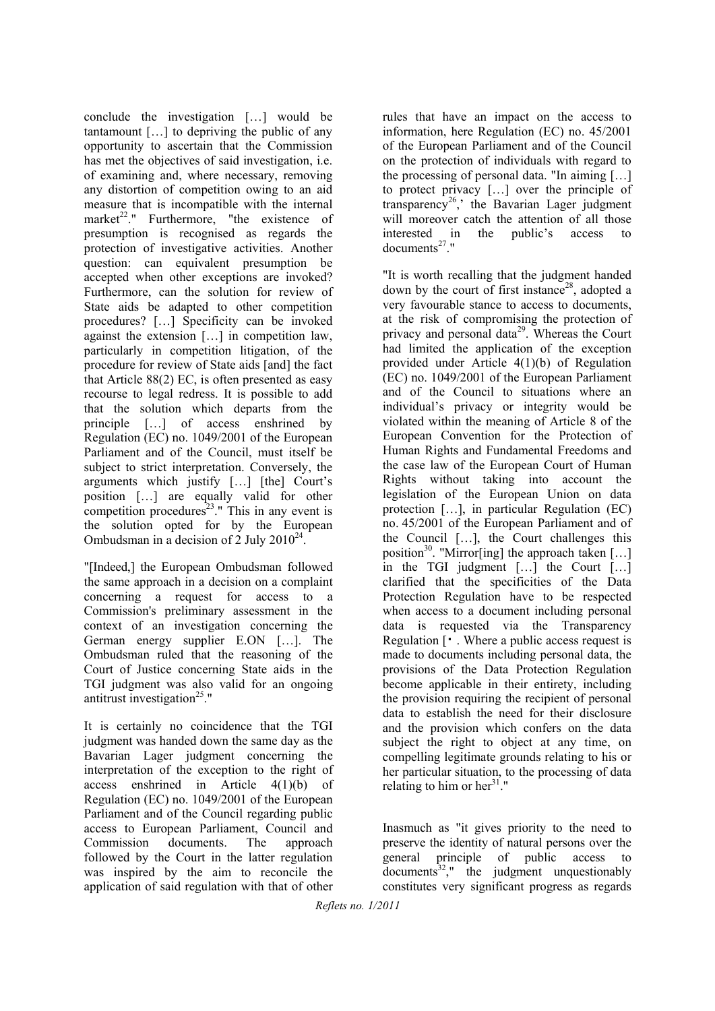conclude the investigation […] would be tantamount […] to depriving the public of any opportunity to ascertain that the Commission has met the objectives of said investigation, i.e. of examining and, where necessary, removing any distortion of competition owing to an aid measure that is incompatible with the internal market<sup>22</sup>." Furthermore, "the existence of presumption is recognised as regards the protection of investigative activities. Another question: can equivalent presumption be accepted when other exceptions are invoked? Furthermore, can the solution for review of State aids be adapted to other competition procedures? […] Specificity can be invoked against the extension […] in competition law, particularly in competition litigation, of the procedure for review of State aids [and] the fact that Article 88(2) EC, is often presented as easy recourse to legal redress. It is possible to add that the solution which departs from the principle […] of access enshrined by Regulation (EC) no. 1049/2001 of the European Parliament and of the Council, must itself be subject to strict interpretation. Conversely, the arguments which justify […] [the] Court's position […] are equally valid for other competition procedures<sup>23</sup>." This in any event is the solution opted for by the European Ombudsman in a decision of 2 July  $2010^{24}$ .

"[Indeed,] the European Ombudsman followed the same approach in a decision on a complaint concerning a request for access to a Commission's preliminary assessment in the context of an investigation concerning the German energy supplier E.ON […]. The Ombudsman ruled that the reasoning of the Court of Justice concerning State aids in the TGI judgment was also valid for an ongoing antitrust investigation $25$ ."

It is certainly no coincidence that the TGI judgment was handed down the same day as the Bavarian Lager judgment concerning the interpretation of the exception to the right of access enshrined in Article 4(1)(b) of Regulation (EC) no. 1049/2001 of the European Parliament and of the Council regarding public access to European Parliament, Council and Commission documents. The approach followed by the Court in the latter regulation was inspired by the aim to reconcile the application of said regulation with that of other

rules that have an impact on the access to information, here Regulation (EC) no. 45/2001 of the European Parliament and of the Council on the protection of individuals with regard to the processing of personal data. "In aiming […] to protect privacy […] over the principle of transparency<sup>26</sup>, the Bavarian Lager judgment will moreover catch the attention of all those interested in the public's access to documents<sup>27</sup>"

"It is worth recalling that the judgment handed down by the court of first instance<sup>28</sup>, adopted a very favourable stance to access to documents, at the risk of compromising the protection of privacy and personal data<sup>29</sup>. Whereas the Court had limited the application of the exception provided under Article 4(1)(b) of Regulation (EC) no. 1049/2001 of the European Parliament and of the Council to situations where an individual's privacy or integrity would be violated within the meaning of Article 8 of the European Convention for the Protection of Human Rights and Fundamental Freedoms and the case law of the European Court of Human Rights without taking into account the legislation of the European Union on data protection […], in particular Regulation (EC) no. 45/2001 of the European Parliament and of the Council […], the Court challenges this position<sup>30</sup>. "Mirror[ing] the approach taken [...] in the TGI judgment […] the Court […] clarified that the specificities of the Data Protection Regulation have to be respected when access to a document including personal data is requested via the Transparency Regulation [・ . Where a public access request is made to documents including personal data, the provisions of the Data Protection Regulation become applicable in their entirety, including the provision requiring the recipient of personal data to establish the need for their disclosure and the provision which confers on the data subject the right to object at any time, on compelling legitimate grounds relating to his or her particular situation, to the processing of data relating to him or her $31$ ."

Inasmuch as "it gives priority to the need to preserve the identity of natural persons over the general principle of public access to  $documents<sup>32</sup>,"$  the judgment unquestionably constitutes very significant progress as regards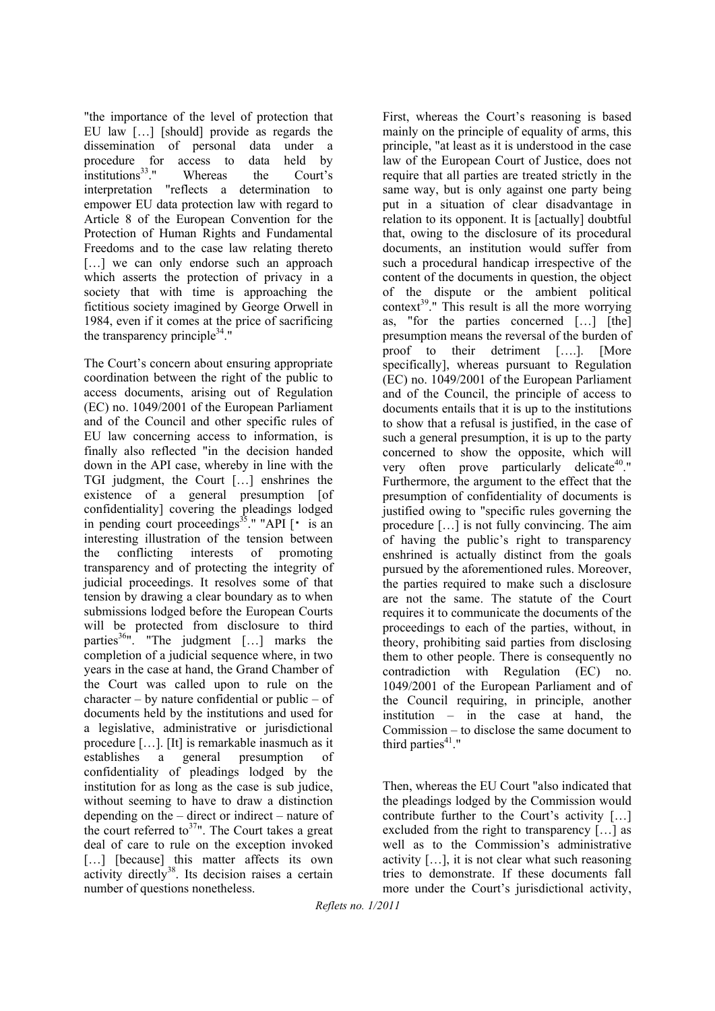"the importance of the level of protection that EU law […] [should] provide as regards the dissemination of personal data under a procedure for access to data held by institutions<sup>33</sup>." Whereas the Court's interpretation "reflects a determination to empower EU data protection law with regard to Article 8 of the European Convention for the Protection of Human Rights and Fundamental Freedoms and to the case law relating thereto [...] we can only endorse such an approach which asserts the protection of privacy in a society that with time is approaching the fictitious society imagined by George Orwell in 1984, even if it comes at the price of sacrificing the transparency principle $34$ ."

The Court's concern about ensuring appropriate coordination between the right of the public to access documents, arising out of Regulation (EC) no. 1049/2001 of the European Parliament and of the Council and other specific rules of EU law concerning access to information, is finally also reflected "in the decision handed down in the API case, whereby in line with the TGI judgment, the Court […] enshrines the existence of a general presumption [of confidentiality] covering the pleadings lodged in pending court proceedings<sup>35</sup>." "API  $\lceil \cdot \rceil$  is an interesting illustration of the tension between the conflicting interests of promoting transparency and of protecting the integrity of judicial proceedings. It resolves some of that tension by drawing a clear boundary as to when submissions lodged before the European Courts will be protected from disclosure to third parties $^{36}$ ". "The judgment [...] marks the completion of a judicial sequence where, in two years in the case at hand, the Grand Chamber of the Court was called upon to rule on the  $character - by nature confidential or public - of$ documents held by the institutions and used for a legislative, administrative or jurisdictional procedure […]. [It] is remarkable inasmuch as it establishes a general presumption of confidentiality of pleadings lodged by the institution for as long as the case is sub judice, without seeming to have to draw a distinction depending on the – direct or indirect – nature of the court referred to<sup>37</sup>". The Court takes a great deal of care to rule on the exception invoked [...] [because] this matter affects its own activity directly<sup>38</sup>. Its decision raises a certain number of questions nonetheless.

First, whereas the Court's reasoning is based mainly on the principle of equality of arms, this principle, "at least as it is understood in the case law of the European Court of Justice, does not require that all parties are treated strictly in the same way, but is only against one party being put in a situation of clear disadvantage in relation to its opponent. It is [actually] doubtful that, owing to the disclosure of its procedural documents, an institution would suffer from such a procedural handicap irrespective of the content of the documents in question, the object of the dispute or the ambient political context<sup>39</sup>." This result is all the more worrying as, "for the parties concerned […] [the] presumption means the reversal of the burden of proof to their detriment [….]. [More specifically], whereas pursuant to Regulation (EC) no. 1049/2001 of the European Parliament and of the Council, the principle of access to documents entails that it is up to the institutions to show that a refusal is justified, in the case of such a general presumption, it is up to the party concerned to show the opposite, which will very often prove particularly delicate<sup>40</sup>." Furthermore, the argument to the effect that the presumption of confidentiality of documents is justified owing to "specific rules governing the procedure […] is not fully convincing. The aim of having the public's right to transparency enshrined is actually distinct from the goals pursued by the aforementioned rules. Moreover, the parties required to make such a disclosure are not the same. The statute of the Court requires it to communicate the documents of the proceedings to each of the parties, without, in theory, prohibiting said parties from disclosing them to other people. There is consequently no contradiction with Regulation (EC) no. 1049/2001 of the European Parliament and of the Council requiring, in principle, another institution – in the case at hand, the Commission – to disclose the same document to third parties $41$ ."

Then, whereas the EU Court "also indicated that the pleadings lodged by the Commission would contribute further to the Court's activity […] excluded from the right to transparency […] as well as to the Commission's administrative activity […], it is not clear what such reasoning tries to demonstrate. If these documents fall more under the Court's jurisdictional activity,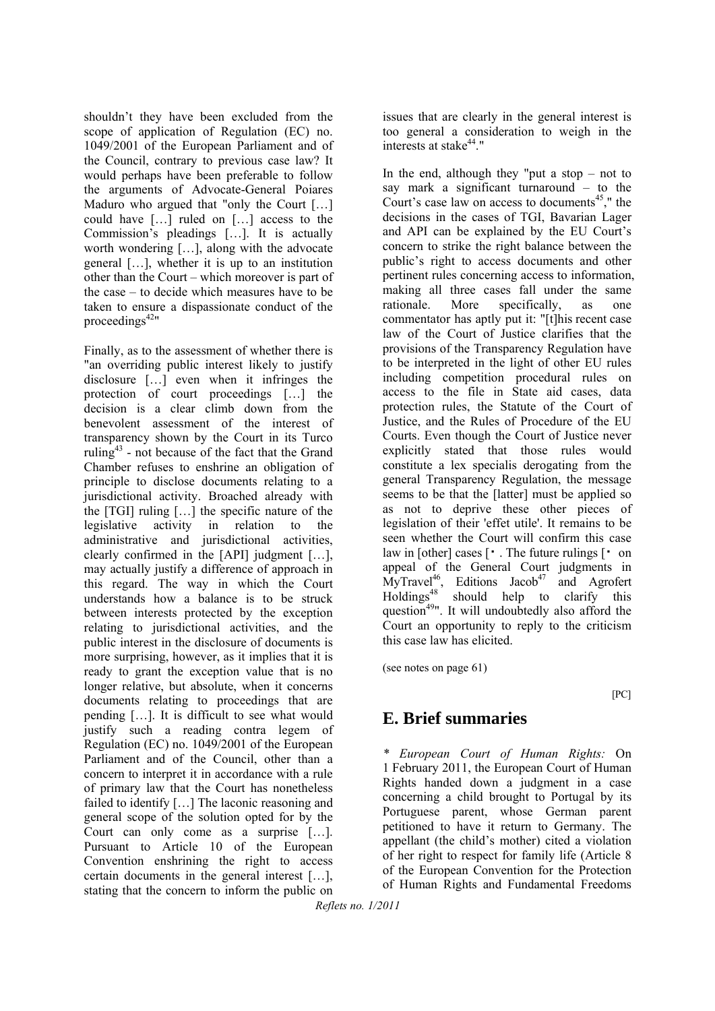shouldn't they have been excluded from the scope of application of Regulation (EC) no. 1049/2001 of the European Parliament and of the Council, contrary to previous case law? It would perhaps have been preferable to follow the arguments of Advocate-General Poiares Maduro who argued that "only the Court […] could have […] ruled on […] access to the Commission's pleadings […]. It is actually worth wondering […], along with the advocate general […], whether it is up to an institution other than the Court – which moreover is part of the case – to decide which measures have to be taken to ensure a dispassionate conduct of the proceedings $42$ "

Finally, as to the assessment of whether there is "an overriding public interest likely to justify disclosure […] even when it infringes the protection of court proceedings […] the decision is a clear climb down from the benevolent assessment of the interest of transparency shown by the Court in its Turco ruling<sup>43</sup> - not because of the fact that the Grand Chamber refuses to enshrine an obligation of principle to disclose documents relating to a jurisdictional activity. Broached already with the [TGI] ruling […] the specific nature of the legislative activity in relation to the administrative and jurisdictional activities, clearly confirmed in the [API] judgment […], may actually justify a difference of approach in this regard. The way in which the Court understands how a balance is to be struck between interests protected by the exception relating to jurisdictional activities, and the public interest in the disclosure of documents is more surprising, however, as it implies that it is ready to grant the exception value that is no longer relative, but absolute, when it concerns documents relating to proceedings that are pending […]. It is difficult to see what would justify such a reading contra legem of Regulation (EC) no. 1049/2001 of the European Parliament and of the Council, other than a concern to interpret it in accordance with a rule of primary law that the Court has nonetheless failed to identify […] The laconic reasoning and general scope of the solution opted for by the Court can only come as a surprise […]. Pursuant to Article 10 of the European Convention enshrining the right to access certain documents in the general interest […], stating that the concern to inform the public on

issues that are clearly in the general interest is too general a consideration to weigh in the interests at stake $44$ ."

In the end, although they "put a stop  $-$  not to say mark a significant turnaround – to the Court's case law on access to documents<sup>45</sup>," the decisions in the cases of TGI, Bavarian Lager and API can be explained by the EU Court's concern to strike the right balance between the public's right to access documents and other pertinent rules concerning access to information, making all three cases fall under the same rationale. More specifically, as one commentator has aptly put it: "[t]his recent case law of the Court of Justice clarifies that the provisions of the Transparency Regulation have to be interpreted in the light of other EU rules including competition procedural rules on access to the file in State aid cases, data protection rules, the Statute of the Court of Justice, and the Rules of Procedure of the EU Courts. Even though the Court of Justice never explicitly stated that those rules would constitute a lex specialis derogating from the general Transparency Regulation, the message seems to be that the [latter] must be applied so as not to deprive these other pieces of legislation of their 'effet utile'. It remains to be seen whether the Court will confirm this case law in [other] cases  $\lceil \cdot \rceil$ . The future rulings  $\lceil \cdot \rceil$  on appeal of the General Court judgments in  $MyTravel<sup>46</sup>$ , Editions Jacob<sup>47</sup> and Agrofert Holdings<sup>48</sup> should help to clarify this question<sup>49</sup>". It will undoubtedly also afford the Court an opportunity to reply to the criticism this case law has elicited.

(see notes on page 61)

[PC]

# **E. Brief summaries**

*\* European Court of Human Rights:* On 1 February 2011, the European Court of Human Rights handed down a judgment in a case concerning a child brought to Portugal by its Portuguese parent, whose German parent petitioned to have it return to Germany. The appellant (the child's mother) cited a violation of her right to respect for family life (Article 8 of the European Convention for the Protection of Human Rights and Fundamental Freedoms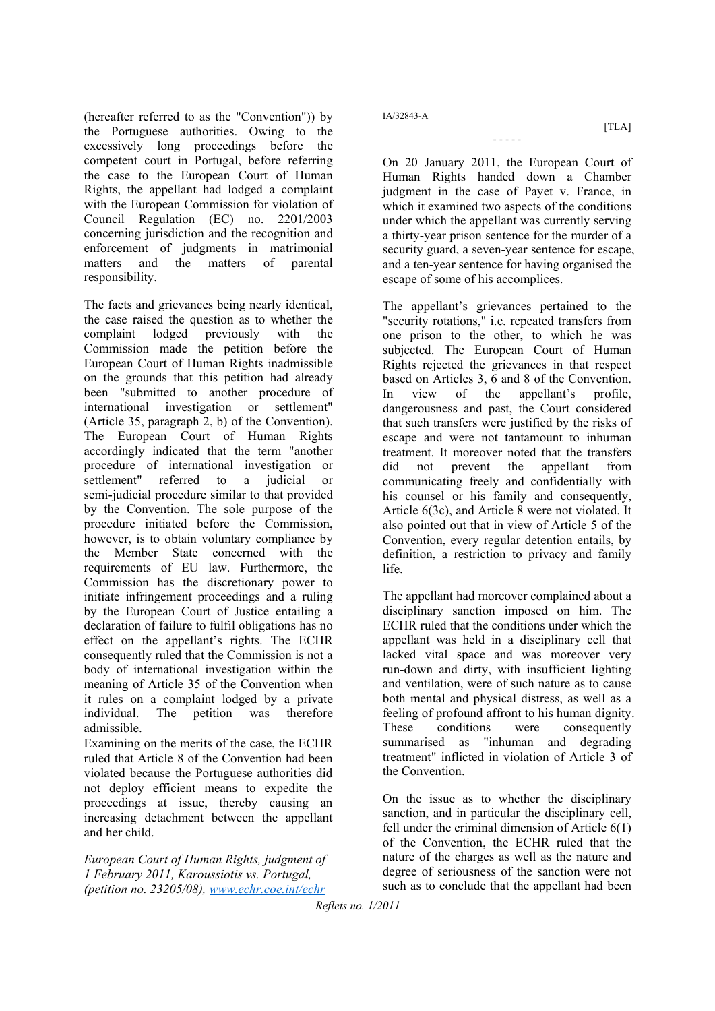(hereafter referred to as the "Convention")) by the Portuguese authorities. Owing to the excessively long proceedings before the competent court in Portugal, before referring the case to the European Court of Human Rights, the appellant had lodged a complaint with the European Commission for violation of Council Regulation (EC) no. 2201/2003 concerning jurisdiction and the recognition and enforcement of judgments in matrimonial matters and the matters of parental responsibility.

The facts and grievances being nearly identical, the case raised the question as to whether the complaint lodged previously with the Commission made the petition before the European Court of Human Rights inadmissible on the grounds that this petition had already been "submitted to another procedure of international investigation or settlement" (Article 35, paragraph 2, b) of the Convention). The European Court of Human Rights accordingly indicated that the term "another procedure of international investigation or settlement" referred to a judicial or semi-judicial procedure similar to that provided by the Convention. The sole purpose of the procedure initiated before the Commission, however, is to obtain voluntary compliance by the Member State concerned with the requirements of EU law. Furthermore, the Commission has the discretionary power to initiate infringement proceedings and a ruling by the European Court of Justice entailing a declaration of failure to fulfil obligations has no effect on the appellant's rights. The ECHR consequently ruled that the Commission is not a body of international investigation within the meaning of Article 35 of the Convention when it rules on a complaint lodged by a private individual. The petition was therefore admissible.

Examining on the merits of the case, the ECHR ruled that Article 8 of the Convention had been violated because the Portuguese authorities did not deploy efficient means to expedite the proceedings at issue, thereby causing an increasing detachment between the appellant and her child.

*European Court of Human Rights, judgment of 1 February 2011, Karoussiotis vs. Portugal, (petition no. 23205/08), www.echr.coe.int/echr*

IA/32843-A

 $[TLA]$ 

On 20 January 2011, the European Court of Human Rights handed down a Chamber judgment in the case of Payet v. France, in which it examined two aspects of the conditions under which the appellant was currently serving a thirty-year prison sentence for the murder of a security guard, a seven-year sentence for escape, and a ten-year sentence for having organised the escape of some of his accomplices.

- - - - -

The appellant's grievances pertained to the "security rotations," i.e. repeated transfers from one prison to the other, to which he was subjected. The European Court of Human Rights rejected the grievances in that respect based on Articles 3, 6 and 8 of the Convention. In view of the appellant's profile, dangerousness and past, the Court considered that such transfers were justified by the risks of escape and were not tantamount to inhuman treatment. It moreover noted that the transfers did not prevent the appellant from communicating freely and confidentially with his counsel or his family and consequently, Article 6(3c), and Article 8 were not violated. It also pointed out that in view of Article 5 of the Convention, every regular detention entails, by definition, a restriction to privacy and family life.

The appellant had moreover complained about a disciplinary sanction imposed on him. The ECHR ruled that the conditions under which the appellant was held in a disciplinary cell that lacked vital space and was moreover very run-down and dirty, with insufficient lighting and ventilation, were of such nature as to cause both mental and physical distress, as well as a feeling of profound affront to his human dignity. These conditions were consequently summarised as "inhuman and degrading treatment" inflicted in violation of Article 3 of the Convention.

On the issue as to whether the disciplinary sanction, and in particular the disciplinary cell, fell under the criminal dimension of Article 6(1) of the Convention, the ECHR ruled that the nature of the charges as well as the nature and degree of seriousness of the sanction were not such as to conclude that the appellant had been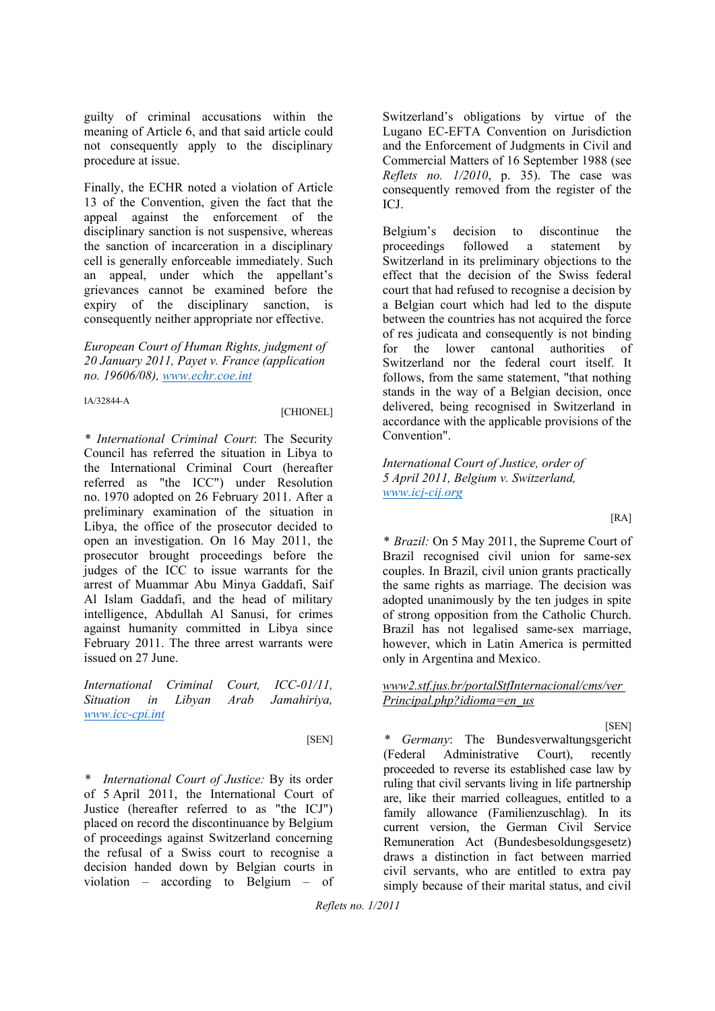guilty of criminal accusations within the meaning of Article 6, and that said article could not consequently apply to the disciplinary procedure at issue.

Finally, the ECHR noted a violation of Article 13 of the Convention, given the fact that the appeal against the enforcement of the disciplinary sanction is not suspensive, whereas the sanction of incarceration in a disciplinary cell is generally enforceable immediately. Such an appeal, under which the appellant's grievances cannot be examined before the expiry of the disciplinary sanction, is consequently neither appropriate nor effective.

*European Court of Human Rights, judgment of 20 January 2011, Payet v. France (application no. 19606/08), www.echr.coe.int*

IA/32844-A

[CHIONEL]

*\* International Criminal Court*: The Security Council has referred the situation in Libya to the International Criminal Court (hereafter referred as "the ICC") under Resolution no. 1970 adopted on 26 February 2011. After a preliminary examination of the situation in Libya, the office of the prosecutor decided to open an investigation. On 16 May 2011, the prosecutor brought proceedings before the judges of the ICC to issue warrants for the arrest of Muammar Abu Minya Gaddafi, Saif Al Islam Gaddafi, and the head of military intelligence, Abdullah Al Sanusi, for crimes against humanity committed in Libya since February 2011. The three arrest warrants were issued on 27 June.

*International Criminal Court, ICC-01/11, Situation in Libyan Arab Jamahiriya, www.icc-cpi.int*

[SEN]

*\* International Court of Justice:* By its order of 5 April 2011, the International Court of Justice (hereafter referred to as "the ICJ") placed on record the discontinuance by Belgium of proceedings against Switzerland concerning the refusal of a Swiss court to recognise a decision handed down by Belgian courts in violation – according to Belgium – of

Switzerland's obligations by virtue of the Lugano EC-EFTA Convention on Jurisdiction and the Enforcement of Judgments in Civil and Commercial Matters of 16 September 1988 (see *Reflets no. 1/2010*, p. 35). The case was consequently removed from the register of the ICJ.

Belgium's decision to discontinue the proceedings followed a statement by Switzerland in its preliminary objections to the effect that the decision of the Swiss federal court that had refused to recognise a decision by a Belgian court which had led to the dispute between the countries has not acquired the force of res judicata and consequently is not binding for the lower cantonal authorities of Switzerland nor the federal court itself. It follows, from the same statement, "that nothing stands in the way of a Belgian decision, once delivered, being recognised in Switzerland in accordance with the applicable provisions of the Convention".

*International Court of Justice, order of 5 April 2011, Belgium v. Switzerland, www.icj-cij.org*

 $[RA]$ 

*\* Brazil:* On 5 May 2011, the Supreme Court of Brazil recognised civil union for same-sex couples. In Brazil, civil union grants practically the same rights as marriage. The decision was adopted unanimously by the ten judges in spite of strong opposition from the Catholic Church. Brazil has not legalised same-sex marriage, however, which in Latin America is permitted only in Argentina and Mexico.

#### *www2.stf.jus.br/portalStfInternacional/cms/ver Principal.php?idioma=en\_us*

[SEN]

*\* Germany*: The Bundesverwaltungsgericht (Federal Administrative Court), recently proceeded to reverse its established case law by ruling that civil servants living in life partnership are, like their married colleagues, entitled to a family allowance (Familienzuschlag). In its current version, the German Civil Service Remuneration Act (Bundesbesoldungsgesetz) draws a distinction in fact between married civil servants, who are entitled to extra pay simply because of their marital status, and civil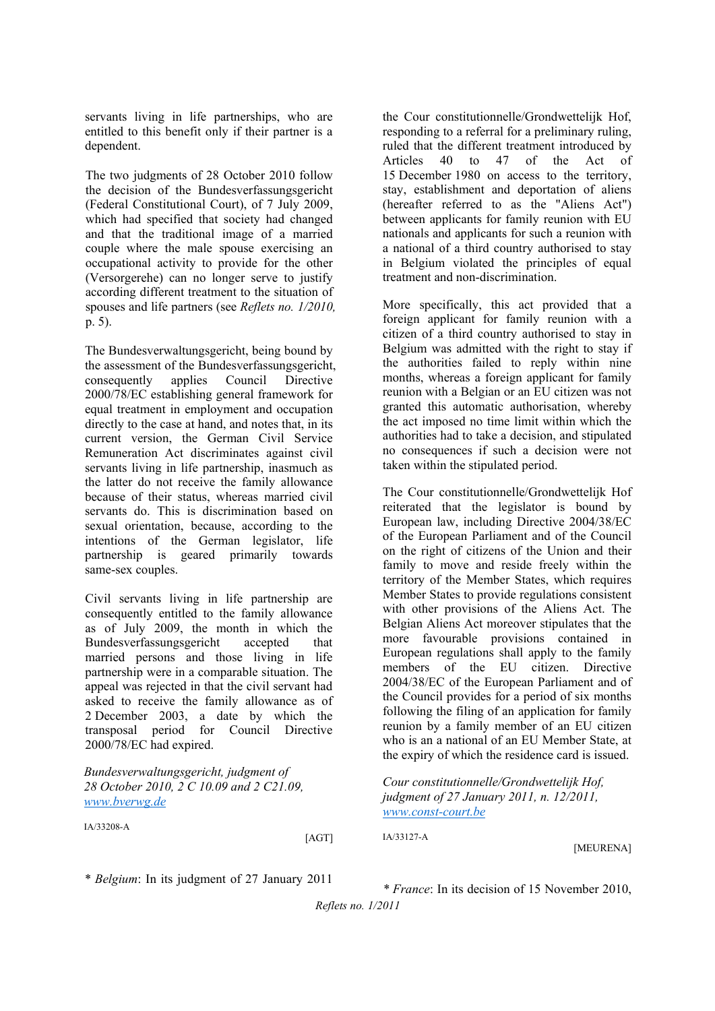servants living in life partnerships, who are entitled to this benefit only if their partner is a dependent.

The two judgments of 28 October 2010 follow the decision of the Bundesverfassungsgericht (Federal Constitutional Court), of 7 July 2009, which had specified that society had changed and that the traditional image of a married couple where the male spouse exercising an occupational activity to provide for the other (Versorgerehe) can no longer serve to justify according different treatment to the situation of spouses and life partners (see *Reflets no. 1/2010,*  p. 5).

The Bundesverwaltungsgericht, being bound by the assessment of the Bundesverfassungsgericht, consequently applies Council Directive 2000/78/EC establishing general framework for equal treatment in employment and occupation directly to the case at hand, and notes that, in its current version, the German Civil Service Remuneration Act discriminates against civil servants living in life partnership, inasmuch as the latter do not receive the family allowance because of their status, whereas married civil servants do. This is discrimination based on sexual orientation, because, according to the intentions of the German legislator, life partnership is geared primarily towards same-sex couples.

Civil servants living in life partnership are consequently entitled to the family allowance as of July 2009, the month in which the Bundesverfassungsgericht accepted that married persons and those living in life partnership were in a comparable situation. The appeal was rejected in that the civil servant had asked to receive the family allowance as of 2 December 2003, a date by which the transposal period for Council Directive 2000/78/EC had expired.

*Bundesverwaltungsgericht, judgment of 28 October 2010, 2 C 10.09 and 2 C21.09, www.bverwg.de*

IA/33208-A

[AGT]

the Cour constitutionnelle/Grondwettelijk Hof, responding to a referral for a preliminary ruling, ruled that the different treatment introduced by Articles 40 to 47 of the Act of 15 December 1980 on access to the territory, stay, establishment and deportation of aliens (hereafter referred to as the "Aliens Act") between applicants for family reunion with EU nationals and applicants for such a reunion with a national of a third country authorised to stay in Belgium violated the principles of equal treatment and non-discrimination.

More specifically, this act provided that a foreign applicant for family reunion with a citizen of a third country authorised to stay in Belgium was admitted with the right to stay if the authorities failed to reply within nine months, whereas a foreign applicant for family reunion with a Belgian or an EU citizen was not granted this automatic authorisation, whereby the act imposed no time limit within which the authorities had to take a decision, and stipulated no consequences if such a decision were not taken within the stipulated period.

The Cour constitutionnelle/Grondwettelijk Hof reiterated that the legislator is bound by European law, including Directive 2004/38/EC of the European Parliament and of the Council on the right of citizens of the Union and their family to move and reside freely within the territory of the Member States, which requires Member States to provide regulations consistent with other provisions of the Aliens Act. The Belgian Aliens Act moreover stipulates that the more favourable provisions contained in European regulations shall apply to the family members of the EU citizen. Directive 2004/38/EC of the European Parliament and of the Council provides for a period of six months following the filing of an application for family reunion by a family member of an EU citizen who is an a national of an EU Member State, at the expiry of which the residence card is issued.

*Cour constitutionnelle/Grondwettelijk Hof, judgment of 27 January 2011, n. 12/2011, www.const-court.be*

*\* Belgium*: In its judgment of 27 January 2011

*\* France*: In its decision of 15 November 2010,

[MEURENA]

*Reflets no. 1/2011*

IA/33127-A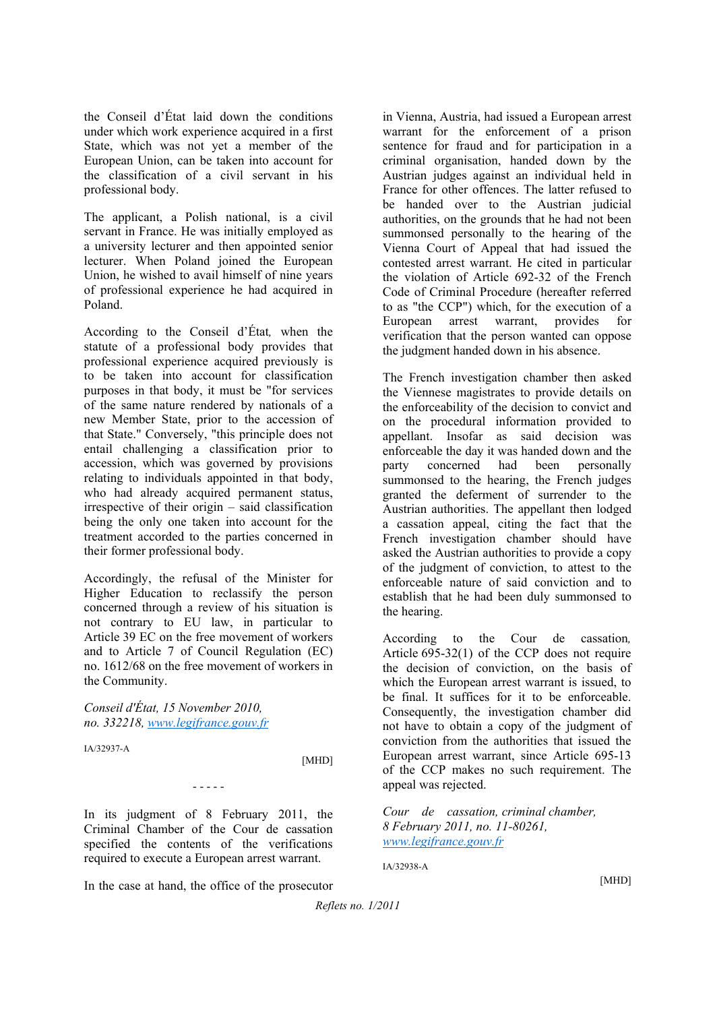the Conseil d'État laid down the conditions under which work experience acquired in a first State, which was not yet a member of the European Union, can be taken into account for the classification of a civil servant in his professional body.

The applicant, a Polish national, is a civil servant in France. He was initially employed as a university lecturer and then appointed senior lecturer. When Poland joined the European Union, he wished to avail himself of nine years of professional experience he had acquired in Poland.

According to the Conseil d'État*,* when the statute of a professional body provides that professional experience acquired previously is to be taken into account for classification purposes in that body, it must be "for services of the same nature rendered by nationals of a new Member State, prior to the accession of that State." Conversely, "this principle does not entail challenging a classification prior to accession, which was governed by provisions relating to individuals appointed in that body, who had already acquired permanent status, irrespective of their origin – said classification being the only one taken into account for the treatment accorded to the parties concerned in their former professional body.

Accordingly, the refusal of the Minister for Higher Education to reclassify the person concerned through a review of his situation is not contrary to EU law, in particular to Article 39 EC on the free movement of workers and to Article 7 of Council Regulation (EC) no. 1612/68 on the free movement of workers in the Community.

*Conseil d'État, 15 November 2010, no. 332218, www.legifrance.gouv.fr*

IA/32937-A

[MHD]

In its judgment of 8 February 2011, the Criminal Chamber of the Cour de cassation specified the contents of the verifications required to execute a European arrest warrant.

- - - - -

In the case at hand, the office of the prosecutor

in Vienna, Austria, had issued a European arrest warrant for the enforcement of a prison sentence for fraud and for participation in a criminal organisation, handed down by the Austrian judges against an individual held in France for other offences. The latter refused to be handed over to the Austrian judicial authorities, on the grounds that he had not been summonsed personally to the hearing of the Vienna Court of Appeal that had issued the contested arrest warrant. He cited in particular the violation of Article 692-32 of the French Code of Criminal Procedure (hereafter referred to as "the CCP") which, for the execution of a European arrest warrant, provides for verification that the person wanted can oppose the judgment handed down in his absence.

The French investigation chamber then asked the Viennese magistrates to provide details on the enforceability of the decision to convict and on the procedural information provided to appellant. Insofar as said decision was enforceable the day it was handed down and the party concerned had been personally summonsed to the hearing, the French judges granted the deferment of surrender to the Austrian authorities. The appellant then lodged a cassation appeal, citing the fact that the French investigation chamber should have asked the Austrian authorities to provide a copy of the judgment of conviction, to attest to the enforceable nature of said conviction and to establish that he had been duly summonsed to the hearing.

According to the Cour de cassation*,*  Article 695-32(1) of the CCP does not require the decision of conviction, on the basis of which the European arrest warrant is issued, to be final. It suffices for it to be enforceable. Consequently, the investigation chamber did not have to obtain a copy of the judgment of conviction from the authorities that issued the European arrest warrant, since Article 695-13 of the CCP makes no such requirement. The appeal was rejected.

*Cour de cassation, criminal chamber, 8 February 2011, no. 11-80261, www.legifrance.gouv.fr*

IA/32938-A

[MHD]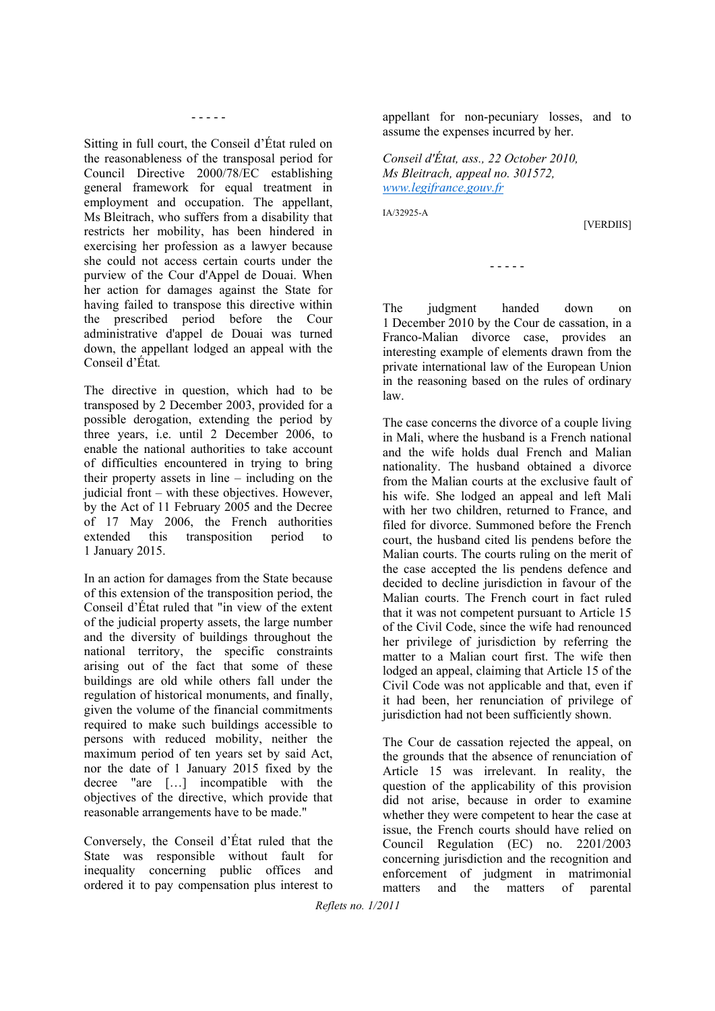- - - - -

Sitting in full court, the Conseil d'État ruled on the reasonableness of the transposal period for Council Directive 2000/78/EC establishing general framework for equal treatment in employment and occupation. The appellant, Ms Bleitrach, who suffers from a disability that restricts her mobility, has been hindered in exercising her profession as a lawyer because she could not access certain courts under the purview of the Cour d'Appel de Douai. When her action for damages against the State for having failed to transpose this directive within the prescribed period before the Cour administrative d'appel de Douai was turned down, the appellant lodged an appeal with the Conseil d'État*.* 

The directive in question, which had to be transposed by 2 December 2003, provided for a possible derogation, extending the period by three years, i.e. until 2 December 2006, to enable the national authorities to take account of difficulties encountered in trying to bring their property assets in line – including on the judicial front – with these objectives. However, by the Act of 11 February 2005 and the Decree of 17 May 2006, the French authorities extended this transposition period to 1 January 2015.

In an action for damages from the State because of this extension of the transposition period, the Conseil d'État ruled that "in view of the extent of the judicial property assets, the large number and the diversity of buildings throughout the national territory, the specific constraints arising out of the fact that some of these buildings are old while others fall under the regulation of historical monuments, and finally, given the volume of the financial commitments required to make such buildings accessible to persons with reduced mobility, neither the maximum period of ten years set by said Act, nor the date of 1 January 2015 fixed by the decree "are […] incompatible with the objectives of the directive, which provide that reasonable arrangements have to be made."

Conversely, the Conseil d'État ruled that the State was responsible without fault for inequality concerning public offices and ordered it to pay compensation plus interest to appellant for non-pecuniary losses, and to assume the expenses incurred by her.

*Conseil d'État, ass., 22 October 2010, Ms Bleitrach, appeal no. 301572, www.legifrance.gouv.fr*

IA/32925-A

[VERDIIS]

- - - - -

The judgment handed down on 1 December 2010 by the Cour de cassation, in a Franco-Malian divorce case, provides an interesting example of elements drawn from the private international law of the European Union in the reasoning based on the rules of ordinary law.

The case concerns the divorce of a couple living in Mali, where the husband is a French national and the wife holds dual French and Malian nationality. The husband obtained a divorce from the Malian courts at the exclusive fault of his wife. She lodged an appeal and left Mali with her two children, returned to France, and filed for divorce. Summoned before the French court, the husband cited lis pendens before the Malian courts. The courts ruling on the merit of the case accepted the lis pendens defence and decided to decline jurisdiction in favour of the Malian courts. The French court in fact ruled that it was not competent pursuant to Article 15 of the Civil Code, since the wife had renounced her privilege of jurisdiction by referring the matter to a Malian court first. The wife then lodged an appeal, claiming that Article 15 of the Civil Code was not applicable and that, even if it had been, her renunciation of privilege of jurisdiction had not been sufficiently shown.

The Cour de cassation rejected the appeal, on the grounds that the absence of renunciation of Article 15 was irrelevant. In reality, the question of the applicability of this provision did not arise, because in order to examine whether they were competent to hear the case at issue, the French courts should have relied on Council Regulation (EC) no. 2201/2003 concerning jurisdiction and the recognition and enforcement of judgment in matrimonial matters and the matters of parental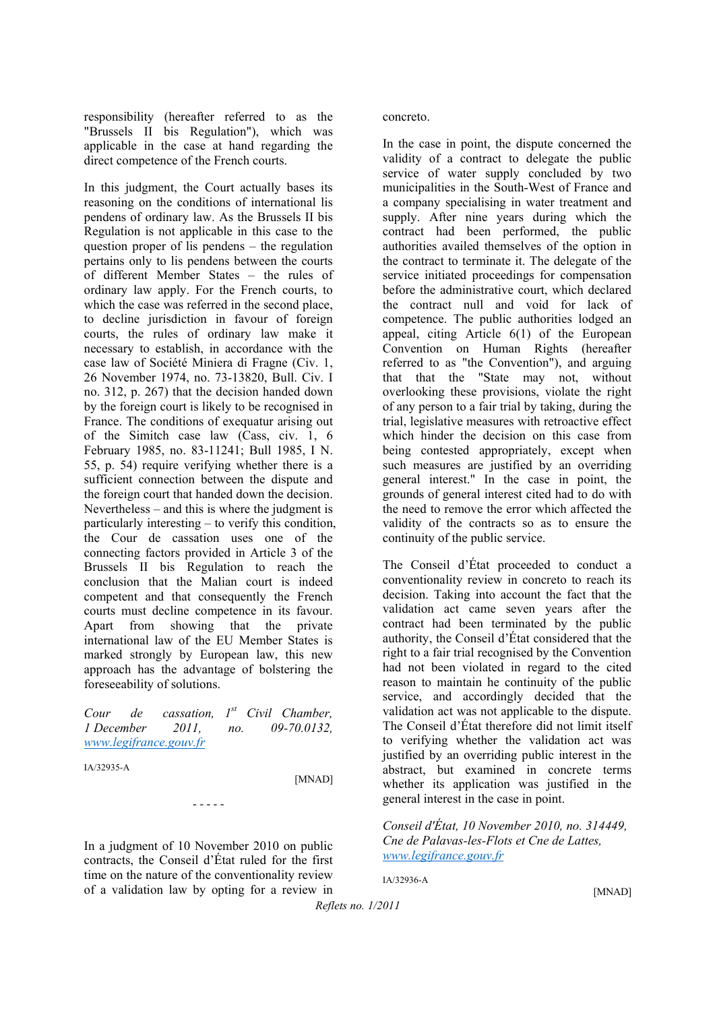responsibility (hereafter referred to as the "Brussels II bis Regulation"), which was applicable in the case at hand regarding the direct competence of the French courts.

In this judgment, the Court actually bases its reasoning on the conditions of international lis pendens of ordinary law. As the Brussels II bis Regulation is not applicable in this case to the question proper of lis pendens – the regulation pertains only to lis pendens between the courts of different Member States – the rules of ordinary law apply. For the French courts, to which the case was referred in the second place, to decline jurisdiction in favour of foreign courts, the rules of ordinary law make it necessary to establish, in accordance with the case law of Société Miniera di Fragne (Civ. 1, 26 November 1974, no. 73-13820, Bull. Civ. I no. 312, p. 267) that the decision handed down by the foreign court is likely to be recognised in France. The conditions of exequatur arising out of the Simitch case law (Cass, civ. 1, 6 February 1985, no. 83-11241; Bull 1985, I N. 55, p. 54) require verifying whether there is a sufficient connection between the dispute and the foreign court that handed down the decision. Nevertheless – and this is where the judgment is particularly interesting – to verify this condition, the Cour de cassation uses one of the connecting factors provided in Article 3 of the Brussels II bis Regulation to reach the conclusion that the Malian court is indeed competent and that consequently the French courts must decline competence in its favour. Apart from showing that the private international law of the EU Member States is marked strongly by European law, this new approach has the advantage of bolstering the foreseeability of solutions.

*Cour de cassation, 1st Civil Chamber, 1 December 2011, no. 09-70.0132, www.legifrance.gouv.fr*

IA/32935-A

[MNAD]

In a judgment of 10 November 2010 on public contracts, the Conseil d'État ruled for the first time on the nature of the conventionality review of a validation law by opting for a review in

- - - - -

concreto.

In the case in point, the dispute concerned the validity of a contract to delegate the public service of water supply concluded by two municipalities in the South-West of France and a company specialising in water treatment and supply. After nine years during which the contract had been performed, the public authorities availed themselves of the option in the contract to terminate it. The delegate of the service initiated proceedings for compensation before the administrative court, which declared the contract null and void for lack of competence. The public authorities lodged an appeal, citing Article 6(1) of the European Convention on Human Rights (hereafter referred to as "the Convention"), and arguing that that the "State may not, without overlooking these provisions, violate the right of any person to a fair trial by taking, during the trial, legislative measures with retroactive effect which hinder the decision on this case from being contested appropriately, except when such measures are justified by an overriding general interest." In the case in point, the grounds of general interest cited had to do with the need to remove the error which affected the validity of the contracts so as to ensure the continuity of the public service.

The Conseil d'État proceeded to conduct a conventionality review in concreto to reach its decision. Taking into account the fact that the validation act came seven years after the contract had been terminated by the public authority, the Conseil d'État considered that the right to a fair trial recognised by the Convention had not been violated in regard to the cited reason to maintain he continuity of the public service, and accordingly decided that the validation act was not applicable to the dispute. The Conseil d'État therefore did not limit itself to verifying whether the validation act was justified by an overriding public interest in the abstract, but examined in concrete terms whether its application was justified in the general interest in the case in point.

*Conseil d'État, 10 November 2010, no. 314449, Cne de Palavas-les-Flots et Cne de Lattes, www.legifrance.gouv.fr*

IA/32936-A

[MNAD]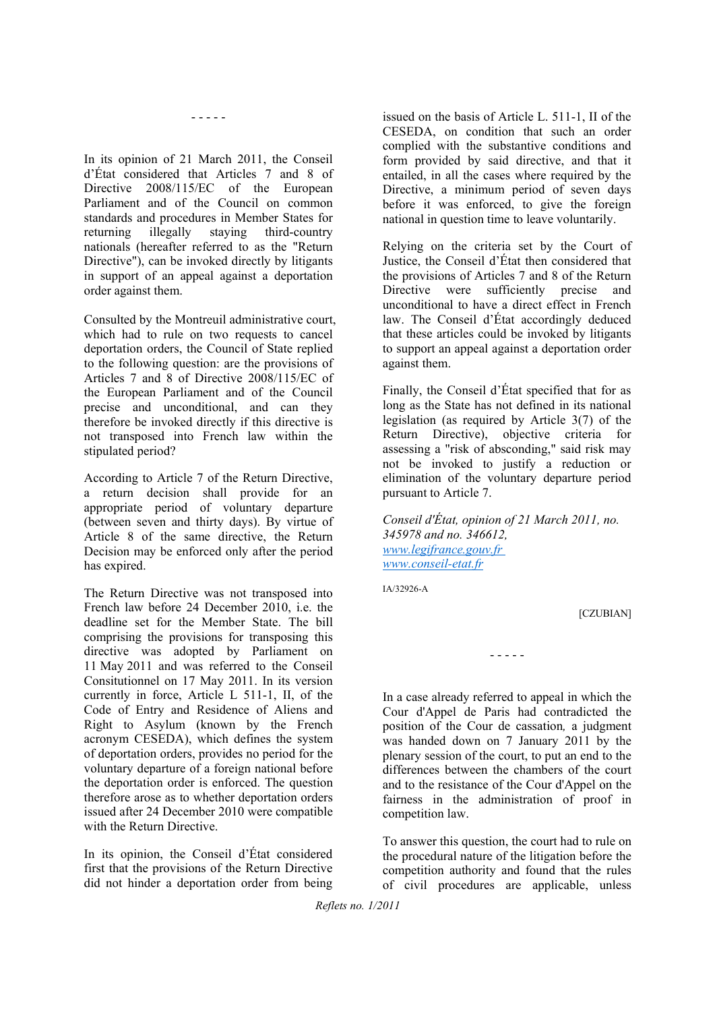- - - - -

In its opinion of 21 March 2011, the Conseil d'État considered that Articles 7 and 8 of Directive 2008/115/EC of the European Parliament and of the Council on common standards and procedures in Member States for returning illegally staying third-country nationals (hereafter referred to as the "Return Directive"), can be invoked directly by litigants in support of an appeal against a deportation order against them.

Consulted by the Montreuil administrative court, which had to rule on two requests to cancel deportation orders, the Council of State replied to the following question: are the provisions of Articles 7 and 8 of Directive 2008/115/EC of the European Parliament and of the Council precise and unconditional, and can they therefore be invoked directly if this directive is not transposed into French law within the stipulated period?

According to Article 7 of the Return Directive, a return decision shall provide for an appropriate period of voluntary departure (between seven and thirty days). By virtue of Article 8 of the same directive, the Return Decision may be enforced only after the period has expired.

The Return Directive was not transposed into French law before 24 December 2010, i.e. the deadline set for the Member State. The bill comprising the provisions for transposing this directive was adopted by Parliament on 11 May 2011 and was referred to the Conseil Consitutionnel on 17 May 2011. In its version currently in force, Article L 511-1, II, of the Code of Entry and Residence of Aliens and Right to Asylum (known by the French acronym CESEDA), which defines the system of deportation orders, provides no period for the voluntary departure of a foreign national before the deportation order is enforced. The question therefore arose as to whether deportation orders issued after 24 December 2010 were compatible with the Return Directive.

In its opinion, the Conseil d'État considered first that the provisions of the Return Directive did not hinder a deportation order from being

issued on the basis of Article L. 511-1, II of the CESEDA, on condition that such an order complied with the substantive conditions and form provided by said directive, and that it entailed, in all the cases where required by the Directive, a minimum period of seven days before it was enforced, to give the foreign national in question time to leave voluntarily.

Relying on the criteria set by the Court of Justice, the Conseil d'État then considered that the provisions of Articles 7 and 8 of the Return Directive were sufficiently precise and unconditional to have a direct effect in French law. The Conseil d'État accordingly deduced that these articles could be invoked by litigants to support an appeal against a deportation order against them.

Finally, the Conseil d'État specified that for as long as the State has not defined in its national legislation (as required by Article 3(7) of the Return Directive), objective criteria for assessing a "risk of absconding," said risk may not be invoked to justify a reduction or elimination of the voluntary departure period pursuant to Article 7.

*Conseil d'État, opinion of 21 March 2011, no. 345978 and no. 346612, www.legifrance.gouv.fr www.conseil-etat.fr*

IA/32926-A

**[CZUBIAN]** 

In a case already referred to appeal in which the Cour d'Appel de Paris had contradicted the position of the Cour de cassation*,* a judgment was handed down on 7 January 2011 by the plenary session of the court, to put an end to the differences between the chambers of the court and to the resistance of the Cour d'Appel on the fairness in the administration of proof in competition law.

- - - - -

To answer this question, the court had to rule on the procedural nature of the litigation before the competition authority and found that the rules of civil procedures are applicable, unless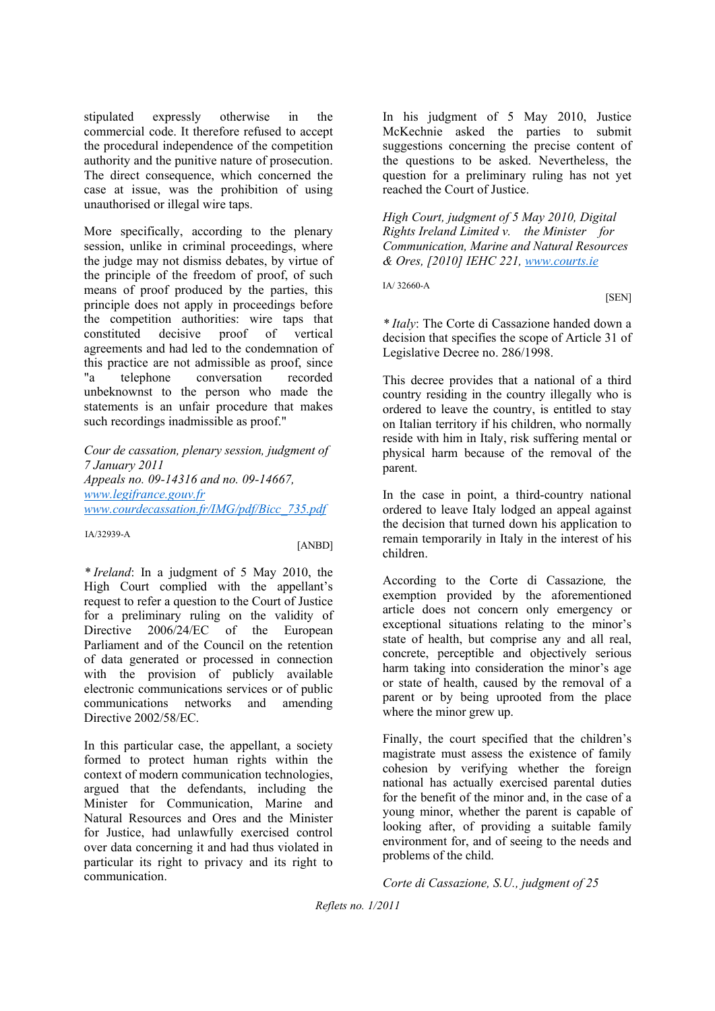stipulated expressly otherwise in the commercial code. It therefore refused to accept the procedural independence of the competition authority and the punitive nature of prosecution. The direct consequence, which concerned the case at issue, was the prohibition of using unauthorised or illegal wire taps.

More specifically, according to the plenary session, unlike in criminal proceedings, where the judge may not dismiss debates, by virtue of the principle of the freedom of proof, of such means of proof produced by the parties, this principle does not apply in proceedings before the competition authorities: wire taps that constituted decisive proof of vertical agreements and had led to the condemnation of this practice are not admissible as proof, since "a telephone conversation recorded unbeknownst to the person who made the statements is an unfair procedure that makes such recordings inadmissible as proof."

*Cour de cassation, plenary session, judgment of 7 January 2011 Appeals no. 09-14316 and no. 09-14667, www.legifrance.gouv.fr www.courdecassation.fr/IMG/pdf/Bicc\_735.pdf*

IA/32939-A

[ANBD]

*\* Ireland*: In a judgment of 5 May 2010, the High Court complied with the appellant's request to refer a question to the Court of Justice for a preliminary ruling on the validity of Directive 2006/24/EC of the European Parliament and of the Council on the retention of data generated or processed in connection with the provision of publicly available electronic communications services or of public communications networks and amending Directive 2002/58/EC.

In this particular case, the appellant, a society formed to protect human rights within the context of modern communication technologies, argued that the defendants, including the Minister for Communication, Marine and Natural Resources and Ores and the Minister for Justice, had unlawfully exercised control over data concerning it and had thus violated in particular its right to privacy and its right to communication.

In his judgment of 5 May 2010, Justice McKechnie asked the parties to submit suggestions concerning the precise content of the questions to be asked. Nevertheless, the question for a preliminary ruling has not yet reached the Court of Justice.

*High Court, judgment of 5 May 2010, Digital Rights Ireland Limited v. the Minister for Communication, Marine and Natural Resources & Ores, [2010] IEHC 221, www.courts.ie*

IA/ 32660-A

[SEN]

*\* Italy*: The Corte di Cassazione handed down a decision that specifies the scope of Article 31 of Legislative Decree no. 286/1998.

This decree provides that a national of a third country residing in the country illegally who is ordered to leave the country, is entitled to stay on Italian territory if his children, who normally reside with him in Italy, risk suffering mental or physical harm because of the removal of the parent.

In the case in point, a third-country national ordered to leave Italy lodged an appeal against the decision that turned down his application to remain temporarily in Italy in the interest of his children.

According to the Corte di Cassazione*,* the exemption provided by the aforementioned article does not concern only emergency or exceptional situations relating to the minor's state of health, but comprise any and all real, concrete, perceptible and objectively serious harm taking into consideration the minor's age or state of health, caused by the removal of a parent or by being uprooted from the place where the minor grew up.

Finally, the court specified that the children's magistrate must assess the existence of family cohesion by verifying whether the foreign national has actually exercised parental duties for the benefit of the minor and, in the case of a young minor, whether the parent is capable of looking after, of providing a suitable family environment for, and of seeing to the needs and problems of the child.

*Corte di Cassazione, S.U., judgment of 25*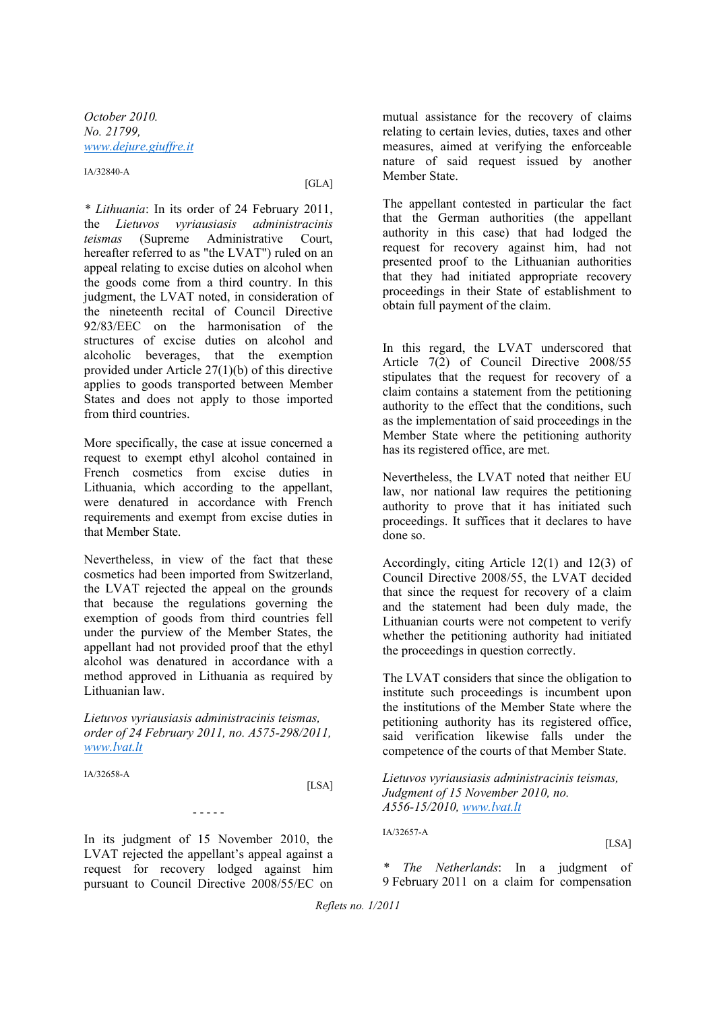*October 2010. No. 21799, www.dejure.giuffre.it*

IA/32840-A

[GLA]

*\* Lithuania*: In its order of 24 February 2011, the *Lietuvos vyriausiasis administracinis teismas* (Supreme Administrative Court, hereafter referred to as "the LVAT") ruled on an appeal relating to excise duties on alcohol when the goods come from a third country. In this judgment, the LVAT noted, in consideration of the nineteenth recital of Council Directive 92/83/EEC on the harmonisation of the structures of excise duties on alcohol and alcoholic beverages, that the exemption provided under Article 27(1)(b) of this directive applies to goods transported between Member States and does not apply to those imported from third countries.

More specifically, the case at issue concerned a request to exempt ethyl alcohol contained in French cosmetics from excise duties in Lithuania, which according to the appellant, were denatured in accordance with French requirements and exempt from excise duties in that Member State.

Nevertheless, in view of the fact that these cosmetics had been imported from Switzerland, the LVAT rejected the appeal on the grounds that because the regulations governing the exemption of goods from third countries fell under the purview of the Member States, the appellant had not provided proof that the ethyl alcohol was denatured in accordance with a method approved in Lithuania as required by Lithuanian law.

*Lietuvos vyriausiasis administracinis teismas, order of 24 February 2011, no. A575-298/2011, www.lvat.lt*

IA/32658-A

[LSA]

In its judgment of 15 November 2010, the LVAT rejected the appellant's appeal against a request for recovery lodged against him pursuant to Council Directive 2008/55/EC on

- - - - -

mutual assistance for the recovery of claims relating to certain levies, duties, taxes and other measures, aimed at verifying the enforceable nature of said request issued by another Member State.

The appellant contested in particular the fact that the German authorities (the appellant authority in this case) that had lodged the request for recovery against him, had not presented proof to the Lithuanian authorities that they had initiated appropriate recovery proceedings in their State of establishment to obtain full payment of the claim.

In this regard, the LVAT underscored that Article 7(2) of Council Directive 2008/55 stipulates that the request for recovery of a claim contains a statement from the petitioning authority to the effect that the conditions, such as the implementation of said proceedings in the Member State where the petitioning authority has its registered office, are met.

Nevertheless, the LVAT noted that neither EU law, nor national law requires the petitioning authority to prove that it has initiated such proceedings. It suffices that it declares to have done so.

Accordingly, citing Article 12(1) and 12(3) of Council Directive 2008/55, the LVAT decided that since the request for recovery of a claim and the statement had been duly made, the Lithuanian courts were not competent to verify whether the petitioning authority had initiated the proceedings in question correctly.

The LVAT considers that since the obligation to institute such proceedings is incumbent upon the institutions of the Member State where the petitioning authority has its registered office, said verification likewise falls under the competence of the courts of that Member State.

*Lietuvos vyriausiasis administracinis teismas, Judgment of 15 November 2010, no. A556-15/2010, www.lvat.lt*

IA/32657-A

[LSA]

*\* The Netherlands*: In a judgment of 9 February 2011 on a claim for compensation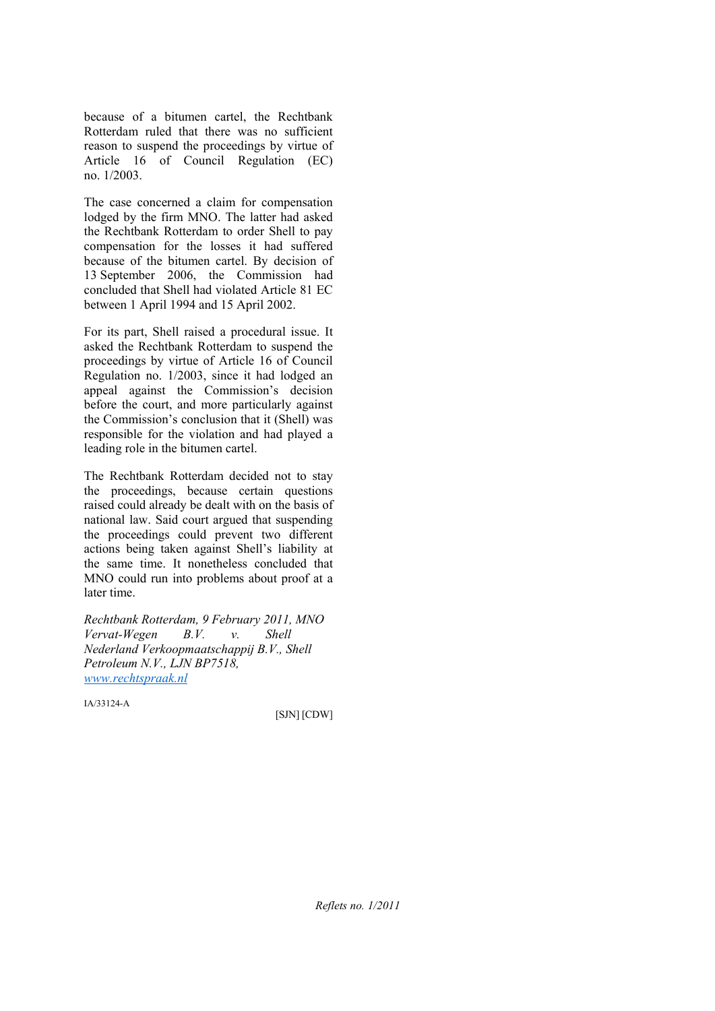because of a bitumen cartel, the Rechtbank Rotterdam ruled that there was no sufficient reason to suspend the proceedings by virtue of Article 16 of Council Regulation (EC) no. 1/2003.

The case concerned a claim for compensation lodged by the firm MNO. The latter had asked the Rechtbank Rotterdam to order Shell to pay compensation for the losses it had suffered because of the bitumen cartel. By decision of 13 September 2006, the Commission had concluded that Shell had violated Article 81 EC between 1 April 1994 and 15 April 2002.

For its part, Shell raised a procedural issue. It asked the Rechtbank Rotterdam to suspend the proceedings by virtue of Article 16 of Council Regulation no. 1/2003, since it had lodged an appeal against the Commission's decision before the court, and more particularly against the Commission's conclusion that it (Shell) was responsible for the violation and had played a leading role in the bitumen cartel.

The Rechtbank Rotterdam decided not to stay the proceedings, because certain questions raised could already be dealt with on the basis of national law. Said court argued that suspending the proceedings could prevent two different actions being taken against Shell's liability at the same time. It nonetheless concluded that MNO could run into problems about proof at a later time.

*Rechtbank Rotterdam, 9 February 2011, MNO Vervat-Wegen B.V. v. Shell Nederland Verkoopmaatschappij B.V., Shell Petroleum N.V., LJN BP7518, www.rechtspraak.nl*

IA/33124-A

[SJN] [CDW]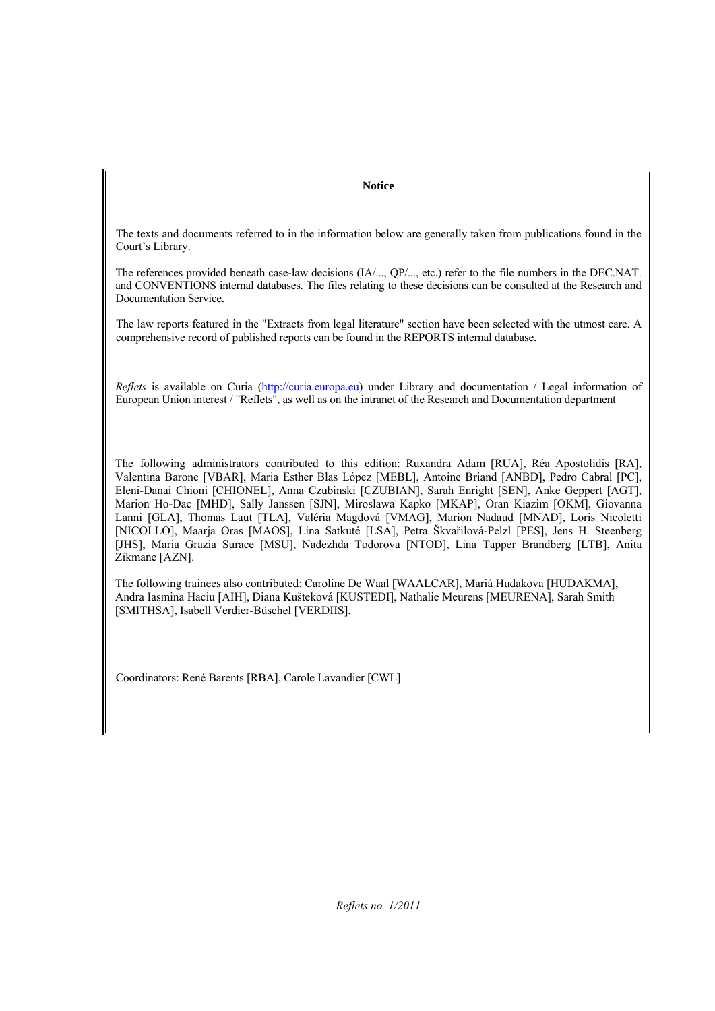#### **Notice**

The texts and documents referred to in the information below are generally taken from publications found in the Court's Library.

The references provided beneath case-law decisions (IA/..., QP/..., etc.) refer to the file numbers in the DEC.NAT. and CONVENTIONS internal databases. The files relating to these decisions can be consulted at the Research and Documentation Service.

The law reports featured in the "Extracts from legal literature" section have been selected with the utmost care. A comprehensive record of published reports can be found in the REPORTS internal database.

*Reflets* is available on Curia (http://curia.europa.eu) under Library and documentation / Legal information of European Union interest / "Reflets", as well as on the intranet of the Research and Documentation department

The following administrators contributed to this edition: Ruxandra Adam [RUA], Réa Apostolidis [RA], Valentina Barone [VBAR], Maria Esther Blas López [MEBL], Antoine Briand [ANBD], Pedro Cabral [PC], Eleni-Danai Chioni [CHIONEL], Anna Czubinski [CZUBIAN], Sarah Enright [SEN], Anke Geppert [AGT], Marion Ho-Dac [MHD], Sally Janssen [SJN], Miroslawa Kapko [MKAP], Oran Kiazim [OKM], Giovanna Lanni [GLA], Thomas Laut [TLA], Valéria Magdová [VMAG], Marion Nadaud [MNAD], Loris Nicoletti [NICOLLO], Maarja Oras [MAOS], Lina Satkuté [LSA], Petra Škvařilová-Pelzl [PES], Jens H. Steenberg [JHS], Maria Grazia Surace [MSU], Nadezhda Todorova [NTOD], Lina Tapper Brandberg [LTB], Anita Zikmane [AZN].

The following trainees also contributed: Caroline De Waal [WAALCAR], Mariá Hudakova [HUDAKMA], Andra Iasmina Haciu [AIH], Diana Kušteková [KUSTEDI], Nathalie Meurens [MEURENA], Sarah Smith [SMITHSA], Isabell Verdier-Büschel [VERDIIS].

Coordinators: René Barents [RBA], Carole Lavandier [CWL]